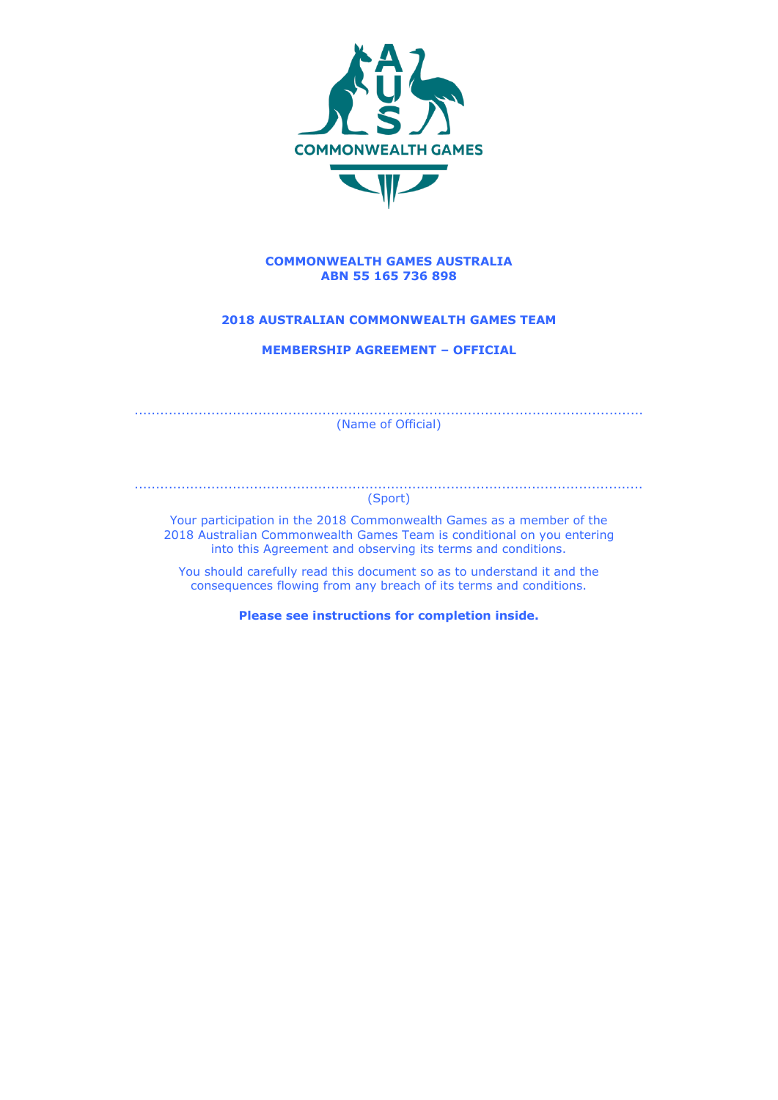

### **COMMONWEALTH GAMES AUSTRALIA ABN 55 165 736 898**

## **2018 AUSTRALIAN COMMONWEALTH GAMES TEAM**

**MEMBERSHIP AGREEMENT – OFFICIAL**

....................................................................................................................... (Name of Official)

....................................................................................................................... (Sport)

Your participation in the 2018 Commonwealth Games as a member of the 2018 Australian Commonwealth Games Team is conditional on you entering into this Agreement and observing its terms and conditions.

You should carefully read this document so as to understand it and the consequences flowing from any breach of its terms and conditions.

**Please see instructions for completion inside.**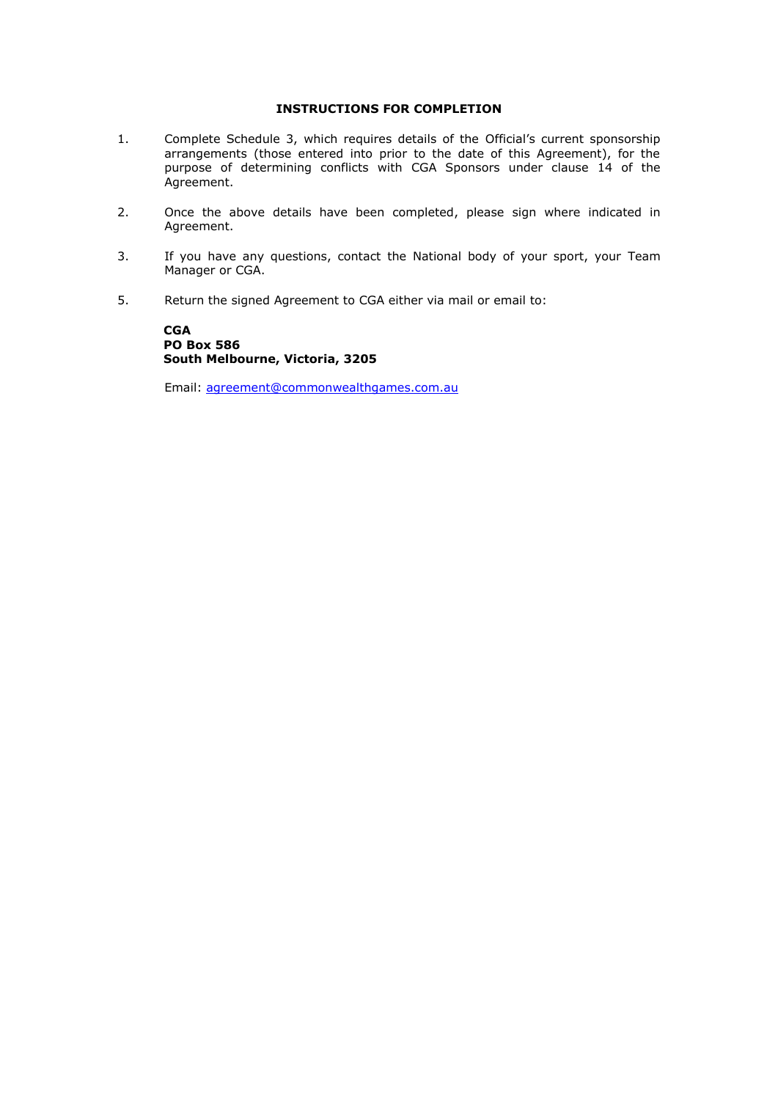## **INSTRUCTIONS FOR COMPLETION**

- 1. Complete Schedule 3, which requires details of the Official's current sponsorship arrangements (those entered into prior to the date of this Agreement), for the purpose of determining conflicts with CGA Sponsors under clause 14 of the Agreement.
- 2. Once the above details have been completed, please sign where indicated in Agreement.
- 3. If you have any questions, contact the National body of your sport, your Team Manager or CGA.
- 5. Return the signed Agreement to CGA either via mail or email to:

**CGA PO Box 586 South Melbourne, Victoria, 3205**

Email: [agreement@commonwealthgames.com.au](mailto:agreement@commonwealthgames.com.au)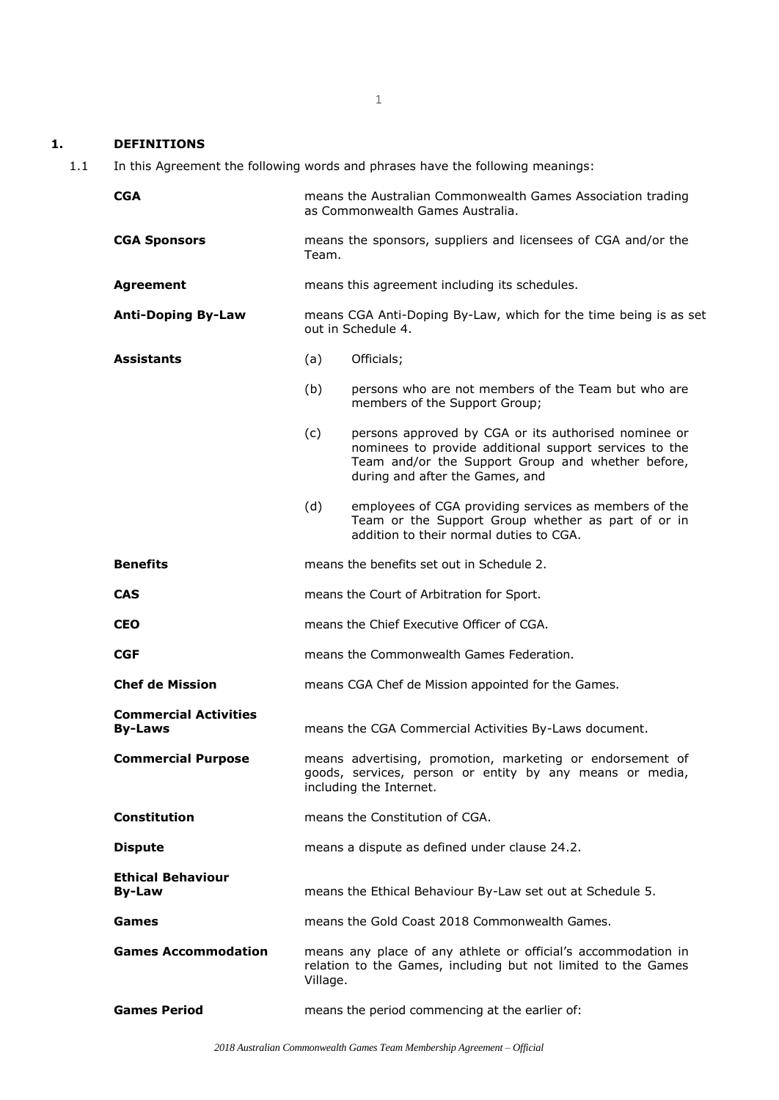## **1. DEFINITIONS**

1.1 In this Agreement the following words and phrases have the following meanings:

| <b>CGA</b>                                     | means the Australian Commonwealth Games Association trading<br>as Commonwealth Games Australia.                                                  |                                                                                                                                                                                                        |
|------------------------------------------------|--------------------------------------------------------------------------------------------------------------------------------------------------|--------------------------------------------------------------------------------------------------------------------------------------------------------------------------------------------------------|
| <b>CGA Sponsors</b>                            | means the sponsors, suppliers and licensees of CGA and/or the<br>Team.                                                                           |                                                                                                                                                                                                        |
| <b>Agreement</b>                               |                                                                                                                                                  | means this agreement including its schedules.                                                                                                                                                          |
| <b>Anti-Doping By-Law</b>                      | means CGA Anti-Doping By-Law, which for the time being is as set<br>out in Schedule 4.                                                           |                                                                                                                                                                                                        |
| <b>Assistants</b>                              | (a)                                                                                                                                              | Officials;                                                                                                                                                                                             |
|                                                | (b)                                                                                                                                              | persons who are not members of the Team but who are<br>members of the Support Group;                                                                                                                   |
|                                                | (c)                                                                                                                                              | persons approved by CGA or its authorised nominee or<br>nominees to provide additional support services to the<br>Team and/or the Support Group and whether before,<br>during and after the Games, and |
|                                                | (d)                                                                                                                                              | employees of CGA providing services as members of the<br>Team or the Support Group whether as part of or in<br>addition to their normal duties to CGA.                                                 |
| <b>Benefits</b>                                | means the benefits set out in Schedule 2.                                                                                                        |                                                                                                                                                                                                        |
| <b>CAS</b>                                     | means the Court of Arbitration for Sport.                                                                                                        |                                                                                                                                                                                                        |
| <b>CEO</b>                                     | means the Chief Executive Officer of CGA.                                                                                                        |                                                                                                                                                                                                        |
| <b>CGF</b>                                     | means the Commonwealth Games Federation.                                                                                                         |                                                                                                                                                                                                        |
| <b>Chef de Mission</b>                         | means CGA Chef de Mission appointed for the Games.                                                                                               |                                                                                                                                                                                                        |
| <b>Commercial Activities</b><br><b>By-Laws</b> |                                                                                                                                                  | means the CGA Commercial Activities By-Laws document.                                                                                                                                                  |
| <b>Commercial Purpose</b>                      | means advertising, promotion, marketing or endorsement of<br>goods, services, person or entity by any means or media,<br>including the Internet. |                                                                                                                                                                                                        |
| <b>Constitution</b>                            | means the Constitution of CGA.                                                                                                                   |                                                                                                                                                                                                        |
| <b>Dispute</b>                                 | means a dispute as defined under clause 24.2.                                                                                                    |                                                                                                                                                                                                        |
| <b>Ethical Behaviour</b><br><b>By-Law</b>      | means the Ethical Behaviour By-Law set out at Schedule 5.                                                                                        |                                                                                                                                                                                                        |
| Games                                          |                                                                                                                                                  | means the Gold Coast 2018 Commonwealth Games.                                                                                                                                                          |
| <b>Games Accommodation</b>                     | Village.                                                                                                                                         | means any place of any athlete or official's accommodation in<br>relation to the Games, including but not limited to the Games                                                                         |
| <b>Games Period</b>                            | means the period commencing at the earlier of:                                                                                                   |                                                                                                                                                                                                        |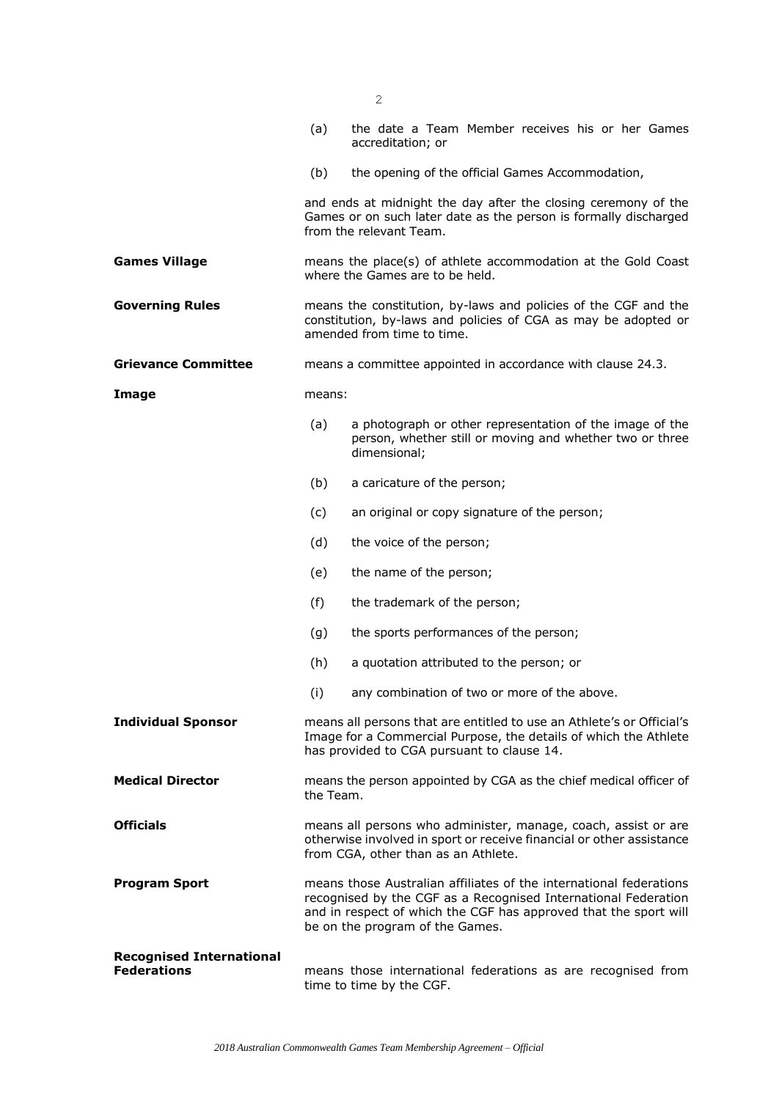|                                                       | (a)                                                                                                                                                                                                                                         | the date a Team Member receives his or her Games<br>accreditation; or                                                                                         |
|-------------------------------------------------------|---------------------------------------------------------------------------------------------------------------------------------------------------------------------------------------------------------------------------------------------|---------------------------------------------------------------------------------------------------------------------------------------------------------------|
|                                                       | (b)                                                                                                                                                                                                                                         | the opening of the official Games Accommodation,                                                                                                              |
|                                                       |                                                                                                                                                                                                                                             | and ends at midnight the day after the closing ceremony of the<br>Games or on such later date as the person is formally discharged<br>from the relevant Team. |
| <b>Games Village</b>                                  |                                                                                                                                                                                                                                             | means the place(s) of athlete accommodation at the Gold Coast<br>where the Games are to be held.                                                              |
| <b>Governing Rules</b>                                | means the constitution, by-laws and policies of the CGF and the<br>constitution, by-laws and policies of CGA as may be adopted or<br>amended from time to time.                                                                             |                                                                                                                                                               |
| <b>Grievance Committee</b>                            | means a committee appointed in accordance with clause 24.3.                                                                                                                                                                                 |                                                                                                                                                               |
| Image                                                 | means:                                                                                                                                                                                                                                      |                                                                                                                                                               |
|                                                       | (a)                                                                                                                                                                                                                                         | a photograph or other representation of the image of the<br>person, whether still or moving and whether two or three<br>dimensional;                          |
|                                                       | (b)                                                                                                                                                                                                                                         | a caricature of the person;                                                                                                                                   |
|                                                       | (c)                                                                                                                                                                                                                                         | an original or copy signature of the person;                                                                                                                  |
|                                                       | (d)                                                                                                                                                                                                                                         | the voice of the person;                                                                                                                                      |
|                                                       | (e)                                                                                                                                                                                                                                         | the name of the person;                                                                                                                                       |
|                                                       | (f)                                                                                                                                                                                                                                         | the trademark of the person;                                                                                                                                  |
|                                                       | (g)                                                                                                                                                                                                                                         | the sports performances of the person;                                                                                                                        |
|                                                       | (h)                                                                                                                                                                                                                                         | a quotation attributed to the person; or                                                                                                                      |
|                                                       | (i)                                                                                                                                                                                                                                         | any combination of two or more of the above.                                                                                                                  |
| <b>Individual Sponsor</b>                             | means all persons that are entitled to use an Athlete's or Official's<br>Image for a Commercial Purpose, the details of which the Athlete<br>has provided to CGA pursuant to clause 14.                                                     |                                                                                                                                                               |
| <b>Medical Director</b>                               | means the person appointed by CGA as the chief medical officer of<br>the Team.                                                                                                                                                              |                                                                                                                                                               |
| <b>Officials</b>                                      | means all persons who administer, manage, coach, assist or are<br>otherwise involved in sport or receive financial or other assistance<br>from CGA, other than as an Athlete.                                                               |                                                                                                                                                               |
| <b>Program Sport</b>                                  | means those Australian affiliates of the international federations<br>recognised by the CGF as a Recognised International Federation<br>and in respect of which the CGF has approved that the sport will<br>be on the program of the Games. |                                                                                                                                                               |
| <b>Recognised International</b><br><b>Federations</b> | means those international federations as are recognised from<br>time to time by the CGF.                                                                                                                                                    |                                                                                                                                                               |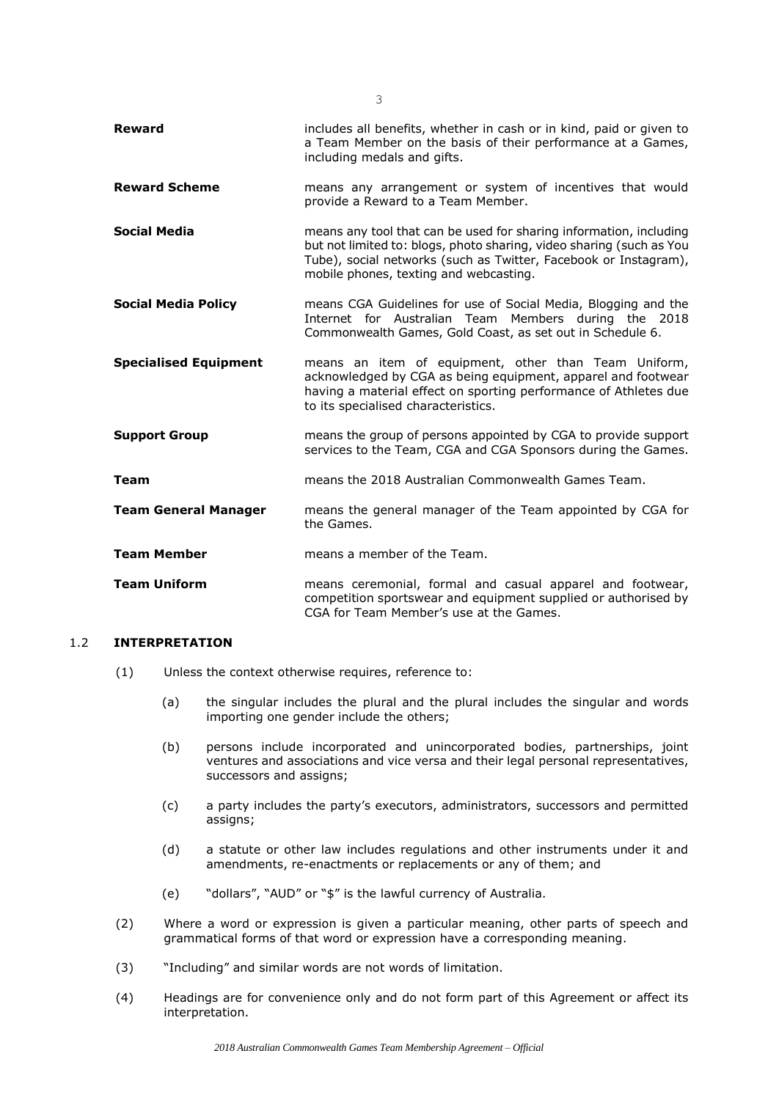| <b>Reward</b>                | includes all benefits, whether in cash or in kind, paid or given to<br>a Team Member on the basis of their performance at a Games,<br>including medals and gifts.                                                                                        |
|------------------------------|----------------------------------------------------------------------------------------------------------------------------------------------------------------------------------------------------------------------------------------------------------|
| <b>Reward Scheme</b>         | means any arrangement or system of incentives that would<br>provide a Reward to a Team Member.                                                                                                                                                           |
| <b>Social Media</b>          | means any tool that can be used for sharing information, including<br>but not limited to: blogs, photo sharing, video sharing (such as You<br>Tube), social networks (such as Twitter, Facebook or Instagram),<br>mobile phones, texting and webcasting. |
| <b>Social Media Policy</b>   | means CGA Guidelines for use of Social Media, Blogging and the<br>Internet for Australian Team Members during the 2018<br>Commonwealth Games, Gold Coast, as set out in Schedule 6.                                                                      |
| <b>Specialised Equipment</b> | means an item of equipment, other than Team Uniform,<br>acknowledged by CGA as being equipment, apparel and footwear<br>having a material effect on sporting performance of Athletes due<br>to its specialised characteristics.                          |
| <b>Support Group</b>         | means the group of persons appointed by CGA to provide support<br>services to the Team, CGA and CGA Sponsors during the Games.                                                                                                                           |
| Team                         | means the 2018 Australian Commonwealth Games Team.                                                                                                                                                                                                       |
| <b>Team General Manager</b>  | means the general manager of the Team appointed by CGA for<br>the Games.                                                                                                                                                                                 |
| Team Member                  | means a member of the Team.                                                                                                                                                                                                                              |
| <b>Team Uniform</b>          | means ceremonial, formal and casual apparel and footwear,<br>competition sportswear and equipment supplied or authorised by<br>CGA for Team Member's use at the Games.                                                                                   |

## 1.2 **INTERPRETATION**

- (1) Unless the context otherwise requires, reference to:
	- (a) the singular includes the plural and the plural includes the singular and words importing one gender include the others;
	- (b) persons include incorporated and unincorporated bodies, partnerships, joint ventures and associations and vice versa and their legal personal representatives, successors and assigns;
	- (c) a party includes the party's executors, administrators, successors and permitted assigns;
	- (d) a statute or other law includes regulations and other instruments under it and amendments, re-enactments or replacements or any of them; and
	- (e) "dollars", "AUD" or "\$" is the lawful currency of Australia.
- (2) Where a word or expression is given a particular meaning, other parts of speech and grammatical forms of that word or expression have a corresponding meaning.
- (3) "Including" and similar words are not words of limitation.
- (4) Headings are for convenience only and do not form part of this Agreement or affect its interpretation.

3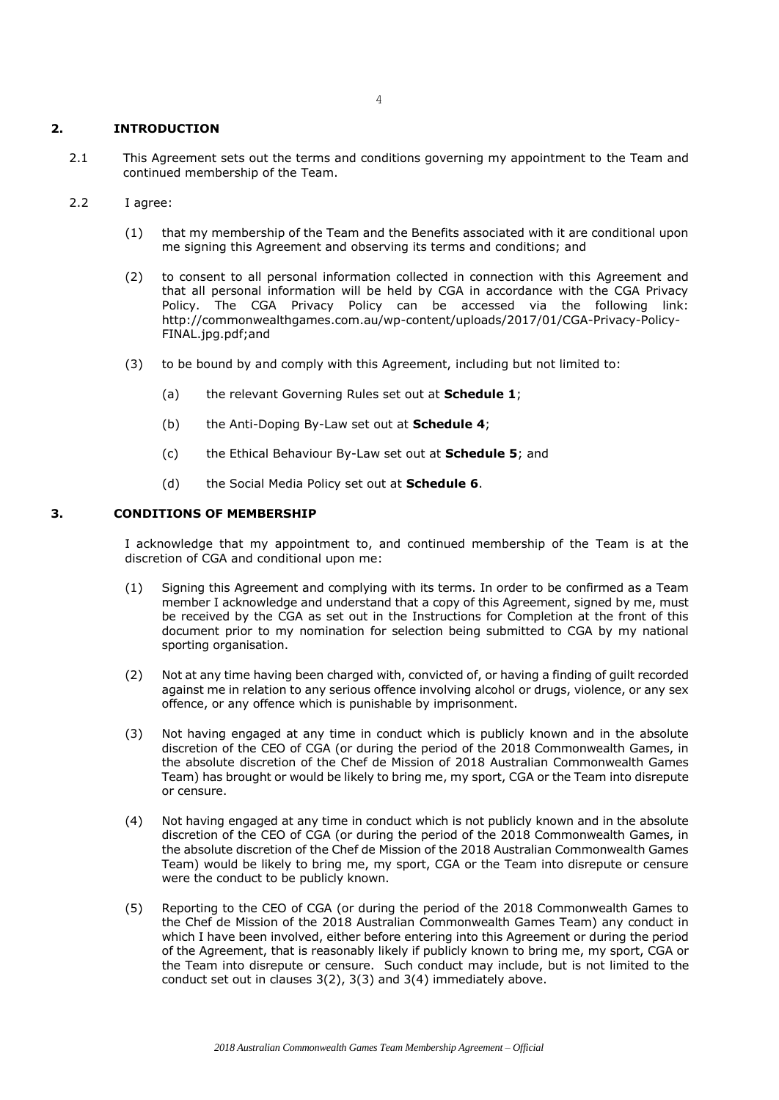### **2. INTRODUCTION**

- 2.1 This Agreement sets out the terms and conditions governing my appointment to the Team and continued membership of the Team.
- 2.2 I agree:
	- (1) that my membership of the Team and the Benefits associated with it are conditional upon me signing this Agreement and observing its terms and conditions; and
	- (2) to consent to all personal information collected in connection with this Agreement and that all personal information will be held by CGA in accordance with the CGA Privacy Policy. The CGA Privacy Policy can be accessed via the following link: http://commonwealthgames.com.au/wp-content/uploads/2017/01/CGA-Privacy-Policy-FINAL.jpg.pdf;and
	- (3) to be bound by and comply with this Agreement, including but not limited to:
		- (a) the relevant Governing Rules set out at **Schedule 1**;
		- (b) the Anti-Doping By-Law set out at **Schedule 4**;
		- (c) the Ethical Behaviour By-Law set out at **Schedule 5**; and
		- (d) the Social Media Policy set out at **Schedule 6**.

### **3. CONDITIONS OF MEMBERSHIP**

I acknowledge that my appointment to, and continued membership of the Team is at the discretion of CGA and conditional upon me:

- (1) Signing this Agreement and complying with its terms. In order to be confirmed as a Team member I acknowledge and understand that a copy of this Agreement, signed by me, must be received by the CGA as set out in the Instructions for Completion at the front of this document prior to my nomination for selection being submitted to CGA by my national sporting organisation.
- (2) Not at any time having been charged with, convicted of, or having a finding of guilt recorded against me in relation to any serious offence involving alcohol or drugs, violence, or any sex offence, or any offence which is punishable by imprisonment.
- (3) Not having engaged at any time in conduct which is publicly known and in the absolute discretion of the CEO of CGA (or during the period of the 2018 Commonwealth Games, in the absolute discretion of the Chef de Mission of 2018 Australian Commonwealth Games Team) has brought or would be likely to bring me, my sport, CGA or the Team into disrepute or censure.
- (4) Not having engaged at any time in conduct which is not publicly known and in the absolute discretion of the CEO of CGA (or during the period of the 2018 Commonwealth Games, in the absolute discretion of the Chef de Mission of the 2018 Australian Commonwealth Games Team) would be likely to bring me, my sport, CGA or the Team into disrepute or censure were the conduct to be publicly known.
- (5) Reporting to the CEO of CGA (or during the period of the 2018 Commonwealth Games to the Chef de Mission of the 2018 Australian Commonwealth Games Team) any conduct in which I have been involved, either before entering into this Agreement or during the period of the Agreement, that is reasonably likely if publicly known to bring me, my sport, CGA or the Team into disrepute or censure. Such conduct may include, but is not limited to the conduct set out in clauses 3(2), 3(3) and 3(4) immediately above.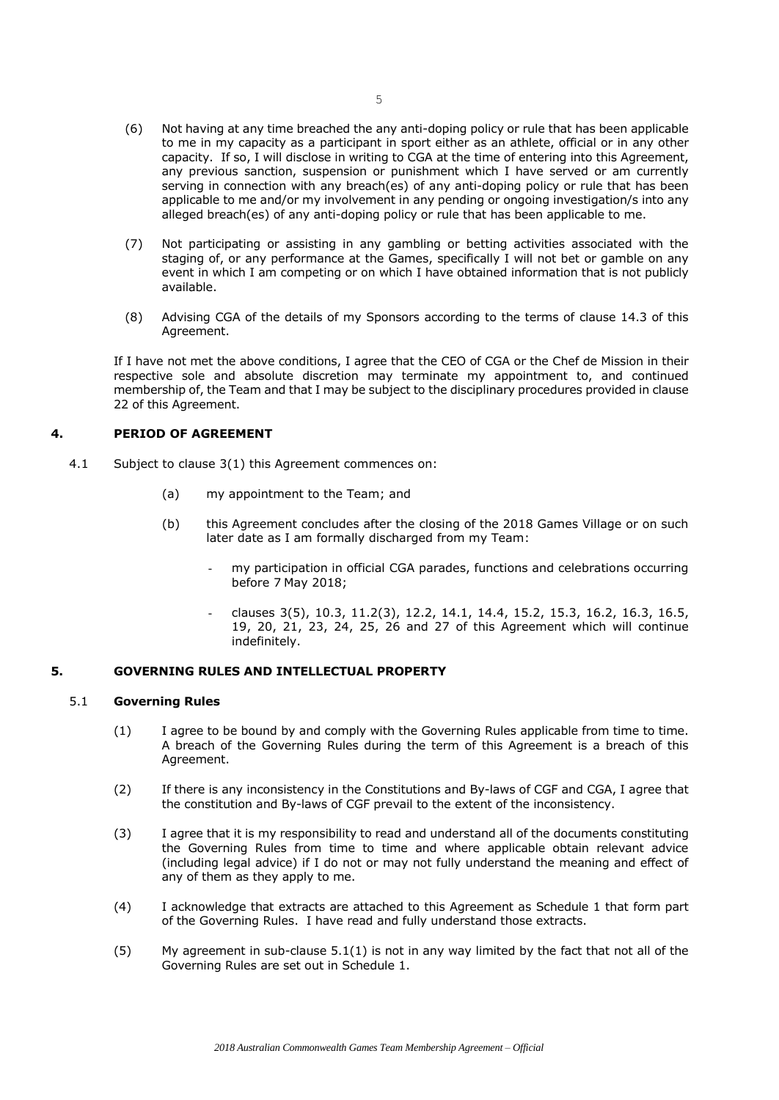- (6) Not having at any time breached the any anti-doping policy or rule that has been applicable to me in my capacity as a participant in sport either as an athlete, official or in any other capacity. If so, I will disclose in writing to CGA at the time of entering into this Agreement, any previous sanction, suspension or punishment which I have served or am currently serving in connection with any breach(es) of any anti-doping policy or rule that has been applicable to me and/or my involvement in any pending or ongoing investigation/s into any alleged breach(es) of any anti-doping policy or rule that has been applicable to me.
- (7) Not participating or assisting in any gambling or betting activities associated with the staging of, or any performance at the Games, specifically I will not bet or gamble on any event in which I am competing or on which I have obtained information that is not publicly available.
- (8) Advising CGA of the details of my Sponsors according to the terms of clause 14.3 of this Agreement.

If I have not met the above conditions, I agree that the CEO of CGA or the Chef de Mission in their respective sole and absolute discretion may terminate my appointment to, and continued membership of, the Team and that I may be subject to the disciplinary procedures provided in clause 22 of this Agreement.

## **4. PERIOD OF AGREEMENT**

- 4.1 Subject to clause 3(1) this Agreement commences on:
	- (a) my appointment to the Team; and
	- (b) this Agreement concludes after the closing of the 2018 Games Village or on such later date as I am formally discharged from my Team:
		- my participation in official CGA parades, functions and celebrations occurring before 7 May 2018;
		- clauses 3(5), 10.3, 11.2(3), 12.2, 14.1, 14.4, 15.2, 15.3, 16.2, 16.3, 16.5, 19, 20, 21, 23, 24, 25, 26 and 27 of this Agreement which will continue indefinitely.

#### **5. GOVERNING RULES AND INTELLECTUAL PROPERTY**

#### <span id="page-6-0"></span>5.1 **Governing Rules**

- (1) I agree to be bound by and comply with the Governing Rules applicable from time to time. A breach of the Governing Rules during the term of this Agreement is a breach of this Agreement.
- (2) If there is any inconsistency in the Constitutions and By-laws of CGF and CGA, I agree that the constitution and By-laws of CGF prevail to the extent of the inconsistency.
- (3) I agree that it is my responsibility to read and understand all of the documents constituting the Governing Rules from time to time and where applicable obtain relevant advice (including legal advice) if I do not or may not fully understand the meaning and effect of any of them as they apply to me.
- (4) I acknowledge that extracts are attached to this Agreement as Schedule 1 that form part of the Governing Rules. I have read and fully understand those extracts.
- (5) My agreement in sub-clause 5.[1\(1\)](#page-6-0) is not in any way limited by the fact that not all of the Governing Rules are set out in Schedule 1.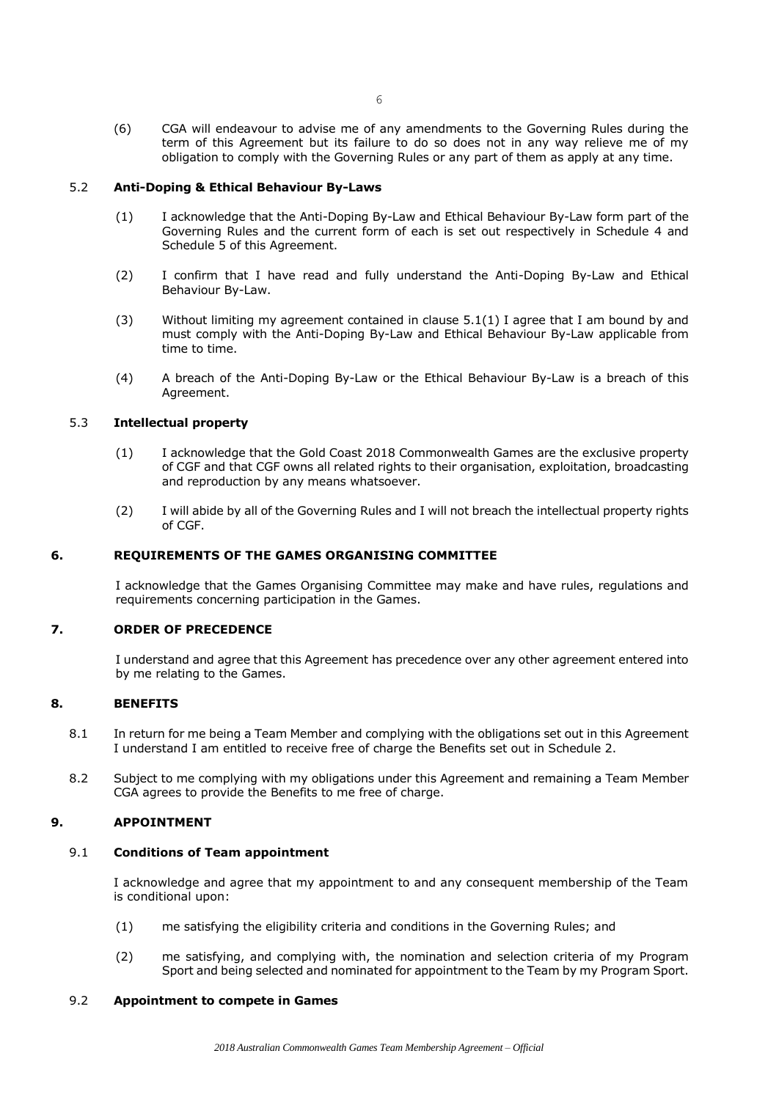(6) CGA will endeavour to advise me of any amendments to the Governing Rules during the term of this Agreement but its failure to do so does not in any way relieve me of my obligation to comply with the Governing Rules or any part of them as apply at any time.

## 5.2 **Anti-Doping & Ethical Behaviour By-Laws**

- (1) I acknowledge that the Anti-Doping By-Law and Ethical Behaviour By-Law form part of the Governing Rules and the current form of each is set out respectively in Schedule 4 and Schedule 5 of this Agreement.
- (2) I confirm that I have read and fully understand the Anti-Doping By-Law and Ethical Behaviour By-Law.
- (3) Without limiting my agreement contained in clause [5.1\(1\)](#page-6-0) I agree that I am bound by and must comply with the Anti-Doping By-Law and Ethical Behaviour By-Law applicable from time to time.
- (4) A breach of the Anti-Doping By-Law or the Ethical Behaviour By-Law is a breach of this Agreement.

## 5.3 **Intellectual property**

- (1) I acknowledge that the Gold Coast 2018 Commonwealth Games are the exclusive property of CGF and that CGF owns all related rights to their organisation, exploitation, broadcasting and reproduction by any means whatsoever.
- (2) I will abide by all of the Governing Rules and I will not breach the intellectual property rights of CGF.

## **6. REQUIREMENTS OF THE GAMES ORGANISING COMMITTEE**

I acknowledge that the Games Organising Committee may make and have rules, regulations and requirements concerning participation in the Games.

## **7. ORDER OF PRECEDENCE**

I understand and agree that this Agreement has precedence over any other agreement entered into by me relating to the Games.

#### **8. BENEFITS**

- 8.1 In return for me being a Team Member and complying with the obligations set out in this Agreement I understand I am entitled to receive free of charge the Benefits set out in Schedule 2.
- 8.2 Subject to me complying with my obligations under this Agreement and remaining a Team Member CGA agrees to provide the Benefits to me free of charge.

## **9. APPOINTMENT**

## 9.1 **Conditions of Team appointment**

I acknowledge and agree that my appointment to and any consequent membership of the Team is conditional upon:

- (1) me satisfying the eligibility criteria and conditions in the Governing Rules; and
- (2) me satisfying, and complying with, the nomination and selection criteria of my Program Sport and being selected and nominated for appointment to the Team by my Program Sport.

#### 9.2 **Appointment to compete in Games**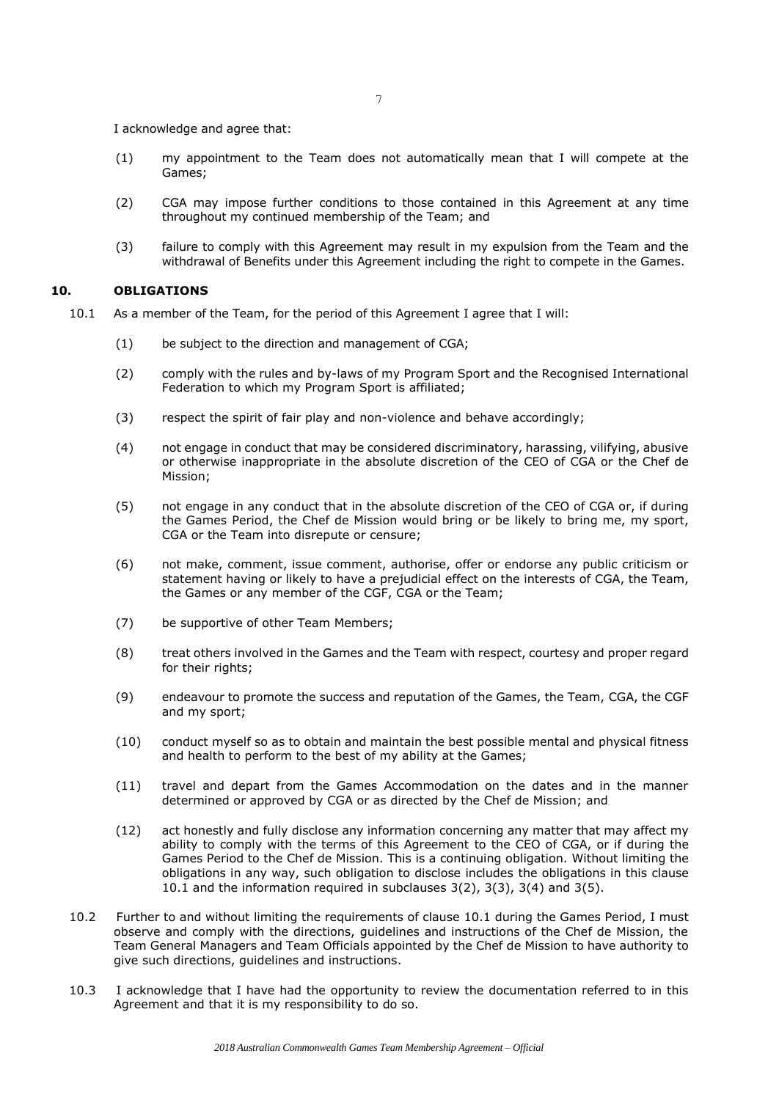I acknowledge and agree that:

- (1) my appointment to the Team does not automatically mean that I will compete at the Games;
- (2) CGA may impose further conditions to those contained in this Agreement at any time throughout my continued membership of the Team; and
- (3) failure to comply with this Agreement may result in my expulsion from the Team and the withdrawal of Benefits under this Agreement including the right to compete in the Games.

### **10. OBLIGATIONS**

- 10.1 As a member of the Team, for the period of this Agreement I agree that I will:
	- (1) be subject to the direction and management of CGA;
	- (2) comply with the rules and by-laws of my Program Sport and the Recognised International Federation to which my Program Sport is affiliated;
	- (3) respect the spirit of fair play and non-violence and behave accordingly;
	- (4) not engage in conduct that may be considered discriminatory, harassing, vilifying, abusive or otherwise inappropriate in the absolute discretion of the CEO of CGA or the Chef de Mission;
	- (5) not engage in any conduct that in the absolute discretion of the CEO of CGA or, if during the Games Period, the Chef de Mission would bring or be likely to bring me, my sport, CGA or the Team into disrepute or censure;
	- (6) not make, comment, issue comment, authorise, offer or endorse any public criticism or statement having or likely to have a prejudicial effect on the interests of CGA, the Team, the Games or any member of the CGF, CGA or the Team;
	- (7) be supportive of other Team Members;
	- (8) treat others involved in the Games and the Team with respect, courtesy and proper regard for their rights;
	- (9) endeavour to promote the success and reputation of the Games, the Team, CGA, the CGF and my sport;
	- (10) conduct myself so as to obtain and maintain the best possible mental and physical fitness and health to perform to the best of my ability at the Games;
	- (11) travel and depart from the Games Accommodation on the dates and in the manner determined or approved by CGA or as directed by the Chef de Mission; and
	- (12) act honestly and fully disclose any information concerning any matter that may affect my ability to comply with the terms of this Agreement to the CEO of CGA, or if during the Games Period to the Chef de Mission. This is a continuing obligation. Without limiting the obligations in any way, such obligation to disclose includes the obligations in this clause 10.1 and the information required in subclauses 3(2), 3(3), 3(4) and 3(5).
	- 10.2 Further to and without limiting the requirements of clause 10.1 during the Games Period, I must observe and comply with the directions, guidelines and instructions of the Chef de Mission, the Team General Managers and Team Officials appointed by the Chef de Mission to have authority to give such directions, guidelines and instructions.
	- 10.3 I acknowledge that I have had the opportunity to review the documentation referred to in this Agreement and that it is my responsibility to do so.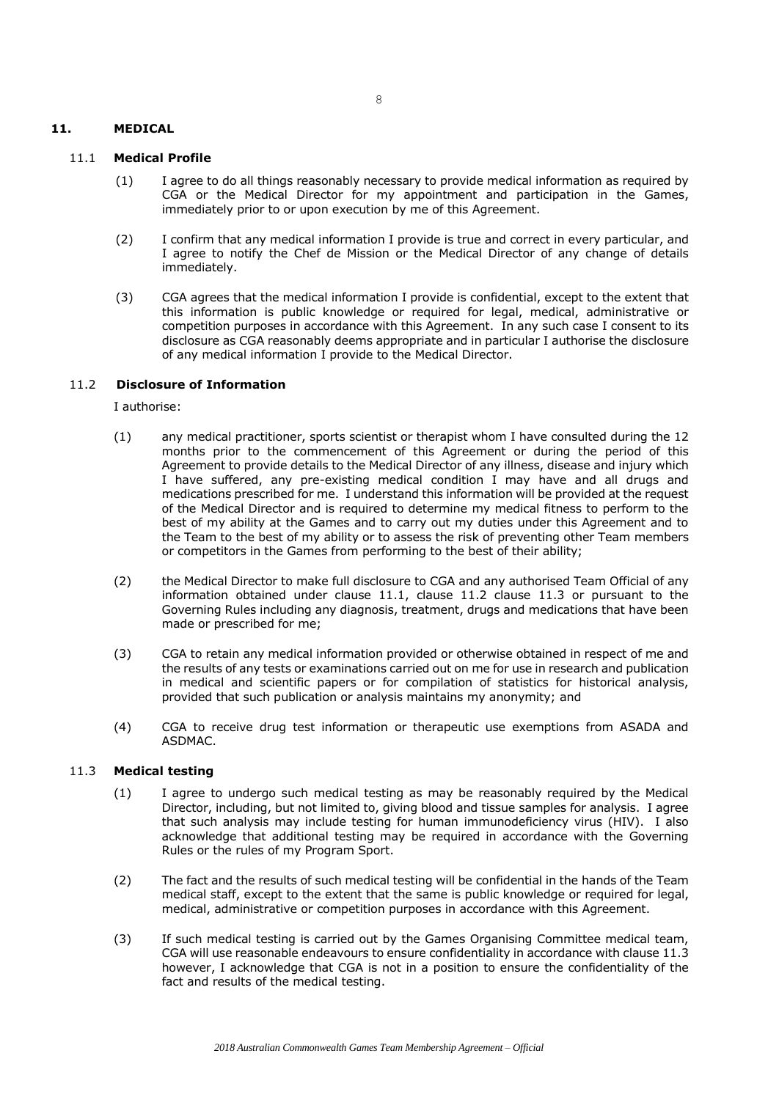## **11. MEDICAL**

### 11.1 **Medical Profile**

- (1) I agree to do all things reasonably necessary to provide medical information as required by CGA or the Medical Director for my appointment and participation in the Games, immediately prior to or upon execution by me of this Agreement.
- (2) I confirm that any medical information I provide is true and correct in every particular, and I agree to notify the Chef de Mission or the Medical Director of any change of details immediately.
- (3) CGA agrees that the medical information I provide is confidential, except to the extent that this information is public knowledge or required for legal, medical, administrative or competition purposes in accordance with this Agreement. In any such case I consent to its disclosure as CGA reasonably deems appropriate and in particular I authorise the disclosure of any medical information I provide to the Medical Director.

### 11.2 **Disclosure of Information**

I authorise:

- (1) any medical practitioner, sports scientist or therapist whom I have consulted during the 12 months prior to the commencement of this Agreement or during the period of this Agreement to provide details to the Medical Director of any illness, disease and injury which I have suffered, any pre-existing medical condition I may have and all drugs and medications prescribed for me. I understand this information will be provided at the request of the Medical Director and is required to determine my medical fitness to perform to the best of my ability at the Games and to carry out my duties under this Agreement and to the Team to the best of my ability or to assess the risk of preventing other Team members or competitors in the Games from performing to the best of their ability;
- (2) the Medical Director to make full disclosure to CGA and any authorised Team Official of any information obtained under clause 11.1, clause 11.2 clause 11.3 or pursuant to the Governing Rules including any diagnosis, treatment, drugs and medications that have been made or prescribed for me;
- (3) CGA to retain any medical information provided or otherwise obtained in respect of me and the results of any tests or examinations carried out on me for use in research and publication in medical and scientific papers or for compilation of statistics for historical analysis, provided that such publication or analysis maintains my anonymity; and
- (4) CGA to receive drug test information or therapeutic use exemptions from ASADA and ASDMAC.

## 11.3 **Medical testing**

- (1) I agree to undergo such medical testing as may be reasonably required by the Medical Director, including, but not limited to, giving blood and tissue samples for analysis. I agree that such analysis may include testing for human immunodeficiency virus (HIV). I also acknowledge that additional testing may be required in accordance with the Governing Rules or the rules of my Program Sport.
- (2) The fact and the results of such medical testing will be confidential in the hands of the Team medical staff, except to the extent that the same is public knowledge or required for legal, medical, administrative or competition purposes in accordance with this Agreement.
- (3) If such medical testing is carried out by the Games Organising Committee medical team, CGA will use reasonable endeavours to ensure confidentiality in accordance with clause 11.3 however, I acknowledge that CGA is not in a position to ensure the confidentiality of the fact and results of the medical testing.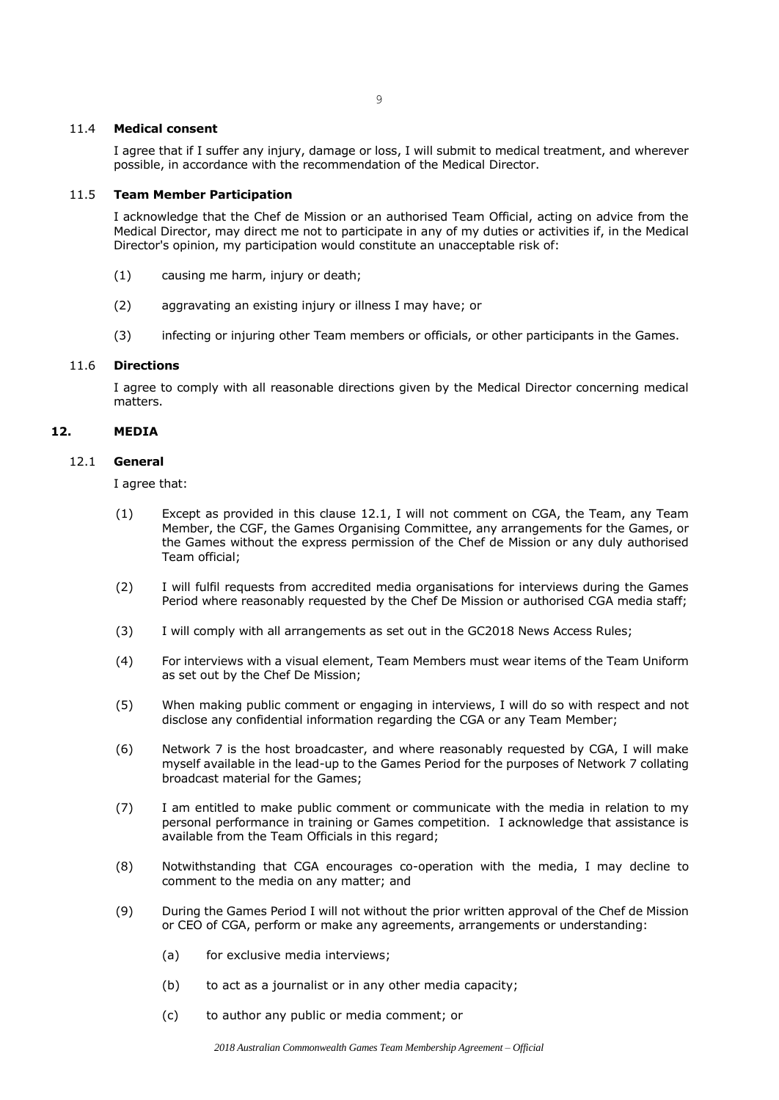#### 9

## 11.4 **Medical consent**

I agree that if I suffer any injury, damage or loss, I will submit to medical treatment, and wherever possible, in accordance with the recommendation of the Medical Director.

### 11.5 **Team Member Participation**

I acknowledge that the Chef de Mission or an authorised Team Official, acting on advice from the Medical Director, may direct me not to participate in any of my duties or activities if, in the Medical Director's opinion, my participation would constitute an unacceptable risk of:

- (1) causing me harm, injury or death;
- (2) aggravating an existing injury or illness I may have; or
- (3) infecting or injuring other Team members or officials, or other participants in the Games.

### 11.6 **Directions**

I agree to comply with all reasonable directions given by the Medical Director concerning medical matters.

## **12. MEDIA**

### 12.1 **General**

I agree that:

- (1) Except as provided in this clause 12.1, I will not comment on CGA, the Team, any Team Member, the CGF, the Games Organising Committee, any arrangements for the Games, or the Games without the express permission of the Chef de Mission or any duly authorised Team official;
- (2) I will fulfil requests from accredited media organisations for interviews during the Games Period where reasonably requested by the Chef De Mission or authorised CGA media staff;
- (3) I will comply with all arrangements as set out in the GC2018 News Access Rules;
- (4) For interviews with a visual element, Team Members must wear items of the Team Uniform as set out by the Chef De Mission;
- (5) When making public comment or engaging in interviews, I will do so with respect and not disclose any confidential information regarding the CGA or any Team Member;
- (6) Network 7 is the host broadcaster, and where reasonably requested by CGA, I will make myself available in the lead-up to the Games Period for the purposes of Network 7 collating broadcast material for the Games;
- (7) I am entitled to make public comment or communicate with the media in relation to my personal performance in training or Games competition. I acknowledge that assistance is available from the Team Officials in this regard;
- (8) Notwithstanding that CGA encourages co-operation with the media, I may decline to comment to the media on any matter; and
- (9) During the Games Period I will not without the prior written approval of the Chef de Mission or CEO of CGA, perform or make any agreements, arrangements or understanding:
	- (a) for exclusive media interviews;
	- (b) to act as a journalist or in any other media capacity;
	- (c) to author any public or media comment; or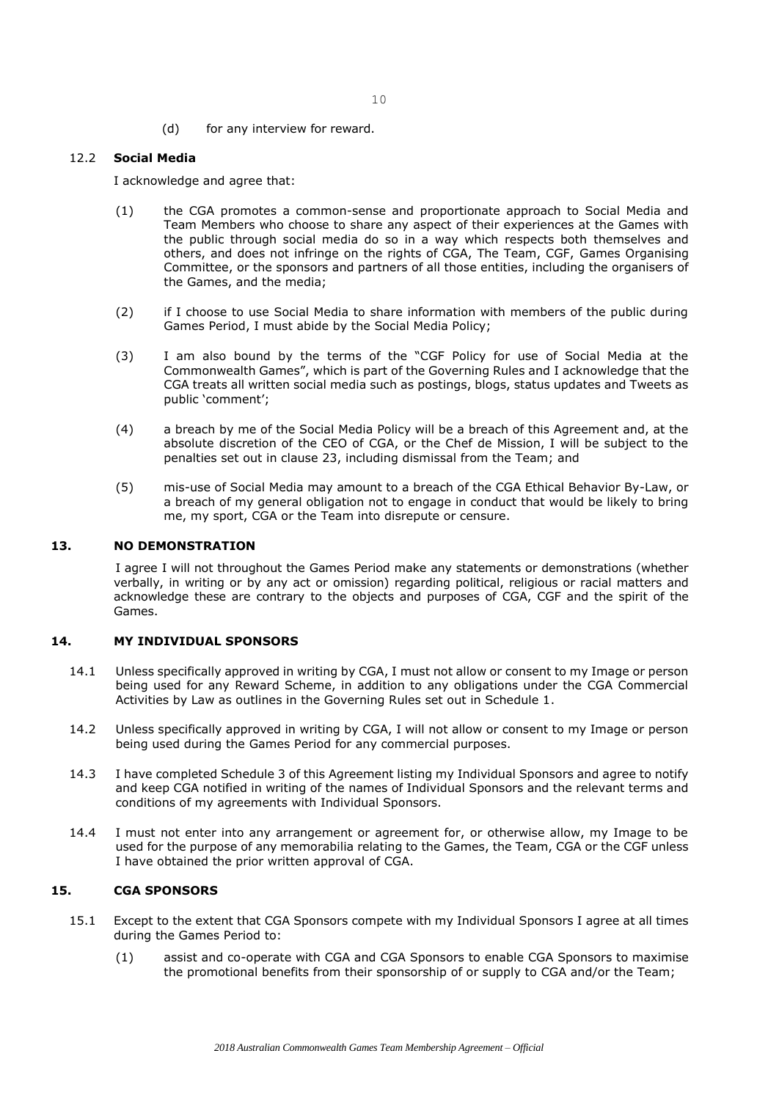(d) for any interview for reward.

### 12.2 **Social Media**

I acknowledge and agree that:

- (1) the CGA promotes a common-sense and proportionate approach to Social Media and Team Members who choose to share any aspect of their experiences at the Games with the public through social media do so in a way which respects both themselves and others, and does not infringe on the rights of CGA, The Team, CGF, Games Organising Committee, or the sponsors and partners of all those entities, including the organisers of the Games, and the media;
- (2) if I choose to use Social Media to share information with members of the public during Games Period, I must abide by the Social Media Policy;
- (3) I am also bound by the terms of the "CGF Policy for use of Social Media at the Commonwealth Games", which is part of the Governing Rules and I acknowledge that the CGA treats all written social media such as postings, blogs, status updates and Tweets as public 'comment';
- (4) a breach by me of the Social Media Policy will be a breach of this Agreement and, at the absolute discretion of the CEO of CGA, or the Chef de Mission, I will be subject to the penalties set out in clause 23, including dismissal from the Team; and
- (5) mis-use of Social Media may amount to a breach of the CGA Ethical Behavior By-Law, or a breach of my general obligation not to engage in conduct that would be likely to bring me, my sport, CGA or the Team into disrepute or censure.

#### **13. NO DEMONSTRATION**

I agree I will not throughout the Games Period make any statements or demonstrations (whether verbally, in writing or by any act or omission) regarding political, religious or racial matters and acknowledge these are contrary to the objects and purposes of CGA, CGF and the spirit of the Games.

### **14. MY INDIVIDUAL SPONSORS**

- 14.1 Unless specifically approved in writing by CGA, I must not allow or consent to my Image or person being used for any Reward Scheme, in addition to any obligations under the CGA Commercial Activities by Law as outlines in the Governing Rules set out in Schedule 1.
- 14.2 Unless specifically approved in writing by CGA, I will not allow or consent to my Image or person being used during the Games Period for any commercial purposes.
- 14.3 I have completed Schedule 3 of this Agreement listing my Individual Sponsors and agree to notify and keep CGA notified in writing of the names of Individual Sponsors and the relevant terms and conditions of my agreements with Individual Sponsors.
- 14.4 I must not enter into any arrangement or agreement for, or otherwise allow, my Image to be used for the purpose of any memorabilia relating to the Games, the Team, CGA or the CGF unless I have obtained the prior written approval of CGA.

#### **15. CGA SPONSORS**

- 15.1 Except to the extent that CGA Sponsors compete with my Individual Sponsors I agree at all times during the Games Period to:
	- (1) assist and co-operate with CGA and CGA Sponsors to enable CGA Sponsors to maximise the promotional benefits from their sponsorship of or supply to CGA and/or the Team;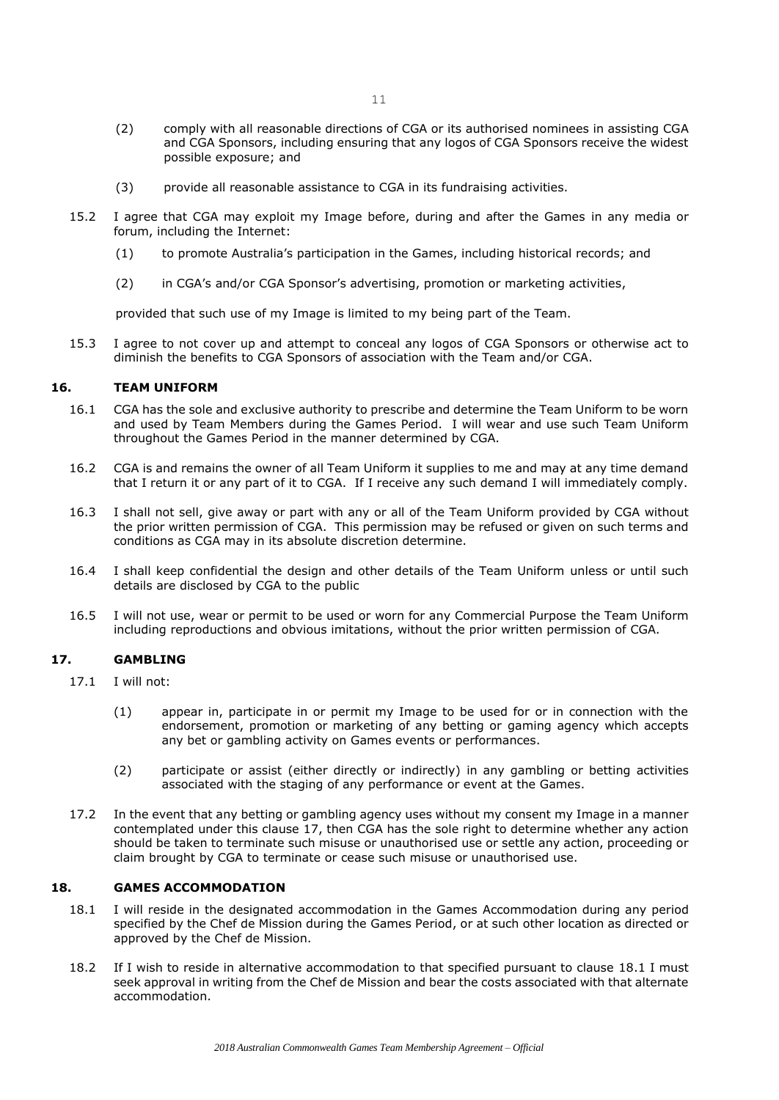- (2) comply with all reasonable directions of CGA or its authorised nominees in assisting CGA and CGA Sponsors, including ensuring that any logos of CGA Sponsors receive the widest possible exposure; and
- (3) provide all reasonable assistance to CGA in its fundraising activities.
- 15.2 I agree that CGA may exploit my Image before, during and after the Games in any media or forum, including the Internet:
	- (1) to promote Australia's participation in the Games, including historical records; and
	- (2) in CGA's and/or CGA Sponsor's advertising, promotion or marketing activities,

provided that such use of my Image is limited to my being part of the Team.

15.3 I agree to not cover up and attempt to conceal any logos of CGA Sponsors or otherwise act to diminish the benefits to CGA Sponsors of association with the Team and/or CGA.

### **16. TEAM UNIFORM**

- 16.1 CGA has the sole and exclusive authority to prescribe and determine the Team Uniform to be worn and used by Team Members during the Games Period. I will wear and use such Team Uniform throughout the Games Period in the manner determined by CGA.
- 16.2 CGA is and remains the owner of all Team Uniform it supplies to me and may at any time demand that I return it or any part of it to CGA. If I receive any such demand I will immediately comply.
- 16.3 I shall not sell, give away or part with any or all of the Team Uniform provided by CGA without the prior written permission of CGA. This permission may be refused or given on such terms and conditions as CGA may in its absolute discretion determine.
- 16.4 I shall keep confidential the design and other details of the Team Uniform unless or until such details are disclosed by CGA to the public
- 16.5 I will not use, wear or permit to be used or worn for any Commercial Purpose the Team Uniform including reproductions and obvious imitations, without the prior written permission of CGA.

## **17. GAMBLING**

- 17.1 I will not:
	- (1) appear in, participate in or permit my Image to be used for or in connection with the endorsement, promotion or marketing of any betting or gaming agency which accepts any bet or gambling activity on Games events or performances.
	- (2) participate or assist (either directly or indirectly) in any gambling or betting activities associated with the staging of any performance or event at the Games.
- 17.2 In the event that any betting or gambling agency uses without my consent my Image in a manner contemplated under this clause 17, then CGA has the sole right to determine whether any action should be taken to terminate such misuse or unauthorised use or settle any action, proceeding or claim brought by CGA to terminate or cease such misuse or unauthorised use.

## **18. GAMES ACCOMMODATION**

- 18.1 I will reside in the designated accommodation in the Games Accommodation during any period specified by the Chef de Mission during the Games Period, or at such other location as directed or approved by the Chef de Mission.
- 18.2 If I wish to reside in alternative accommodation to that specified pursuant to clause 18.1 I must seek approval in writing from the Chef de Mission and bear the costs associated with that alternate accommodation.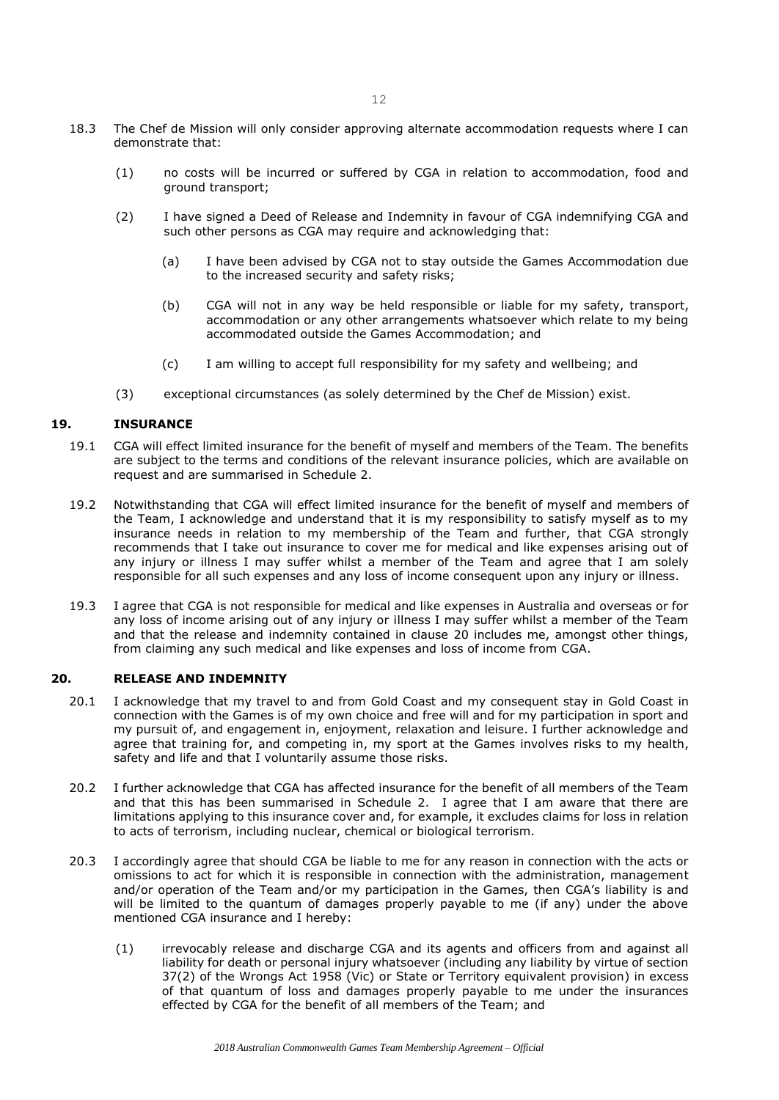- 18.3 The Chef de Mission will only consider approving alternate accommodation requests where I can demonstrate that:
	- (1) no costs will be incurred or suffered by CGA in relation to accommodation, food and ground transport;
	- (2) I have signed a Deed of Release and Indemnity in favour of CGA indemnifying CGA and such other persons as CGA may require and acknowledging that:
		- (a) I have been advised by CGA not to stay outside the Games Accommodation due to the increased security and safety risks;
		- (b) CGA will not in any way be held responsible or liable for my safety, transport, accommodation or any other arrangements whatsoever which relate to my being accommodated outside the Games Accommodation; and
		- (c) I am willing to accept full responsibility for my safety and wellbeing; and
	- (3) exceptional circumstances (as solely determined by the Chef de Mission) exist.

## **19. INSURANCE**

- 19.1 CGA will effect limited insurance for the benefit of myself and members of the Team. The benefits are subject to the terms and conditions of the relevant insurance policies, which are available on request and are summarised in Schedule 2.
- 19.2 Notwithstanding that CGA will effect limited insurance for the benefit of myself and members of the Team, I acknowledge and understand that it is my responsibility to satisfy myself as to my insurance needs in relation to my membership of the Team and further, that CGA strongly recommends that I take out insurance to cover me for medical and like expenses arising out of any injury or illness I may suffer whilst a member of the Team and agree that I am solely responsible for all such expenses and any loss of income consequent upon any injury or illness.
- 19.3 I agree that CGA is not responsible for medical and like expenses in Australia and overseas or for any loss of income arising out of any injury or illness I may suffer whilst a member of the Team and that the release and indemnity contained in clause 20 includes me, amongst other things, from claiming any such medical and like expenses and loss of income from CGA.

## **20. RELEASE AND INDEMNITY**

- 20.1 I acknowledge that my travel to and from Gold Coast and my consequent stay in Gold Coast in connection with the Games is of my own choice and free will and for my participation in sport and my pursuit of, and engagement in, enjoyment, relaxation and leisure. I further acknowledge and agree that training for, and competing in, my sport at the Games involves risks to my health, safety and life and that I voluntarily assume those risks.
- 20.2 I further acknowledge that CGA has affected insurance for the benefit of all members of the Team and that this has been summarised in Schedule 2. I agree that I am aware that there are limitations applying to this insurance cover and, for example, it excludes claims for loss in relation to acts of terrorism, including nuclear, chemical or biological terrorism.
- 20.3 I accordingly agree that should CGA be liable to me for any reason in connection with the acts or omissions to act for which it is responsible in connection with the administration, management and/or operation of the Team and/or my participation in the Games, then CGA's liability is and will be limited to the quantum of damages properly payable to me (if any) under the above mentioned CGA insurance and I hereby:
	- (1) irrevocably release and discharge CGA and its agents and officers from and against all liability for death or personal injury whatsoever (including any liability by virtue of section 37(2) of the Wrongs Act 1958 (Vic) or State or Territory equivalent provision) in excess of that quantum of loss and damages properly payable to me under the insurances effected by CGA for the benefit of all members of the Team; and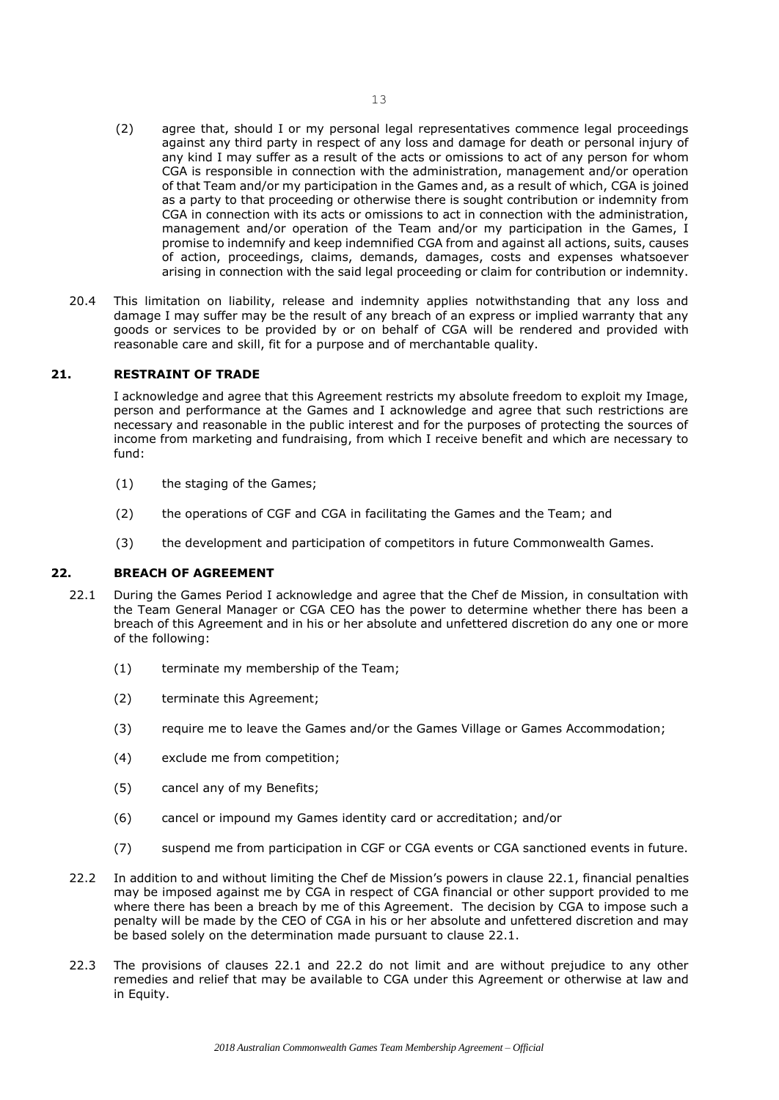- (2) agree that, should I or my personal legal representatives commence legal proceedings against any third party in respect of any loss and damage for death or personal injury of any kind I may suffer as a result of the acts or omissions to act of any person for whom CGA is responsible in connection with the administration, management and/or operation of that Team and/or my participation in the Games and, as a result of which, CGA is joined as a party to that proceeding or otherwise there is sought contribution or indemnity from CGA in connection with its acts or omissions to act in connection with the administration, management and/or operation of the Team and/or my participation in the Games, I promise to indemnify and keep indemnified CGA from and against all actions, suits, causes of action, proceedings, claims, demands, damages, costs and expenses whatsoever arising in connection with the said legal proceeding or claim for contribution or indemnity.
- 20.4 This limitation on liability, release and indemnity applies notwithstanding that any loss and damage I may suffer may be the result of any breach of an express or implied warranty that any goods or services to be provided by or on behalf of CGA will be rendered and provided with reasonable care and skill, fit for a purpose and of merchantable quality.

## **21. RESTRAINT OF TRADE**

I acknowledge and agree that this Agreement restricts my absolute freedom to exploit my Image, person and performance at the Games and I acknowledge and agree that such restrictions are necessary and reasonable in the public interest and for the purposes of protecting the sources of income from marketing and fundraising, from which I receive benefit and which are necessary to fund:

- (1) the staging of the Games;
- (2) the operations of CGF and CGA in facilitating the Games and the Team; and
- (3) the development and participation of competitors in future Commonwealth Games.

## **22. BREACH OF AGREEMENT**

- 22.1 During the Games Period I acknowledge and agree that the Chef de Mission, in consultation with the Team General Manager or CGA CEO has the power to determine whether there has been a breach of this Agreement and in his or her absolute and unfettered discretion do any one or more of the following:
	- (1) terminate my membership of the Team;
	- (2) terminate this Agreement;
	- (3) require me to leave the Games and/or the Games Village or Games Accommodation;
	- (4) exclude me from competition;
	- (5) cancel any of my Benefits;
	- (6) cancel or impound my Games identity card or accreditation; and/or
	- (7) suspend me from participation in CGF or CGA events or CGA sanctioned events in future.
- 22.2 In addition to and without limiting the Chef de Mission's powers in clause 22.1, financial penalties may be imposed against me by CGA in respect of CGA financial or other support provided to me where there has been a breach by me of this Agreement. The decision by CGA to impose such a penalty will be made by the CEO of CGA in his or her absolute and unfettered discretion and may be based solely on the determination made pursuant to clause 22.1.
- 22.3 The provisions of clauses 22.1 and 22.2 do not limit and are without prejudice to any other remedies and relief that may be available to CGA under this Agreement or otherwise at law and in Equity.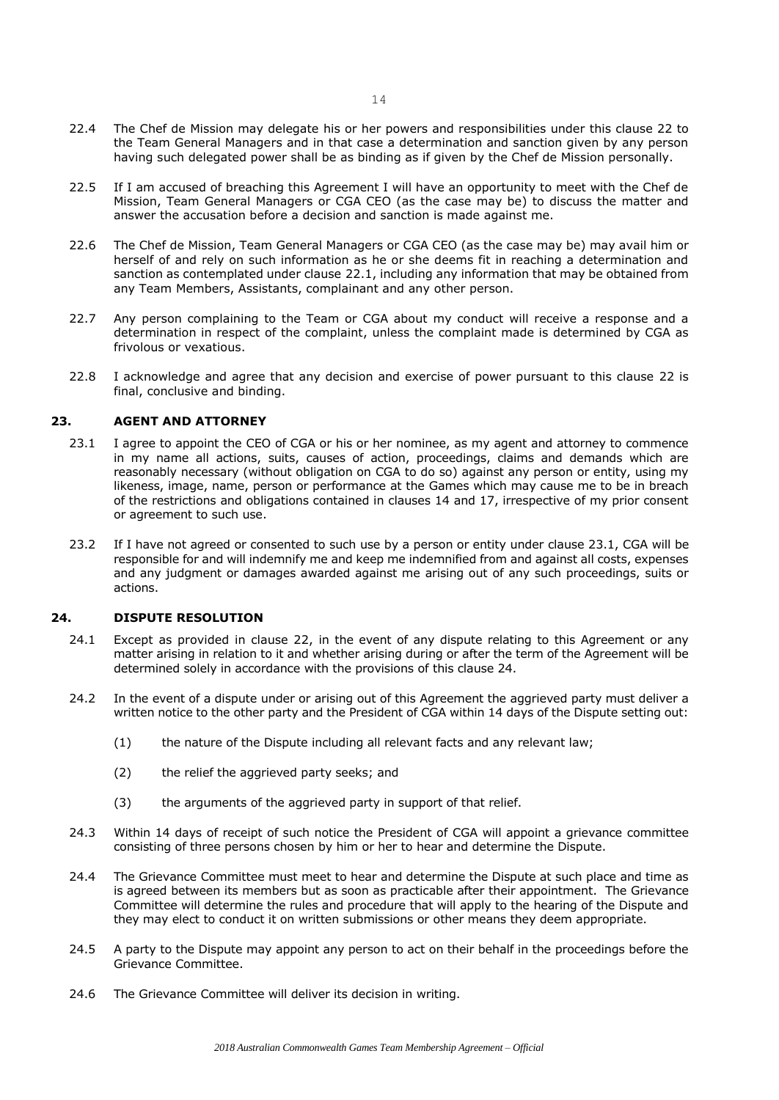- 22.4 The Chef de Mission may delegate his or her powers and responsibilities under this clause 22 to the Team General Managers and in that case a determination and sanction given by any person having such delegated power shall be as binding as if given by the Chef de Mission personally.
- 22.5 If I am accused of breaching this Agreement I will have an opportunity to meet with the Chef de Mission, Team General Managers or CGA CEO (as the case may be) to discuss the matter and answer the accusation before a decision and sanction is made against me.
- 22.6 The Chef de Mission, Team General Managers or CGA CEO (as the case may be) may avail him or herself of and rely on such information as he or she deems fit in reaching a determination and sanction as contemplated under clause 22.1, including any information that may be obtained from any Team Members, Assistants, complainant and any other person.
- 22.7 Any person complaining to the Team or CGA about my conduct will receive a response and a determination in respect of the complaint, unless the complaint made is determined by CGA as frivolous or vexatious.
- 22.8 I acknowledge and agree that any decision and exercise of power pursuant to this clause 22 is final, conclusive and binding.

### **23. AGENT AND ATTORNEY**

- 23.1 I agree to appoint the CEO of CGA or his or her nominee, as my agent and attorney to commence in my name all actions, suits, causes of action, proceedings, claims and demands which are reasonably necessary (without obligation on CGA to do so) against any person or entity, using my likeness, image, name, person or performance at the Games which may cause me to be in breach of the restrictions and obligations contained in clauses 14 and 17, irrespective of my prior consent or agreement to such use.
- 23.2 If I have not agreed or consented to such use by a person or entity under clause 23.1, CGA will be responsible for and will indemnify me and keep me indemnified from and against all costs, expenses and any judgment or damages awarded against me arising out of any such proceedings, suits or actions.

## **24. DISPUTE RESOLUTION**

- 24.1 Except as provided in clause 22, in the event of any dispute relating to this Agreement or any matter arising in relation to it and whether arising during or after the term of the Agreement will be determined solely in accordance with the provisions of this clause 24.
- 24.2 In the event of a dispute under or arising out of this Agreement the aggrieved party must deliver a written notice to the other party and the President of CGA within 14 days of the Dispute setting out:
	- (1) the nature of the Dispute including all relevant facts and any relevant law;
	- (2) the relief the aggrieved party seeks; and
	- (3) the arguments of the aggrieved party in support of that relief.
- 24.3 Within 14 days of receipt of such notice the President of CGA will appoint a grievance committee consisting of three persons chosen by him or her to hear and determine the Dispute.
- 24.4 The Grievance Committee must meet to hear and determine the Dispute at such place and time as is agreed between its members but as soon as practicable after their appointment. The Grievance Committee will determine the rules and procedure that will apply to the hearing of the Dispute and they may elect to conduct it on written submissions or other means they deem appropriate.
- 24.5 A party to the Dispute may appoint any person to act on their behalf in the proceedings before the Grievance Committee.
- 24.6 The Grievance Committee will deliver its decision in writing.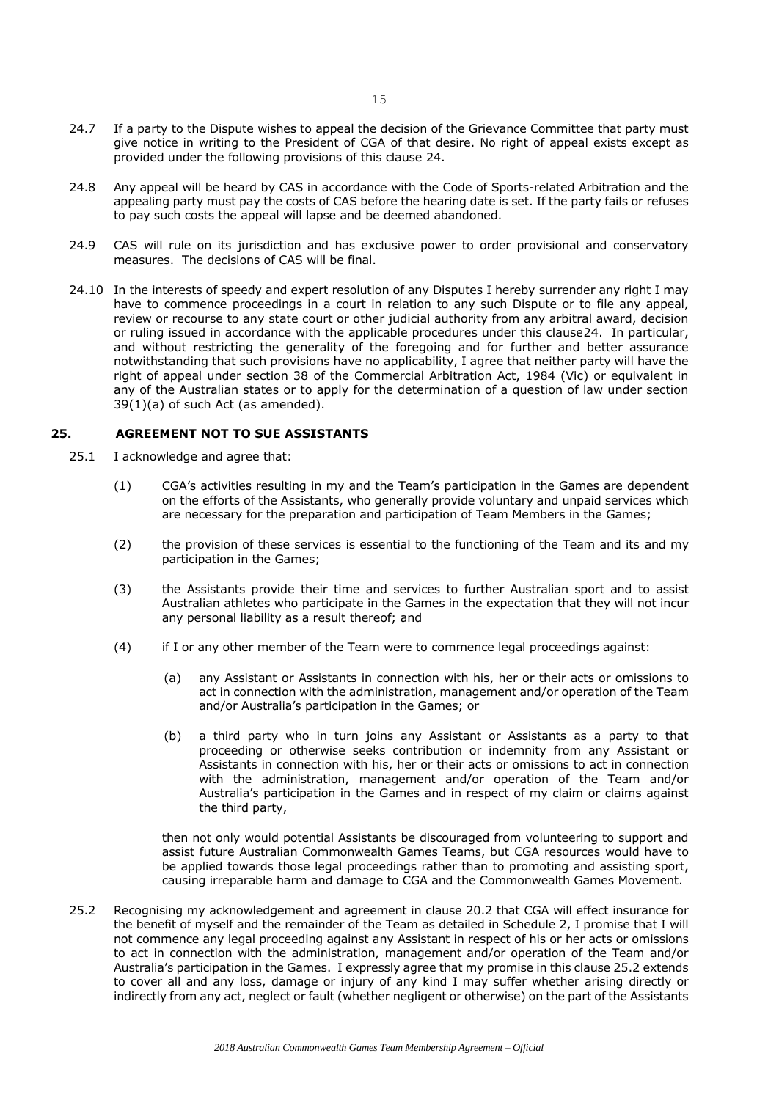- 24.7 If a party to the Dispute wishes to appeal the decision of the Grievance Committee that party must give notice in writing to the President of CGA of that desire. No right of appeal exists except as provided under the following provisions of this clause 24.
- 24.8 Any appeal will be heard by CAS in accordance with the Code of Sports-related Arbitration and the appealing party must pay the costs of CAS before the hearing date is set. If the party fails or refuses to pay such costs the appeal will lapse and be deemed abandoned.
- 24.9 CAS will rule on its jurisdiction and has exclusive power to order provisional and conservatory measures. The decisions of CAS will be final.
- 24.10 In the interests of speedy and expert resolution of any Disputes I hereby surrender any right I may have to commence proceedings in a court in relation to any such Dispute or to file any appeal, review or recourse to any state court or other judicial authority from any arbitral award, decision or ruling issued in accordance with the applicable procedures under this clause24. In particular, and without restricting the generality of the foregoing and for further and better assurance notwithstanding that such provisions have no applicability, I agree that neither party will have the right of appeal under section 38 of the Commercial Arbitration Act, 1984 (Vic) or equivalent in any of the Australian states or to apply for the determination of a question of law under section  $39(1)(a)$  of such Act (as amended).

## **25. AGREEMENT NOT TO SUE ASSISTANTS**

- 25.1 I acknowledge and agree that:
	- (1) CGA's activities resulting in my and the Team's participation in the Games are dependent on the efforts of the Assistants, who generally provide voluntary and unpaid services which are necessary for the preparation and participation of Team Members in the Games;
	- (2) the provision of these services is essential to the functioning of the Team and its and my participation in the Games;
	- (3) the Assistants provide their time and services to further Australian sport and to assist Australian athletes who participate in the Games in the expectation that they will not incur any personal liability as a result thereof; and
	- (4) if I or any other member of the Team were to commence legal proceedings against:
		- (a) any Assistant or Assistants in connection with his, her or their acts or omissions to act in connection with the administration, management and/or operation of the Team and/or Australia's participation in the Games; or
		- (b) a third party who in turn joins any Assistant or Assistants as a party to that proceeding or otherwise seeks contribution or indemnity from any Assistant or Assistants in connection with his, her or their acts or omissions to act in connection with the administration, management and/or operation of the Team and/or Australia's participation in the Games and in respect of my claim or claims against the third party,

then not only would potential Assistants be discouraged from volunteering to support and assist future Australian Commonwealth Games Teams, but CGA resources would have to be applied towards those legal proceedings rather than to promoting and assisting sport, causing irreparable harm and damage to CGA and the Commonwealth Games Movement.

25.2 Recognising my acknowledgement and agreement in clause 20.2 that CGA will effect insurance for the benefit of myself and the remainder of the Team as detailed in Schedule 2, I promise that I will not commence any legal proceeding against any Assistant in respect of his or her acts or omissions to act in connection with the administration, management and/or operation of the Team and/or Australia's participation in the Games. I expressly agree that my promise in this clause 25.2 extends to cover all and any loss, damage or injury of any kind I may suffer whether arising directly or indirectly from any act, neglect or fault (whether negligent or otherwise) on the part of the Assistants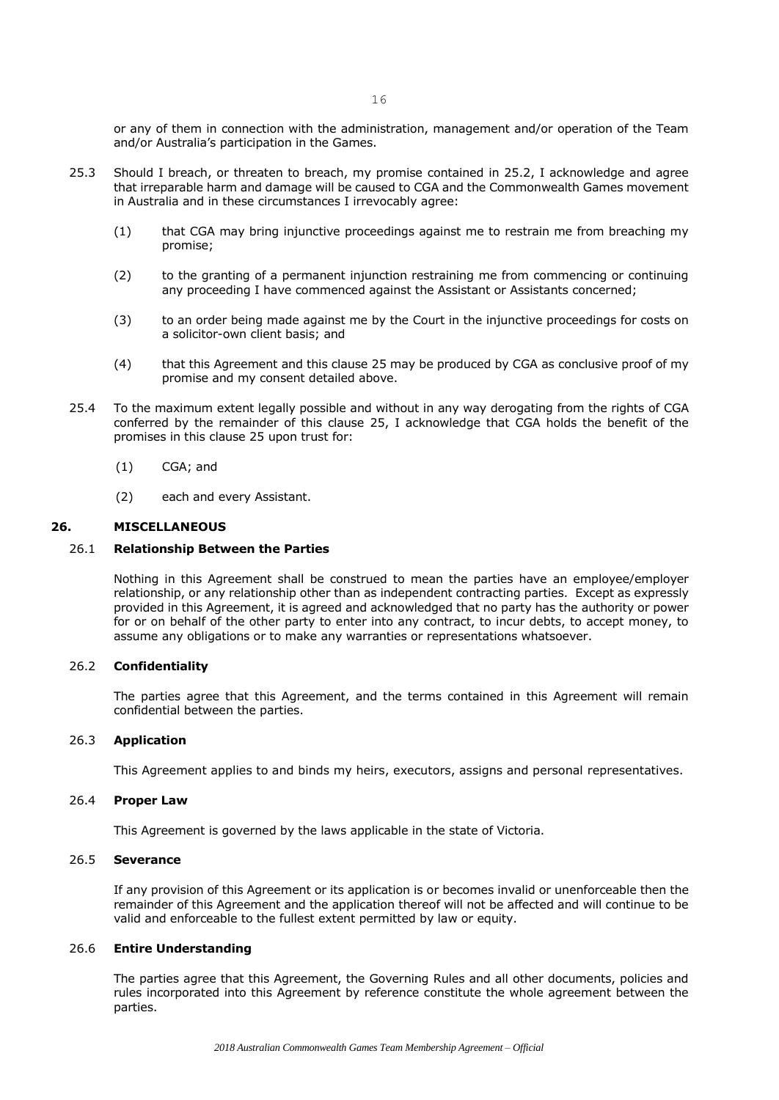or any of them in connection with the administration, management and/or operation of the Team and/or Australia's participation in the Games.

- 25.3 Should I breach, or threaten to breach, my promise contained in 25.2, I acknowledge and agree that irreparable harm and damage will be caused to CGA and the Commonwealth Games movement in Australia and in these circumstances I irrevocably agree:
	- (1) that CGA may bring injunctive proceedings against me to restrain me from breaching my promise;
	- (2) to the granting of a permanent injunction restraining me from commencing or continuing any proceeding I have commenced against the Assistant or Assistants concerned;
	- (3) to an order being made against me by the Court in the injunctive proceedings for costs on a solicitor-own client basis; and
	- (4) that this Agreement and this clause 25 may be produced by CGA as conclusive proof of my promise and my consent detailed above.
- 25.4 To the maximum extent legally possible and without in any way derogating from the rights of CGA conferred by the remainder of this clause 25, I acknowledge that CGA holds the benefit of the promises in this clause 25 upon trust for:
	- (1) CGA; and
	- (2) each and every Assistant.

#### **26. MISCELLANEOUS**

#### 26.1 **Relationship Between the Parties**

Nothing in this Agreement shall be construed to mean the parties have an employee/employer relationship, or any relationship other than as independent contracting parties. Except as expressly provided in this Agreement, it is agreed and acknowledged that no party has the authority or power for or on behalf of the other party to enter into any contract, to incur debts, to accept money, to assume any obligations or to make any warranties or representations whatsoever.

## 26.2 **Confidentiality**

The parties agree that this Agreement, and the terms contained in this Agreement will remain confidential between the parties.

### 26.3 **Application**

This Agreement applies to and binds my heirs, executors, assigns and personal representatives.

#### 26.4 **Proper Law**

This Agreement is governed by the laws applicable in the state of Victoria.

#### 26.5 **Severance**

If any provision of this Agreement or its application is or becomes invalid or unenforceable then the remainder of this Agreement and the application thereof will not be affected and will continue to be valid and enforceable to the fullest extent permitted by law or equity.

## 26.6 **Entire Understanding**

The parties agree that this Agreement, the Governing Rules and all other documents, policies and rules incorporated into this Agreement by reference constitute the whole agreement between the parties.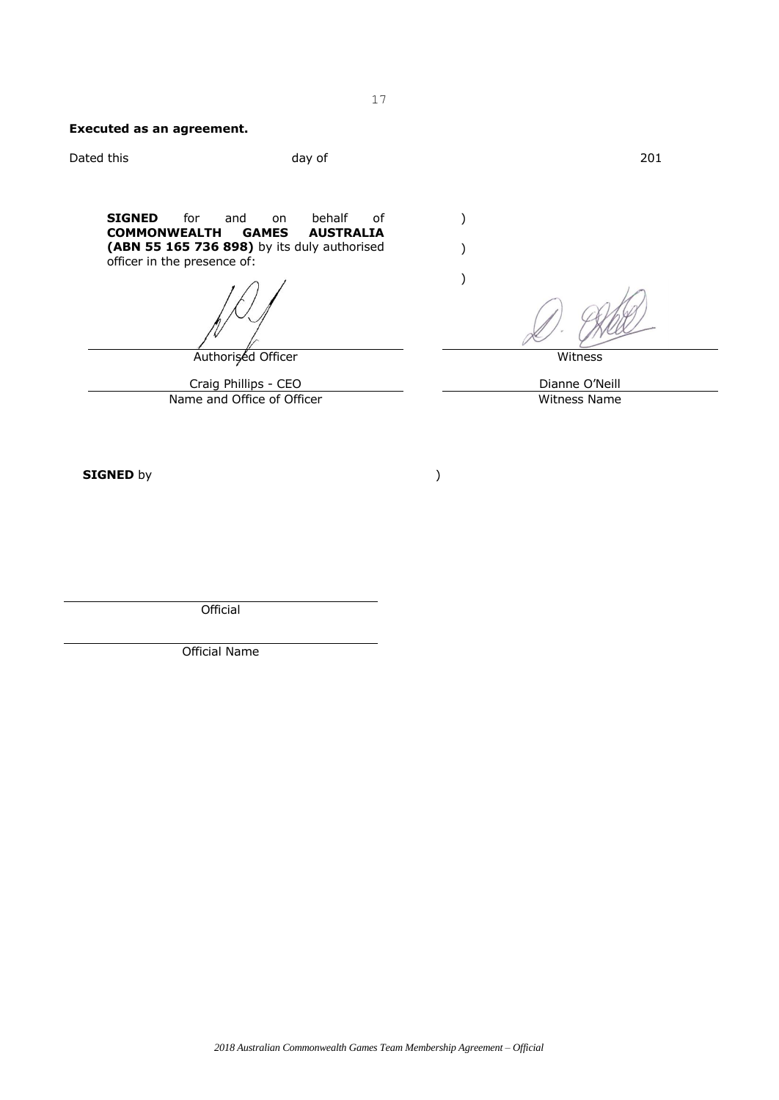## **Executed as an agreement.**

| day of                                                                                                | 201                                        |
|-------------------------------------------------------------------------------------------------------|--------------------------------------------|
| behalf<br>0f<br>on<br><b>GAMES</b><br><b>AUSTRALIA</b><br>(ABN 55 165 736 898) by its duly authorised | Witness                                    |
|                                                                                                       | Dianne O'Neill                             |
| Name and Office of Officer                                                                            | Witness Name                               |
|                                                                                                       |                                            |
|                                                                                                       | Authorised Officer<br>Craig Phillips - CEO |

**Official** 

Official Name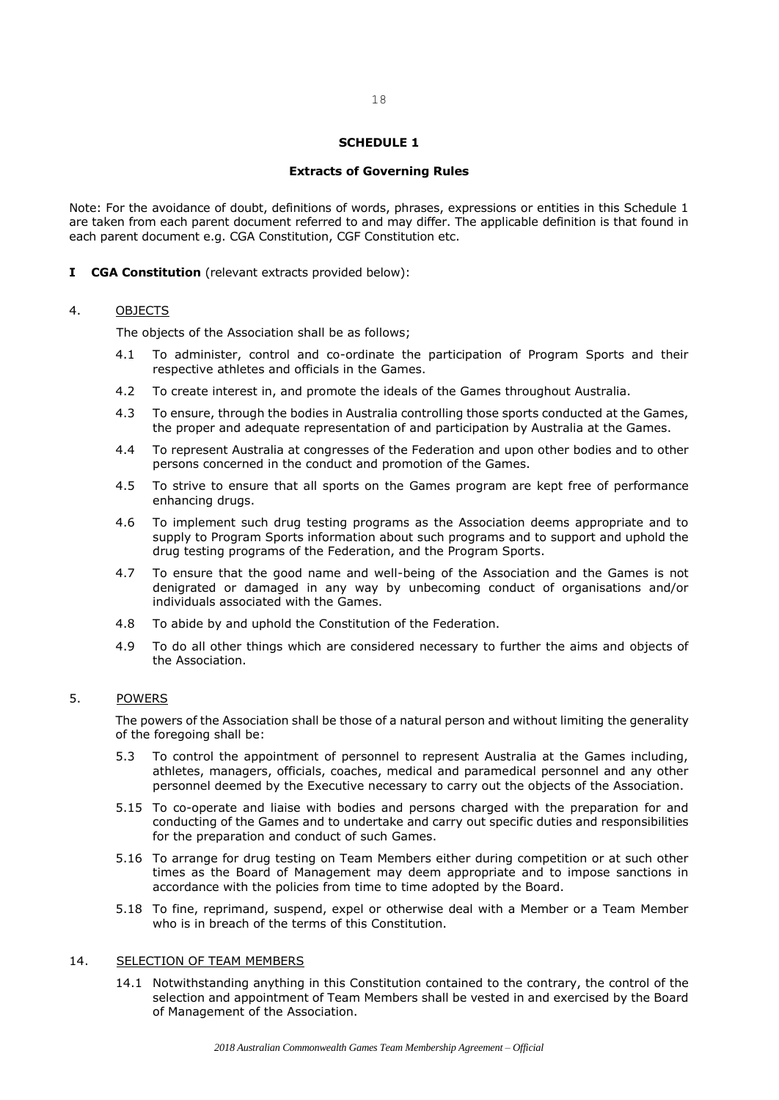#### **Extracts of Governing Rules**

Note: For the avoidance of doubt, definitions of words, phrases, expressions or entities in this Schedule 1 are taken from each parent document referred to and may differ. The applicable definition is that found in each parent document e.g. CGA Constitution, CGF Constitution etc.

**I CGA Constitution** (relevant extracts provided below):

#### 4. OBJECTS

The objects of the Association shall be as follows;

- 4.1 To administer, control and co-ordinate the participation of Program Sports and their respective athletes and officials in the Games.
- 4.2 To create interest in, and promote the ideals of the Games throughout Australia.
- 4.3 To ensure, through the bodies in Australia controlling those sports conducted at the Games, the proper and adequate representation of and participation by Australia at the Games.
- 4.4 To represent Australia at congresses of the Federation and upon other bodies and to other persons concerned in the conduct and promotion of the Games.
- 4.5 To strive to ensure that all sports on the Games program are kept free of performance enhancing drugs.
- 4.6 To implement such drug testing programs as the Association deems appropriate and to supply to Program Sports information about such programs and to support and uphold the drug testing programs of the Federation, and the Program Sports.
- 4.7 To ensure that the good name and well-being of the Association and the Games is not denigrated or damaged in any way by unbecoming conduct of organisations and/or individuals associated with the Games.
- 4.8 To abide by and uphold the Constitution of the Federation.
- 4.9 To do all other things which are considered necessary to further the aims and objects of the Association.

## 5. POWERS

The powers of the Association shall be those of a natural person and without limiting the generality of the foregoing shall be:

- 5.3 To control the appointment of personnel to represent Australia at the Games including, athletes, managers, officials, coaches, medical and paramedical personnel and any other personnel deemed by the Executive necessary to carry out the objects of the Association.
- 5.15 To co-operate and liaise with bodies and persons charged with the preparation for and conducting of the Games and to undertake and carry out specific duties and responsibilities for the preparation and conduct of such Games.
- 5.16 To arrange for drug testing on Team Members either during competition or at such other times as the Board of Management may deem appropriate and to impose sanctions in accordance with the policies from time to time adopted by the Board.
- 5.18 To fine, reprimand, suspend, expel or otherwise deal with a Member or a Team Member who is in breach of the terms of this Constitution.

#### 14. SELECTION OF TEAM MEMBERS

14.1 Notwithstanding anything in this Constitution contained to the contrary, the control of the selection and appointment of Team Members shall be vested in and exercised by the Board of Management of the Association.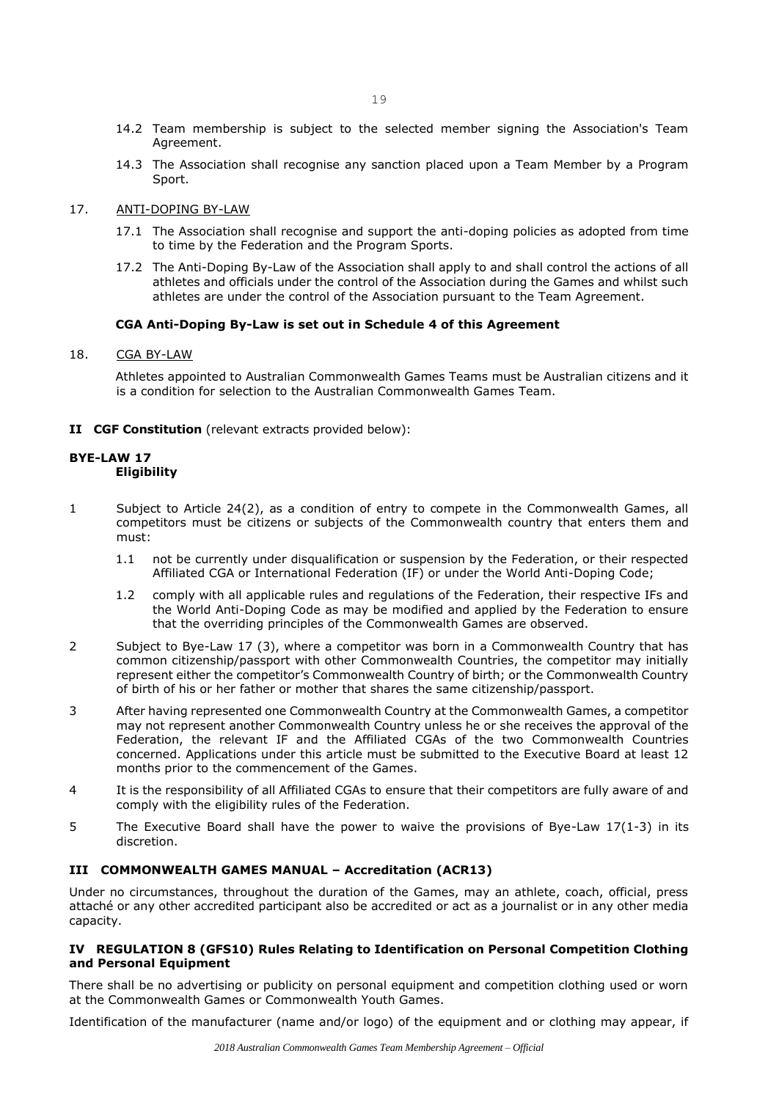- 14.2 Team membership is subject to the selected member signing the Association's Team Agreement.
- 14.3 The Association shall recognise any sanction placed upon a Team Member by a Program Sport.
- 17. ANTI-DOPING BY-LAW
	- 17.1 The Association shall recognise and support the anti-doping policies as adopted from time to time by the Federation and the Program Sports.
	- 17.2 The Anti-Doping By-Law of the Association shall apply to and shall control the actions of all athletes and officials under the control of the Association during the Games and whilst such athletes are under the control of the Association pursuant to the Team Agreement.

## **CGA Anti-Doping By-Law is set out in Schedule 4 of this Agreement**

18. CGA BY-LAW

Athletes appointed to Australian Commonwealth Games Teams must be Australian citizens and it is a condition for selection to the Australian Commonwealth Games Team.

**II CGF Constitution** (relevant extracts provided below):

## **BYE-LAW 17 Eligibility**

- 1 Subject to Article 24(2), as a condition of entry to compete in the Commonwealth Games, all competitors must be citizens or subjects of the Commonwealth country that enters them and must:
	- 1.1 not be currently under disqualification or suspension by the Federation, or their respected Affiliated CGA or International Federation (IF) or under the World Anti-Doping Code;
	- 1.2 comply with all applicable rules and regulations of the Federation, their respective IFs and the World Anti-Doping Code as may be modified and applied by the Federation to ensure that the overriding principles of the Commonwealth Games are observed.
- 2 Subject to Bye-Law 17 (3), where a competitor was born in a Commonwealth Country that has common citizenship/passport with other Commonwealth Countries, the competitor may initially represent either the competitor's Commonwealth Country of birth; or the Commonwealth Country of birth of his or her father or mother that shares the same citizenship/passport.
- 3 After having represented one Commonwealth Country at the Commonwealth Games, a competitor may not represent another Commonwealth Country unless he or she receives the approval of the Federation, the relevant IF and the Affiliated CGAs of the two Commonwealth Countries concerned. Applications under this article must be submitted to the Executive Board at least 12 months prior to the commencement of the Games.
- 4 It is the responsibility of all Affiliated CGAs to ensure that their competitors are fully aware of and comply with the eligibility rules of the Federation.
- 5 The Executive Board shall have the power to waive the provisions of Bye-Law 17(1-3) in its discretion.

## **III COMMONWEALTH GAMES MANUAL – Accreditation (ACR13)**

Under no circumstances, throughout the duration of the Games, may an athlete, coach, official, press attaché or any other accredited participant also be accredited or act as a journalist or in any other media capacity.

## **IV REGULATION 8 (GFS10) Rules Relating to Identification on Personal Competition Clothing and Personal Equipment**

There shall be no advertising or publicity on personal equipment and competition clothing used or worn at the Commonwealth Games or Commonwealth Youth Games.

Identification of the manufacturer (name and/or logo) of the equipment and or clothing may appear, if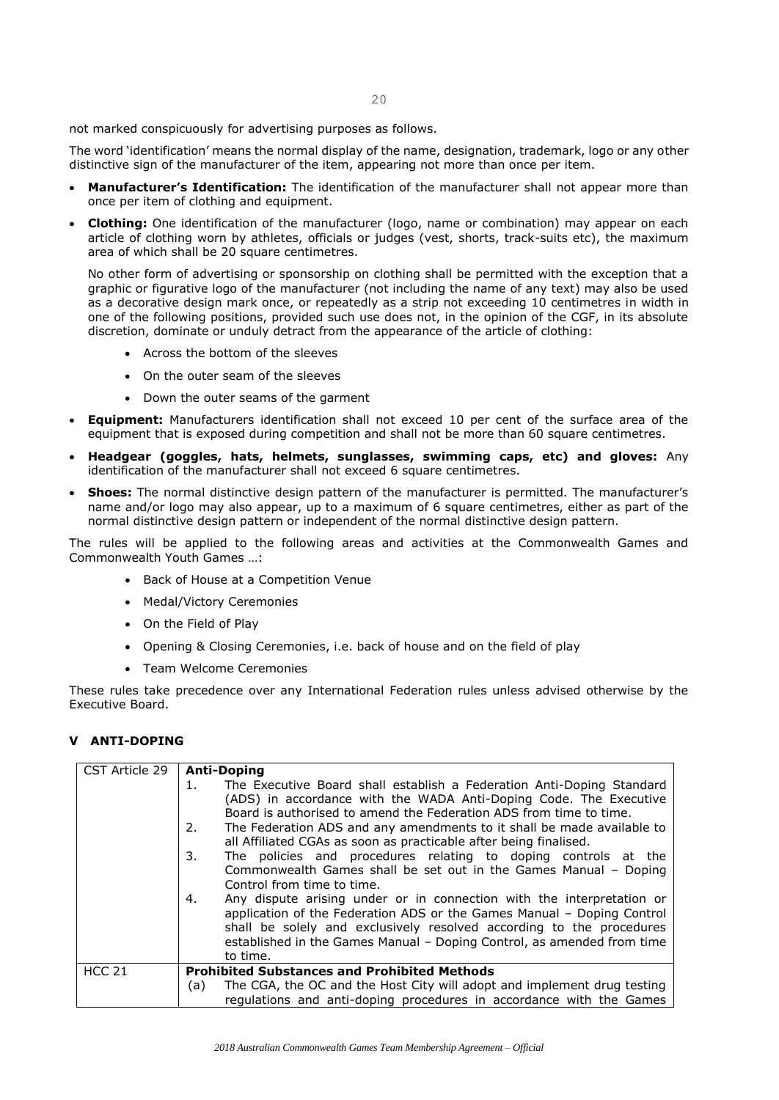20

not marked conspicuously for advertising purposes as follows.

The word 'identification' means the normal display of the name, designation, trademark, logo or any other distinctive sign of the manufacturer of the item, appearing not more than once per item.

- **Manufacturer's Identification:** The identification of the manufacturer shall not appear more than once per item of clothing and equipment.
- **Clothing:** One identification of the manufacturer (logo, name or combination) may appear on each article of clothing worn by athletes, officials or judges (vest, shorts, track-suits etc), the maximum area of which shall be 20 square centimetres.

No other form of advertising or sponsorship on clothing shall be permitted with the exception that a graphic or figurative logo of the manufacturer (not including the name of any text) may also be used as a decorative design mark once, or repeatedly as a strip not exceeding 10 centimetres in width in one of the following positions, provided such use does not, in the opinion of the CGF, in its absolute discretion, dominate or unduly detract from the appearance of the article of clothing:

- Across the bottom of the sleeves
- On the outer seam of the sleeves
- Down the outer seams of the garment
- **Equipment:** Manufacturers identification shall not exceed 10 per cent of the surface area of the equipment that is exposed during competition and shall not be more than 60 square centimetres.
- **Headgear (goggles, hats, helmets, sunglasses, swimming caps, etc) and gloves:** Any identification of the manufacturer shall not exceed 6 square centimetres.
- **Shoes:** The normal distinctive design pattern of the manufacturer is permitted. The manufacturer's name and/or logo may also appear, up to a maximum of 6 square centimetres, either as part of the normal distinctive design pattern or independent of the normal distinctive design pattern.

The rules will be applied to the following areas and activities at the Commonwealth Games and Commonwealth Youth Games …:

- Back of House at a Competition Venue
- Medal/Victory Ceremonies
- On the Field of Play
- Opening & Closing Ceremonies, i.e. back of house and on the field of play
- Team Welcome Ceremonies

These rules take precedence over any International Federation rules unless advised otherwise by the Executive Board.

#### **V ANTI-DOPING**

| CST Article 29 | <b>Anti-Doping</b>                                                               |
|----------------|----------------------------------------------------------------------------------|
|                | The Executive Board shall establish a Federation Anti-Doping Standard<br>$1_{-}$ |
|                | (ADS) in accordance with the WADA Anti-Doping Code. The Executive                |
|                | Board is authorised to amend the Federation ADS from time to time.               |
|                | The Federation ADS and any amendments to it shall be made available to<br>2.     |
|                | all Affiliated CGAs as soon as practicable after being finalised.                |
|                | The policies and procedures relating to doping controls at the<br>3.             |
|                | Commonwealth Games shall be set out in the Games Manual - Doping                 |
|                | Control from time to time.                                                       |
|                | Any dispute arising under or in connection with the interpretation or<br>4.      |
|                | application of the Federation ADS or the Games Manual - Doping Control           |
|                | shall be solely and exclusively resolved according to the procedures             |
|                | established in the Games Manual - Doping Control, as amended from time           |
|                | to time.                                                                         |
| <b>HCC 21</b>  | <b>Prohibited Substances and Prohibited Methods</b>                              |
|                | The CGA, the OC and the Host City will adopt and implement drug testing<br>(a)   |
|                | requlations and anti-doping procedures in accordance with the Games              |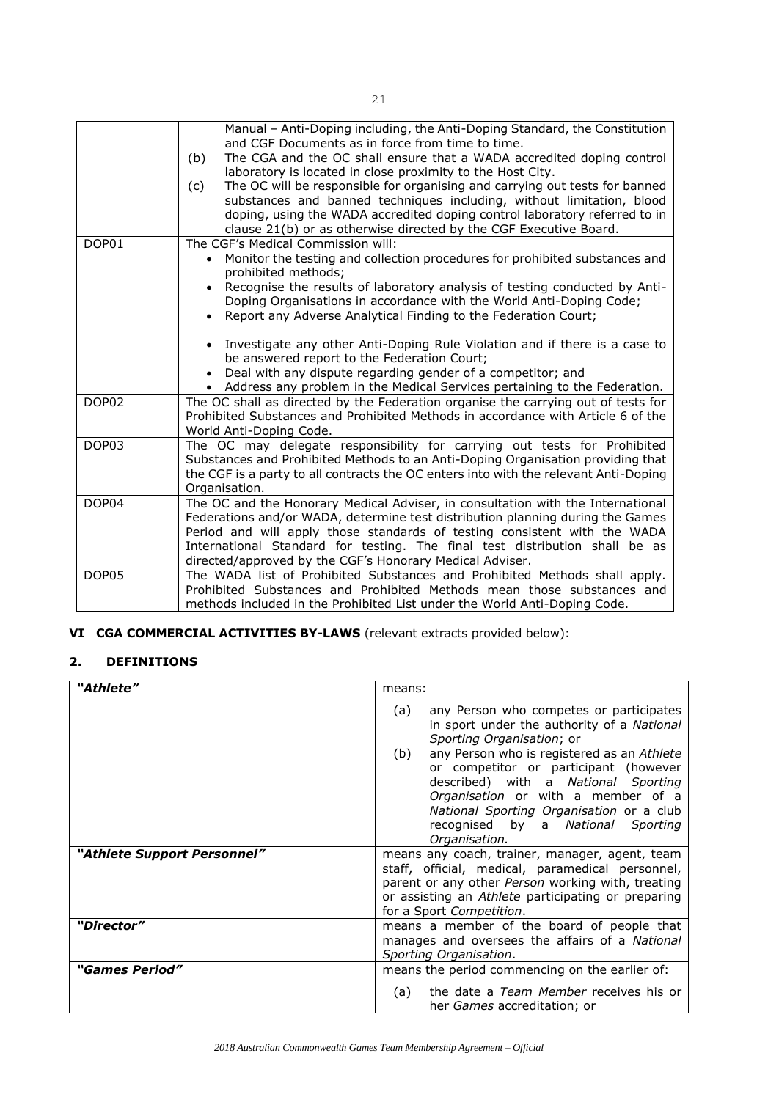|                   | Manual - Anti-Doping including, the Anti-Doping Standard, the Constitution<br>and CGF Documents as in force from time to time.                       |
|-------------------|------------------------------------------------------------------------------------------------------------------------------------------------------|
|                   | The CGA and the OC shall ensure that a WADA accredited doping control<br>(b)<br>laboratory is located in close proximity to the Host City.           |
|                   | The OC will be responsible for organising and carrying out tests for banned<br>(c)                                                                   |
|                   | substances and banned techniques including, without limitation, blood<br>doping, using the WADA accredited doping control laboratory referred to in  |
|                   | clause 21(b) or as otherwise directed by the CGF Executive Board.                                                                                    |
| DOP01             | The CGF's Medical Commission will:                                                                                                                   |
|                   | Monitor the testing and collection procedures for prohibited substances and<br>prohibited methods;                                                   |
|                   | Recognise the results of laboratory analysis of testing conducted by Anti-                                                                           |
|                   | Doping Organisations in accordance with the World Anti-Doping Code;                                                                                  |
|                   | Report any Adverse Analytical Finding to the Federation Court;<br>$\bullet$                                                                          |
|                   |                                                                                                                                                      |
|                   | Investigate any other Anti-Doping Rule Violation and if there is a case to<br>$\bullet$<br>be answered report to the Federation Court;               |
|                   | Deal with any dispute regarding gender of a competitor; and                                                                                          |
|                   | • Address any problem in the Medical Services pertaining to the Federation.                                                                          |
| DOP <sub>02</sub> | The OC shall as directed by the Federation organise the carrying out of tests for                                                                    |
|                   | Prohibited Substances and Prohibited Methods in accordance with Article 6 of the                                                                     |
|                   | World Anti-Doping Code.                                                                                                                              |
| DOP03             | The OC may delegate responsibility for carrying out tests for Prohibited                                                                             |
|                   | Substances and Prohibited Methods to an Anti-Doping Organisation providing that                                                                      |
|                   | the CGF is a party to all contracts the OC enters into with the relevant Anti-Doping                                                                 |
|                   | Organisation.                                                                                                                                        |
| DOP04             | The OC and the Honorary Medical Adviser, in consultation with the International                                                                      |
|                   | Federations and/or WADA, determine test distribution planning during the Games                                                                       |
|                   | Period and will apply those standards of testing consistent with the WADA                                                                            |
|                   | International Standard for testing. The final test distribution shall be as                                                                          |
|                   | directed/approved by the CGF's Honorary Medical Adviser.                                                                                             |
| DOP05             | The WADA list of Prohibited Substances and Prohibited Methods shall apply.<br>Prohibited Substances and Prohibited Methods mean those substances and |
|                   |                                                                                                                                                      |
|                   | methods included in the Prohibited List under the World Anti-Doping Code.                                                                            |

# **VI CGA COMMERCIAL ACTIVITIES BY-LAWS** (relevant extracts provided below):

## **2. DEFINITIONS**

| "Athlete"                          | means:                                                                                                                                                                                                                                                                                                                                                                                                    |
|------------------------------------|-----------------------------------------------------------------------------------------------------------------------------------------------------------------------------------------------------------------------------------------------------------------------------------------------------------------------------------------------------------------------------------------------------------|
|                                    | any Person who competes or participates<br>(a)<br>in sport under the authority of a National<br>Sporting Organisation; or<br>any Person who is registered as an Athlete<br>(b)<br>or competitor or participant (however<br>described) with a National Sporting<br>Organisation or with a member of a<br>National Sporting Organisation or a club<br>recognised by a National<br>Sporting<br>Organisation. |
| <i>"Athlete Support Personnel"</i> | means any coach, trainer, manager, agent, team<br>staff, official, medical, paramedical personnel,<br>parent or any other Person working with, treating<br>or assisting an Athlete participating or preparing<br>for a Sport Competition.                                                                                                                                                                 |
| "Director"                         | means a member of the board of people that<br>manages and oversees the affairs of a National<br>Sporting Organisation.                                                                                                                                                                                                                                                                                    |
| <i>"Games Period"</i>              | means the period commencing on the earlier of:<br>the date a Team Member receives his or<br>(a)<br>her <i>Games</i> accreditation; or                                                                                                                                                                                                                                                                     |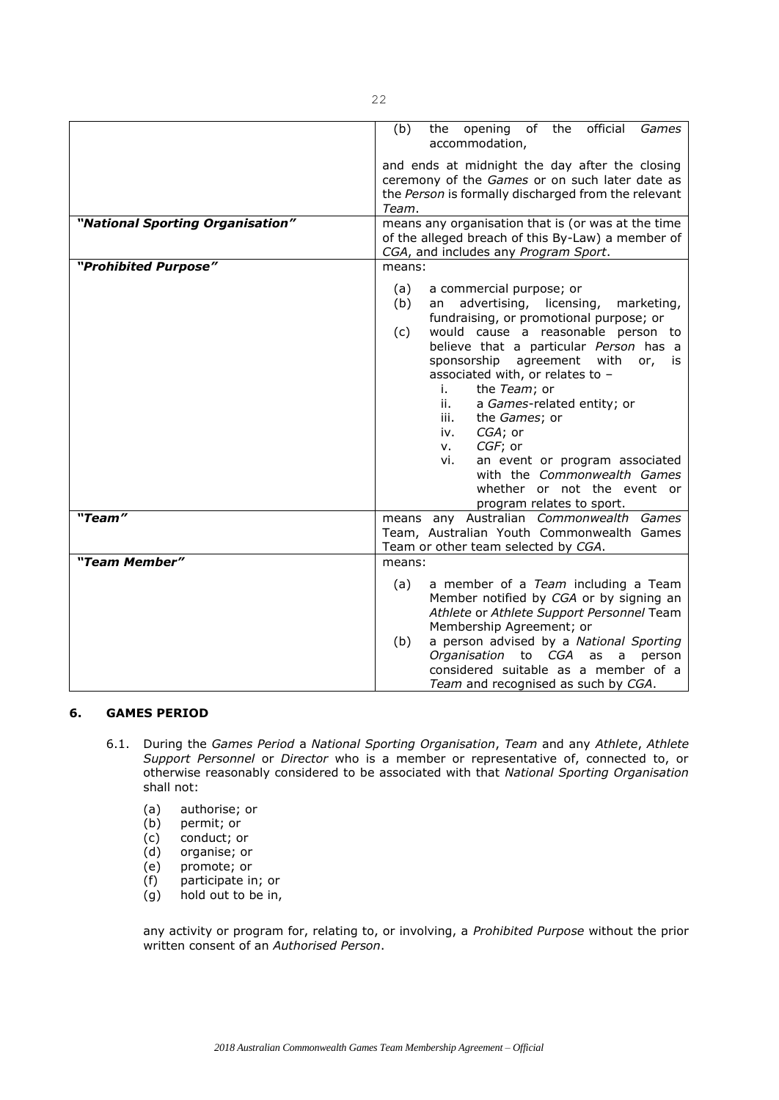|                                  | the opening of the official<br>(b)<br>Games<br>accommodation,                                                                                                                                                                                                                                                                                                                                                                                                                                                                                                           |
|----------------------------------|-------------------------------------------------------------------------------------------------------------------------------------------------------------------------------------------------------------------------------------------------------------------------------------------------------------------------------------------------------------------------------------------------------------------------------------------------------------------------------------------------------------------------------------------------------------------------|
|                                  | and ends at midnight the day after the closing<br>ceremony of the Games or on such later date as<br>the Person is formally discharged from the relevant<br>Team.                                                                                                                                                                                                                                                                                                                                                                                                        |
| "National Sporting Organisation" | means any organisation that is (or was at the time<br>of the alleged breach of this By-Law) a member of<br>CGA, and includes any Program Sport.                                                                                                                                                                                                                                                                                                                                                                                                                         |
| "Prohibited Purpose"             | means:                                                                                                                                                                                                                                                                                                                                                                                                                                                                                                                                                                  |
|                                  | (a)<br>a commercial purpose; or<br>advertising,<br>licensing,<br>(b)<br>marketing,<br>an<br>fundraising, or promotional purpose; or<br>would cause a reasonable person to<br>(c)<br>believe that a particular Person has a<br>sponsorship agreement<br>with<br>or,<br>is<br>associated with, or relates to -<br>the Team; or<br>i.<br>ii.<br>a Games-related entity; or<br>iii.<br>the Games; or<br>CGA; or<br>iv.<br>CGF; or<br>V.<br>an event or program associated<br>vi.<br>with the Commonwealth Games<br>whether or not the event or<br>program relates to sport. |
| "Team"                           | means any Australian Commonwealth Games<br>Team, Australian Youth Commonwealth Games<br>Team or other team selected by CGA.                                                                                                                                                                                                                                                                                                                                                                                                                                             |
| "Team Member"                    | means:                                                                                                                                                                                                                                                                                                                                                                                                                                                                                                                                                                  |
|                                  | a member of a Team including a Team<br>(a)<br>Member notified by CGA or by signing an<br>Athlete or Athlete Support Personnel Team<br>Membership Agreement; or<br>a person advised by a National Sporting<br>(b)<br>Organisation to CGA<br>as<br>a<br>person<br>considered suitable as a member of a<br>Team and recognised as such by CGA.                                                                                                                                                                                                                             |

## **6. GAMES PERIOD**

- 6.1. During the *Games Period* a *National Sporting Organisation*, *Team* and any *Athlete*, *Athlete Support Personnel* or *Director* who is a member or representative of, connected to, or otherwise reasonably considered to be associated with that *National Sporting Organisation* shall not:
	- (a) authorise; or
	- (b) permit; or
	-
	- (c) conduct; or<br>(d) organise; or
	- (d) organise; or<br>(e) promote; or (e) promote; or
	- participate in; or
	- (g) hold out to be in,

any activity or program for, relating to, or involving, a *Prohibited Purpose* without the prior written consent of an *Authorised Person*.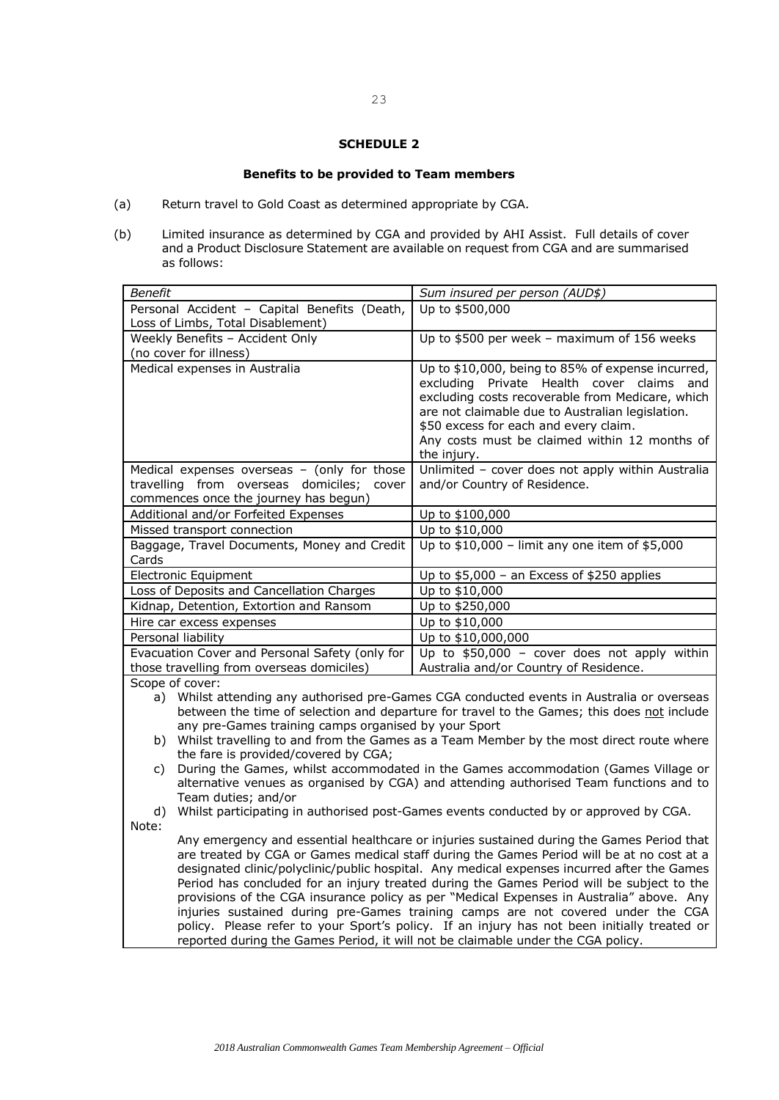#### **Benefits to be provided to Team members**

- (a) Return travel to Gold Coast as determined appropriate by CGA.
- (b) Limited insurance as determined by CGA and provided by AHI Assist. Full details of cover and a Product Disclosure Statement are available on request from CGA and are summarised as follows:

| <b>Benefit</b>                                                                                                                                                                           | Sum insured per person (AUD\$)                                                                                                                                                                                                                                                                                     |  |
|------------------------------------------------------------------------------------------------------------------------------------------------------------------------------------------|--------------------------------------------------------------------------------------------------------------------------------------------------------------------------------------------------------------------------------------------------------------------------------------------------------------------|--|
| Personal Accident - Capital Benefits (Death,                                                                                                                                             | Up to \$500,000                                                                                                                                                                                                                                                                                                    |  |
| Loss of Limbs, Total Disablement)                                                                                                                                                        |                                                                                                                                                                                                                                                                                                                    |  |
| Weekly Benefits - Accident Only                                                                                                                                                          | Up to \$500 per week - maximum of 156 weeks                                                                                                                                                                                                                                                                        |  |
| (no cover for illness)                                                                                                                                                                   |                                                                                                                                                                                                                                                                                                                    |  |
| Medical expenses in Australia                                                                                                                                                            | Up to \$10,000, being to 85% of expense incurred,<br>excluding Private Health cover claims<br>and<br>excluding costs recoverable from Medicare, which<br>are not claimable due to Australian legislation.<br>\$50 excess for each and every claim.<br>Any costs must be claimed within 12 months of<br>the injury. |  |
| Medical expenses overseas $-$ (only for those                                                                                                                                            | Unlimited - cover does not apply within Australia                                                                                                                                                                                                                                                                  |  |
| travelling from overseas domiciles;<br>cover                                                                                                                                             | and/or Country of Residence.                                                                                                                                                                                                                                                                                       |  |
| commences once the journey has begun)                                                                                                                                                    |                                                                                                                                                                                                                                                                                                                    |  |
| Additional and/or Forfeited Expenses                                                                                                                                                     | Up to \$100,000                                                                                                                                                                                                                                                                                                    |  |
| Missed transport connection                                                                                                                                                              | Up to \$10,000                                                                                                                                                                                                                                                                                                     |  |
| Baggage, Travel Documents, Money and Credit<br>Cards                                                                                                                                     | Up to $$10,000$ - limit any one item of $$5,000$                                                                                                                                                                                                                                                                   |  |
| Electronic Equipment                                                                                                                                                                     | Up to $$5,000$ – an Excess of \$250 applies                                                                                                                                                                                                                                                                        |  |
| Loss of Deposits and Cancellation Charges                                                                                                                                                | Up to \$10,000                                                                                                                                                                                                                                                                                                     |  |
| Kidnap, Detention, Extortion and Ransom                                                                                                                                                  | Up to \$250,000                                                                                                                                                                                                                                                                                                    |  |
| Hire car excess expenses                                                                                                                                                                 | Up to \$10,000                                                                                                                                                                                                                                                                                                     |  |
| Personal liability                                                                                                                                                                       | Up to \$10,000,000                                                                                                                                                                                                                                                                                                 |  |
| Evacuation Cover and Personal Safety (only for                                                                                                                                           | Up to $$50,000 - cover$ does not apply within                                                                                                                                                                                                                                                                      |  |
| those travelling from overseas domiciles)                                                                                                                                                | Australia and/or Country of Residence.                                                                                                                                                                                                                                                                             |  |
| Scope of cover:                                                                                                                                                                          |                                                                                                                                                                                                                                                                                                                    |  |
| a) Whilst attending any authorised pre-Games CGA conducted events in Australia or overseas<br>between the time of selection and departure for travel to the Games; this does not include |                                                                                                                                                                                                                                                                                                                    |  |

- any pre-Games training camps organised by your Sport b) Whilst travelling to and from the Games as a Team Member by the most direct route where the fare is provided/covered by CGA;
- c) During the Games, whilst accommodated in the Games accommodation (Games Village or alternative venues as organised by CGA) and attending authorised Team functions and to Team duties; and/or
- d) Whilst participating in authorised post-Games events conducted by or approved by CGA.
- Note:
	- Any emergency and essential healthcare or injuries sustained during the Games Period that are treated by CGA or Games medical staff during the Games Period will be at no cost at a designated clinic/polyclinic/public hospital. Any medical expenses incurred after the Games Period has concluded for an injury treated during the Games Period will be subject to the provisions of the CGA insurance policy as per "Medical Expenses in Australia" above. Any injuries sustained during pre-Games training camps are not covered under the CGA policy. Please refer to your Sport's policy. If an injury has not been initially treated or reported during the Games Period, it will not be claimable under the CGA policy.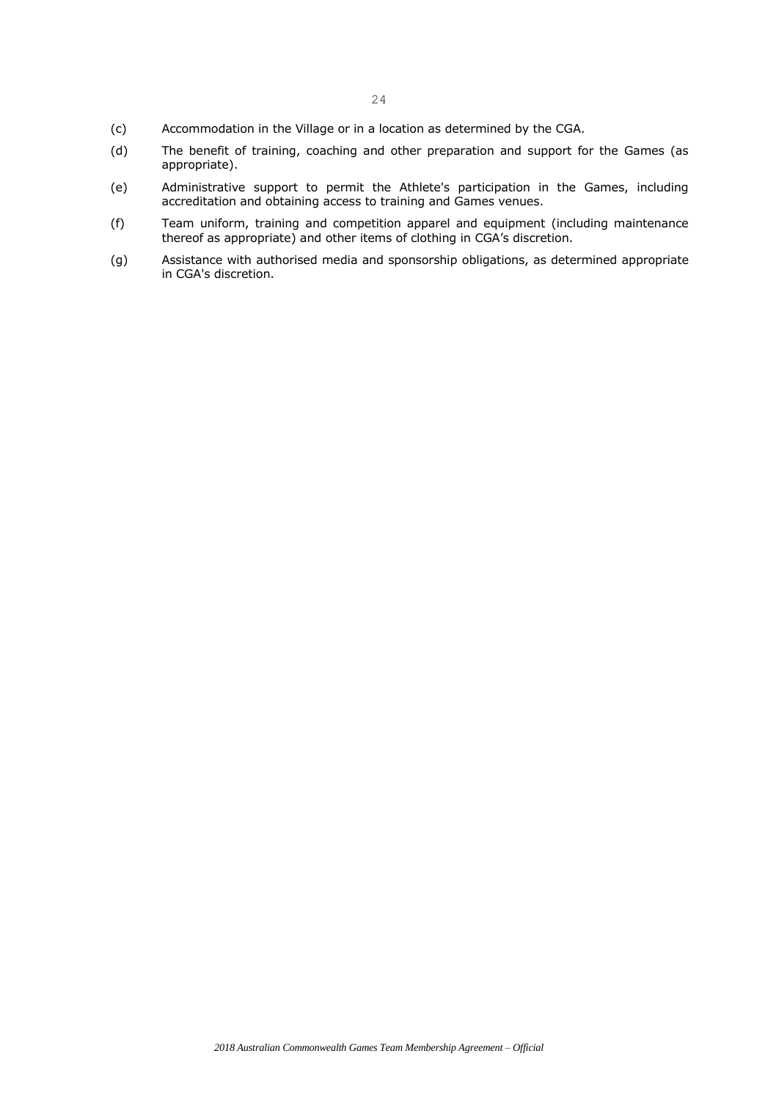- (c) Accommodation in the Village or in a location as determined by the CGA.
- (d) The benefit of training, coaching and other preparation and support for the Games (as appropriate).
- (e) Administrative support to permit the Athlete's participation in the Games, including accreditation and obtaining access to training and Games venues.
- (f) Team uniform, training and competition apparel and equipment (including maintenance thereof as appropriate) and other items of clothing in CGA's discretion.
- (g) Assistance with authorised media and sponsorship obligations, as determined appropriate in CGA's discretion.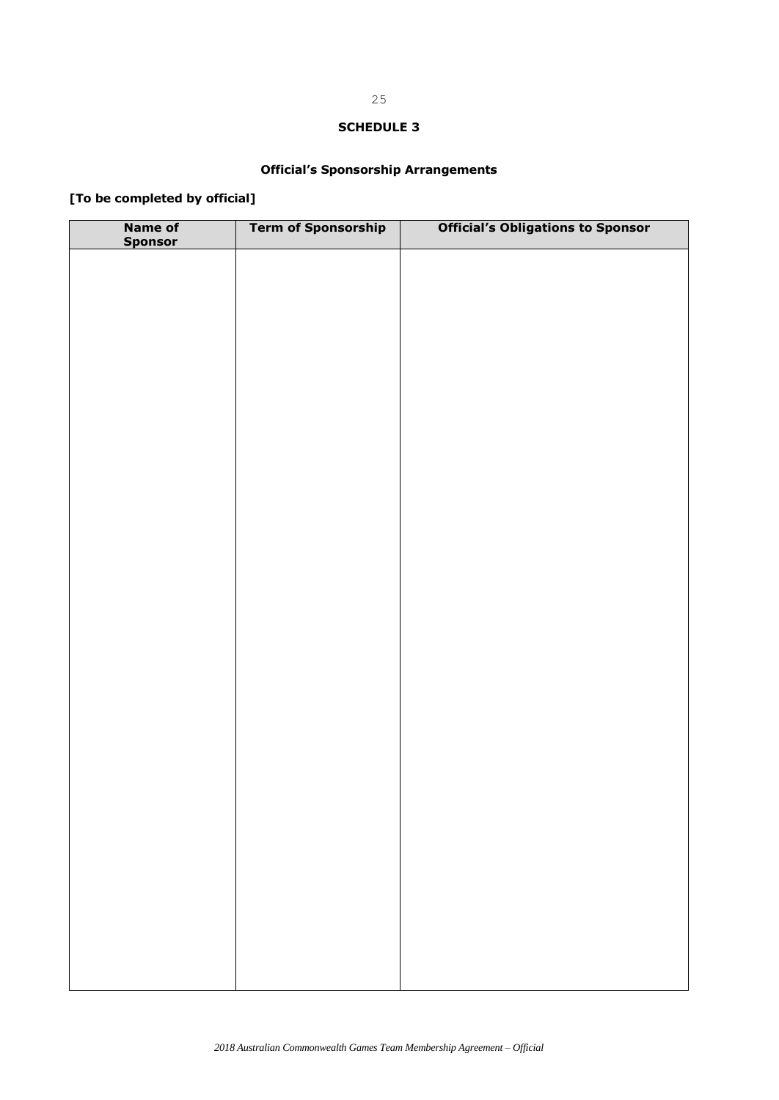## **Official's Sponsorship Arrangements**

# **[To be completed by official]**

| Name of<br>Sponsor | <b>Term of Sponsorship</b> | <b>Official's Obligations to Sponsor</b> |
|--------------------|----------------------------|------------------------------------------|
|                    |                            |                                          |
|                    |                            |                                          |
|                    |                            |                                          |
|                    |                            |                                          |
|                    |                            |                                          |
|                    |                            |                                          |
|                    |                            |                                          |
|                    |                            |                                          |
|                    |                            |                                          |
|                    |                            |                                          |
|                    |                            |                                          |
|                    |                            |                                          |
|                    |                            |                                          |
|                    |                            |                                          |
|                    |                            |                                          |
|                    |                            |                                          |
|                    |                            |                                          |
|                    |                            |                                          |
|                    |                            |                                          |
|                    |                            |                                          |
|                    |                            |                                          |
|                    |                            |                                          |
|                    |                            |                                          |
|                    |                            |                                          |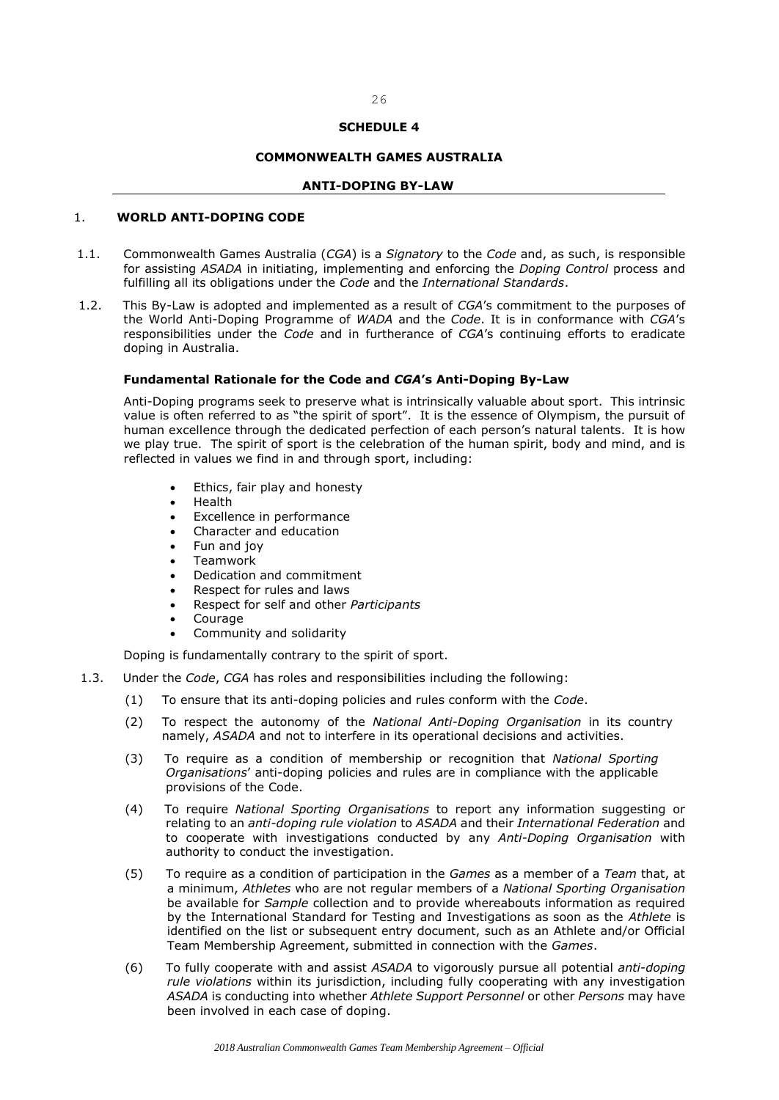26

## **COMMONWEALTH GAMES AUSTRALIA**

#### **ANTI-DOPING BY-LAW**

## 1. **WORLD ANTI-DOPING CODE**

- 1.1. Commonwealth Games Australia (*CGA*) is a *Signatory* to the *Code* and, as such, is responsible for assisting *ASADA* in initiating, implementing and enforcing the *Doping Control* process and fulfilling all its obligations under the *Code* and the *International Standards*.
- 1.2. This By-Law is adopted and implemented as a result of *CGA*'s commitment to the purposes of the World Anti-Doping Programme of *WADA* and the *Code*. It is in conformance with *CGA*'s responsibilities under the *Code* and in furtherance of *CGA*'s continuing efforts to eradicate doping in Australia.

#### **Fundamental Rationale for the Code and** *CGA***'s Anti-Doping By-Law**

Anti-Doping programs seek to preserve what is intrinsically valuable about sport. This intrinsic value is often referred to as "the spirit of sport". It is the essence of Olympism, the pursuit of human excellence through the dedicated perfection of each person's natural talents. It is how we play true. The spirit of sport is the celebration of the human spirit, body and mind, and is reflected in values we find in and through sport, including:

- Ethics, fair play and honesty
- Health
- Excellence in performance
- Character and education
- Fun and joy
- Teamwork
- Dedication and commitment
- Respect for rules and laws
- Respect for self and other *Participants*
- Courage
- Community and solidarity

Doping is fundamentally contrary to the spirit of sport.

- 1.3. Under the *Code*, *CGA* has roles and responsibilities including the following:
	- (1) To ensure that its anti-doping policies and rules conform with the *Code*.
	- (2) To respect the autonomy of the *National Anti-Doping Organisation* in its country namely, *ASADA* and not to interfere in its operational decisions and activities.
	- (3) To require as a condition of membership or recognition that *National Sporting Organisations*' anti-doping policies and rules are in compliance with the applicable provisions of the Code.
	- (4) To require *National Sporting Organisations* to report any information suggesting or relating to an *anti-doping rule violation* to *ASADA* and their *International Federation* and to cooperate with investigations conducted by any *Anti-Doping Organisation* with authority to conduct the investigation.
	- (5) To require as a condition of participation in the *Games* as a member of a *Team* that, at a minimum, *Athletes* who are not regular members of a *National Sporting Organisation* be available for *Sample* collection and to provide whereabouts information as required by the International Standard for Testing and Investigations as soon as the *Athlete* is identified on the list or subsequent entry document, such as an Athlete and/or Official Team Membership Agreement, submitted in connection with the *Games*.
	- (6) To fully cooperate with and assist *ASADA* to vigorously pursue all potential *anti-doping rule violations* within its jurisdiction, including fully cooperating with any investigation *ASADA* is conducting into whether *Athlete Support Personnel* or other *Persons* may have been involved in each case of doping.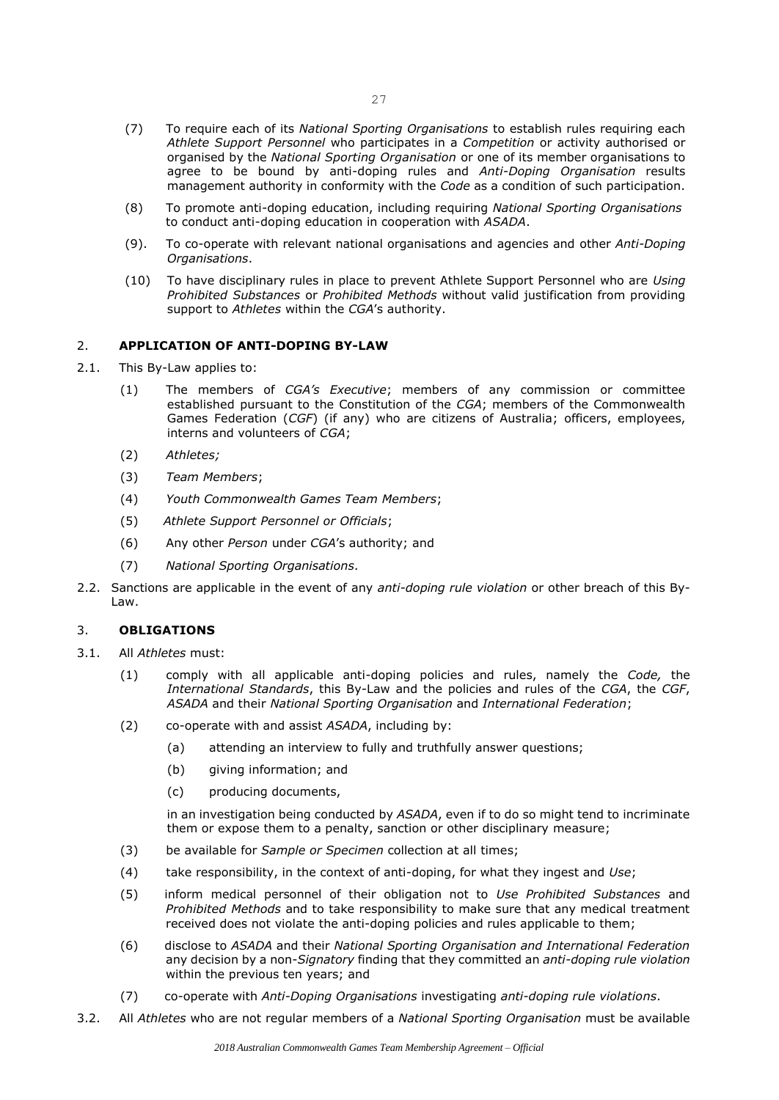- (7) To require each of its *National Sporting Organisations* to establish rules requiring each *Athlete Support Personnel* who participates in a *Competition* or activity authorised or organised by the *National Sporting Organisation* or one of its member organisations to agree to be bound by anti-doping rules and *Anti-Doping Organisation* results management authority in conformity with the *Code* as a condition of such participation.
- (8) To promote anti-doping education, including requiring *National Sporting Organisations*  to conduct anti-doping education in cooperation with *ASADA*.
- (9). To co-operate with relevant national organisations and agencies and other *Anti-Doping Organisations*.
- (10) To have disciplinary rules in place to prevent Athlete Support Personnel who are *Using Prohibited Substances* or *Prohibited Methods* without valid justification from providing support to *Athletes* within the *CGA*'s authority.

## 2. **APPLICATION OF ANTI-DOPING BY-LAW**

- 2.1. This By-Law applies to:
	- (1) The members of *CGA's Executive*; members of any commission or committee established pursuant to the Constitution of the *CGA*; members of the Commonwealth Games Federation (*CGF*) (if any) who are citizens of Australia; officers, employees, interns and volunteers of *CGA*;
	- (2) *Athletes;*
	- (3) *Team Members*;
	- (4) *Youth Commonwealth Games Team Members*;
	- (5) *Athlete Support Personnel or Officials*;
	- (6) Any other *Person* under *CGA*'s authority; and
	- (7) *National Sporting Organisations*.
- 2.2. Sanctions are applicable in the event of any *anti-doping rule violation* or other breach of this By-Law.

### 3. **OBLIGATIONS**

- 3.1. All *Athletes* must:
	- (1) comply with all applicable anti-doping policies and rules, namely the *Code,* the *International Standards*, this By-Law and the policies and rules of the *CGA*, the *CGF*, *ASADA* and their *National Sporting Organisation* and *International Federation*;
	- (2) co-operate with and assist *ASADA*, including by:
		- (a) attending an interview to fully and truthfully answer questions;
		- (b) giving information; and
		- (c) producing documents,

in an investigation being conducted by *ASADA*, even if to do so might tend to incriminate them or expose them to a penalty, sanction or other disciplinary measure;

- (3) be available for *Sample or Specimen* collection at all times;
- (4) take responsibility, in the context of anti-doping, for what they ingest and *Use*;
- (5) inform medical personnel of their obligation not to *Use Prohibited Substances* and *Prohibited Methods* and to take responsibility to make sure that any medical treatment received does not violate the anti-doping policies and rules applicable to them;
- (6) disclose to *ASADA* and their *National Sporting Organisation and International Federation*  any decision by a non-*Signatory* finding that they committed an *anti-doping rule violation* within the previous ten years; and
- (7) co-operate with *Anti-Doping Organisations* investigating *anti-doping rule violations*.
- 3.2. All *Athletes* who are not regular members of a *National Sporting Organisation* must be available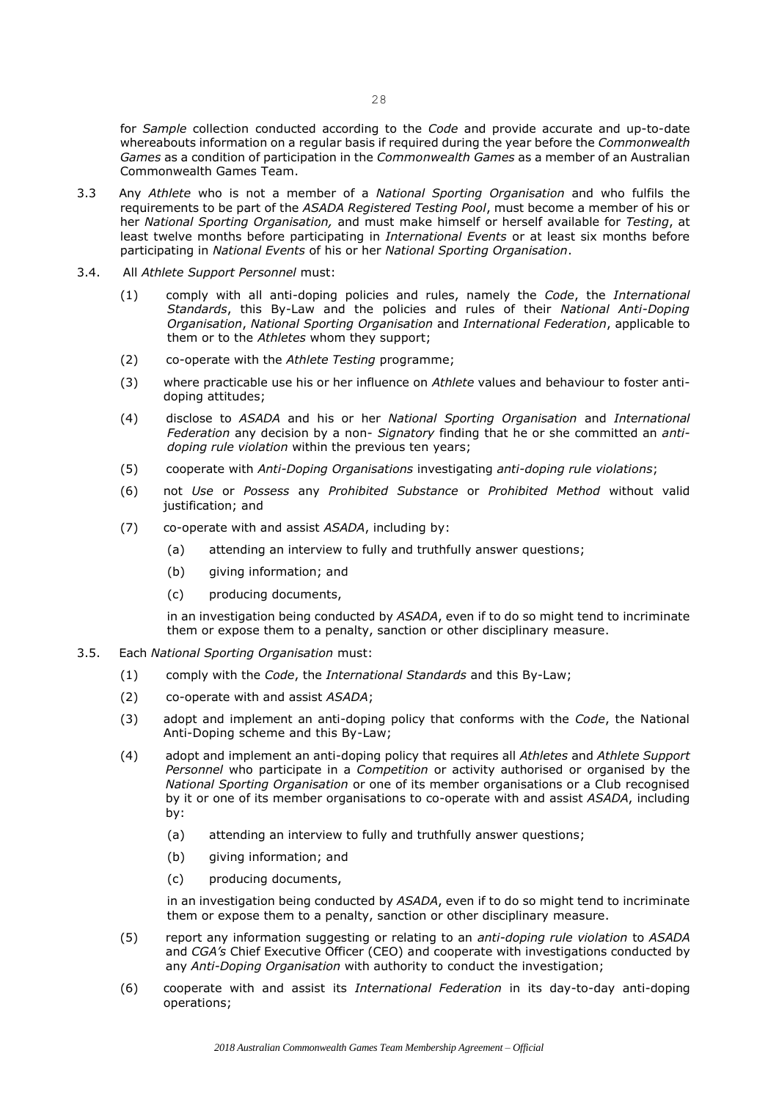for *Sample* collection conducted according to the *Code* and provide accurate and up-to-date whereabouts information on a regular basis if required during the year before the *Commonwealth Games* as a condition of participation in the *Commonwealth Games* as a member of an Australian Commonwealth Games Team.

- 3.3 Any *Athlete* who is not a member of a *National Sporting Organisation* and who fulfils the requirements to be part of the *ASADA Registered Testing Pool*, must become a member of his or her *National Sporting Organisation,* and must make himself or herself available for *Testing*, at least twelve months before participating in *International Events* or at least six months before participating in *National Events* of his or her *National Sporting Organisation*.
- 3.4. All *Athlete Support Personnel* must:
	- (1) comply with all anti-doping policies and rules, namely the *Code*, the *International Standards*, this By-Law and the policies and rules of their *National Anti-Doping Organisation*, *National Sporting Organisation* and *International Federation*, applicable to them or to the *Athletes* whom they support;
	- (2) co-operate with the *Athlete Testing* programme;
	- (3) where practicable use his or her influence on *Athlete* values and behaviour to foster antidoping attitudes;
	- (4) disclose to *ASADA* and his or her *National Sporting Organisation* and *International Federation* any decision by a non- *Signatory* finding that he or she committed an *antidoping rule violation* within the previous ten years;
	- (5) cooperate with *Anti-Doping Organisations* investigating *anti-doping rule violations*;
	- (6) not *Use* or *Possess* any *Prohibited Substance* or *Prohibited Method* without valid justification; and
	- (7) co-operate with and assist *ASADA*, including by:
		- (a) attending an interview to fully and truthfully answer questions;
		- (b) giving information; and
		- (c) producing documents,

in an investigation being conducted by *ASADA*, even if to do so might tend to incriminate them or expose them to a penalty, sanction or other disciplinary measure.

- 3.5. Each *National Sporting Organisation* must:
	- (1) comply with the *Code*, the *International Standards* and this By-Law;
	- (2) co-operate with and assist *ASADA*;
	- (3) adopt and implement an anti-doping policy that conforms with the *Code*, the National Anti-Doping scheme and this By-Law;
	- (4) adopt and implement an anti-doping policy that requires all *Athletes* and *Athlete Support Personnel* who participate in a *Competition* or activity authorised or organised by the *National Sporting Organisation* or one of its member organisations or a Club recognised by it or one of its member organisations to co-operate with and assist *ASADA*, including by:
		- (a) attending an interview to fully and truthfully answer questions;
		- (b) giving information; and
		- (c) producing documents,

in an investigation being conducted by *ASADA*, even if to do so might tend to incriminate them or expose them to a penalty, sanction or other disciplinary measure.

- (5) report any information suggesting or relating to an *anti-doping rule violation* to *ASADA*  and *CGA's* Chief Executive Officer (CEO) and cooperate with investigations conducted by any *Anti-Doping Organisation* with authority to conduct the investigation;
- (6) cooperate with and assist its *International Federation* in its day-to-day anti-doping operations;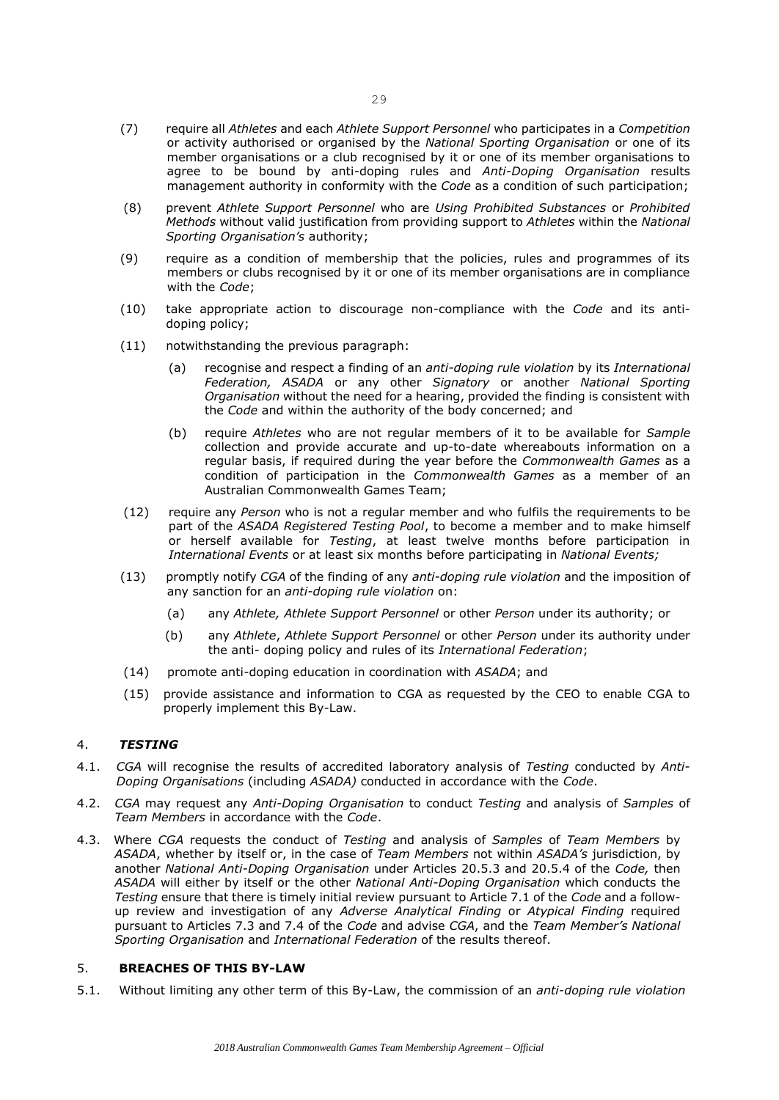- (7) require all *Athletes* and each *Athlete Support Personnel* who participates in a *Competition*  or activity authorised or organised by the *National Sporting Organisation* or one of its member organisations or a club recognised by it or one of its member organisations to agree to be bound by anti-doping rules and *Anti-Doping Organisation* results management authority in conformity with the *Code* as a condition of such participation;
- (8) prevent *Athlete Support Personnel* who are *Using Prohibited Substances* or *Prohibited Methods* without valid justification from providing support to *Athletes* within the *National Sporting Organisation's* authority;
- (9) require as a condition of membership that the policies, rules and programmes of its members or clubs recognised by it or one of its member organisations are in compliance with the *Code*;
- (10) take appropriate action to discourage non-compliance with the *Code* and its antidoping policy;
- (11) notwithstanding the previous paragraph:
	- (a) recognise and respect a finding of an *anti-doping rule violation* by its *International Federation, ASADA* or any other *Signatory* or another *National Sporting Organisation* without the need for a hearing, provided the finding is consistent with the *Code* and within the authority of the body concerned; and
	- (b) require *Athletes* who are not regular members of it to be available for *Sample* collection and provide accurate and up-to-date whereabouts information on a regular basis, if required during the year before the *Commonwealth Games* as a condition of participation in the *Commonwealth Games* as a member of an Australian Commonwealth Games Team;
- (12) require any *Person* who is not a regular member and who fulfils the requirements to be part of the *ASADA Registered Testing Pool*, to become a member and to make himself or herself available for *Testing*, at least twelve months before participation in *International Events* or at least six months before participating in *National Events;*
- (13) promptly notify *CGA* of the finding of any *anti-doping rule violation* and the imposition of any sanction for an *anti-doping rule violation* on:
	- (a) any *Athlete, Athlete Support Personnel* or other *Person* under its authority; or
	- (b) any *Athlete*, *Athlete Support Personnel* or other *Person* under its authority under the anti- doping policy and rules of its *International Federation*;
- (14) promote anti-doping education in coordination with *ASADA*; and
- (15) provide assistance and information to CGA as requested by the CEO to enable CGA to properly implement this By-Law.

## 4. *TESTING*

- 4.1. *CGA* will recognise the results of accredited laboratory analysis of *Testing* conducted by *Anti-Doping Organisations* (including *ASADA)* conducted in accordance with the *Code*.
- 4.2. *CGA* may request any *Anti-Doping Organisation* to conduct *Testing* and analysis of *Samples* of *Team Members* in accordance with the *Code*.
- 4.3. Where *CGA* requests the conduct of *Testing* and analysis of *Samples* of *Team Members* by *ASADA*, whether by itself or, in the case of *Team Members* not within *ASADA's* jurisdiction, by another *National Anti-Doping Organisation* under Articles 20.5.3 and 20.5.4 of the *Code,* then *ASADA* will either by itself or the other *National Anti-Doping Organisation* which conducts the *Testing* ensure that there is timely initial review pursuant to Article 7.1 of the *Code* and a followup review and investigation of any *Adverse Analytical Finding* or *Atypical Finding* required pursuant to Articles 7.3 and 7.4 of the *Code* and advise *CGA*, and the *Team Member's National Sporting Organisation* and *International Federation* of the results thereof.

#### 5. **BREACHES OF THIS BY-LAW**

5.1. Without limiting any other term of this By-Law, the commission of an *anti-doping rule violation*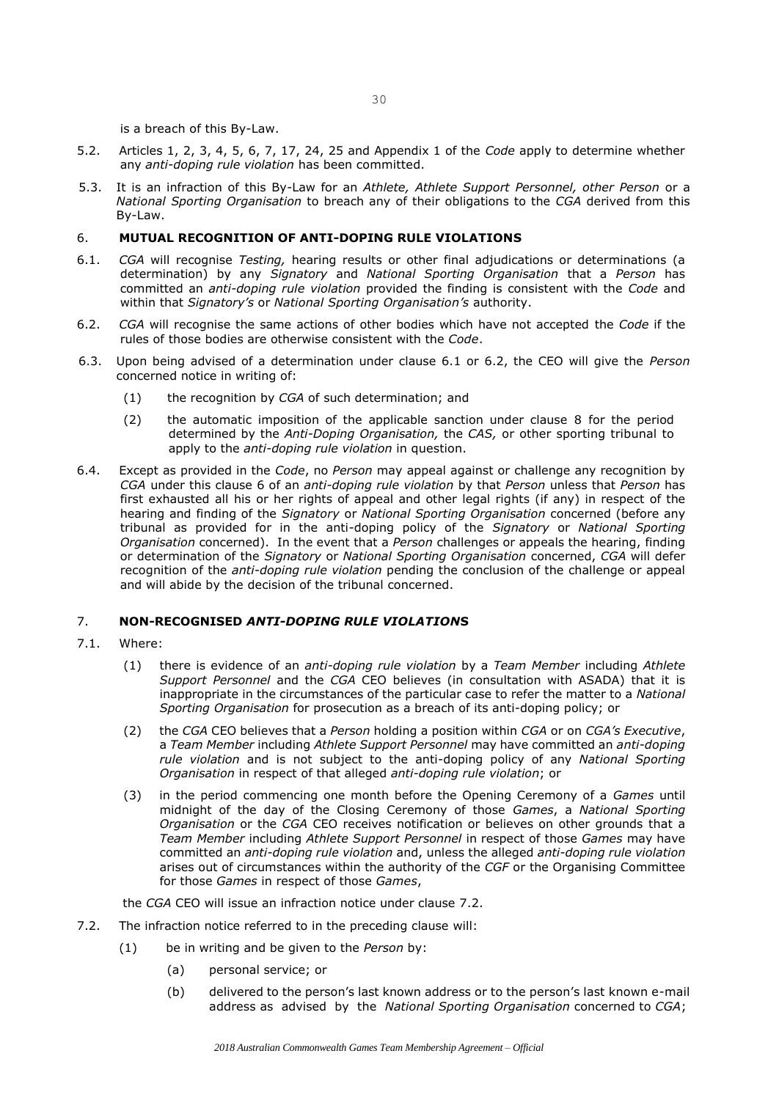is a breach of this By-Law.

- 5.2. Articles 1, 2, 3, 4, 5, 6, 7, 17, 24, 25 and Appendix 1 of the *Code* apply to determine whether any *anti-doping rule violation* has been committed.
- 5.3. It is an infraction of this By-Law for an *Athlete, Athlete Support Personnel, other Person* or a *National Sporting Organisation* to breach any of their obligations to the *CGA* derived from this By-Law.

## 6. **MUTUAL RECOGNITION OF ANTI-DOPING RULE VIOLATIONS**

- 6.1. *CGA* will recognise *Testing,* hearing results or other final adjudications or determinations (a determination) by any *Signatory* and *National Sporting Organisation* that a *Person* has committed an *anti-doping rule violation* provided the finding is consistent with the *Code* and within that *Signatory's* or *National Sporting Organisation's* authority.
- 6.2. *CGA* will recognise the same actions of other bodies which have not accepted the *Code* if the rules of those bodies are otherwise consistent with the *Code*.
- 6.3. Upon being advised of a determination under clause 6.1 or 6.2, the CEO will give the *Person* concerned notice in writing of:
	- (1) the recognition by *CGA* of such determination; and
	- (2) the automatic imposition of the applicable sanction under clause 8 for the period determined by the *Anti-Doping Organisation,* the *CAS,* or other sporting tribunal to apply to the *anti-doping rule violation* in question.
- 6.4. Except as provided in the *Code*, no *Person* may appeal against or challenge any recognition by *CGA* under this clause 6 of an *anti-doping rule violation* by that *Person* unless that *Person* has first exhausted all his or her rights of appeal and other legal rights (if any) in respect of the hearing and finding of the *Signatory* or *National Sporting Organisation* concerned (before any tribunal as provided for in the anti-doping policy of the *Signatory* or *National Sporting Organisation* concerned). In the event that a *Person* challenges or appeals the hearing, finding or determination of the *Signatory* or *National Sporting Organisation* concerned, *CGA* will defer recognition of the *anti-doping rule violation* pending the conclusion of the challenge or appeal and will abide by the decision of the tribunal concerned.

## 7. **NON-RECOGNISED** *ANTI-DOPING RULE VIOLATION***S**

- 7.1. Where:
	- (1) there is evidence of an *anti-doping rule violation* by a *Team Member* including *Athlete Support Personnel* and the *CGA* CEO believes (in consultation with ASADA) that it is inappropriate in the circumstances of the particular case to refer the matter to a *National Sporting Organisation* for prosecution as a breach of its anti-doping policy; or
	- (2) the *CGA* CEO believes that a *Person* holding a position within *CGA* or on *CGA's Executive*, a *Team Member* including *Athlete Support Personnel* may have committed an *anti-doping rule violation* and is not subject to the anti-doping policy of any *National Sporting Organisation* in respect of that alleged *anti-doping rule violation*; or
	- (3) in the period commencing one month before the Opening Ceremony of a *Games* until midnight of the day of the Closing Ceremony of those *Games*, a *National Sporting Organisation* or the *CGA* CEO receives notification or believes on other grounds that a *Team Member* including *Athlete Support Personnel* in respect of those *Games* may have committed an *anti-doping rule violation* and, unless the alleged *anti-doping rule violation*  arises out of circumstances within the authority of the *CGF* or the Organising Committee for those *Games* in respect of those *Games*,

the *CGA* CEO will issue an infraction notice under clause 7.2.

- 7.2. The infraction notice referred to in the preceding clause will:
	- (1) be in writing and be given to the *Person* by:
		- (a) personal service; or
		- (b) delivered to the person's last known address or to the person's last known e-mail address as advised by the *National Sporting Organisation* concerned to *CGA*;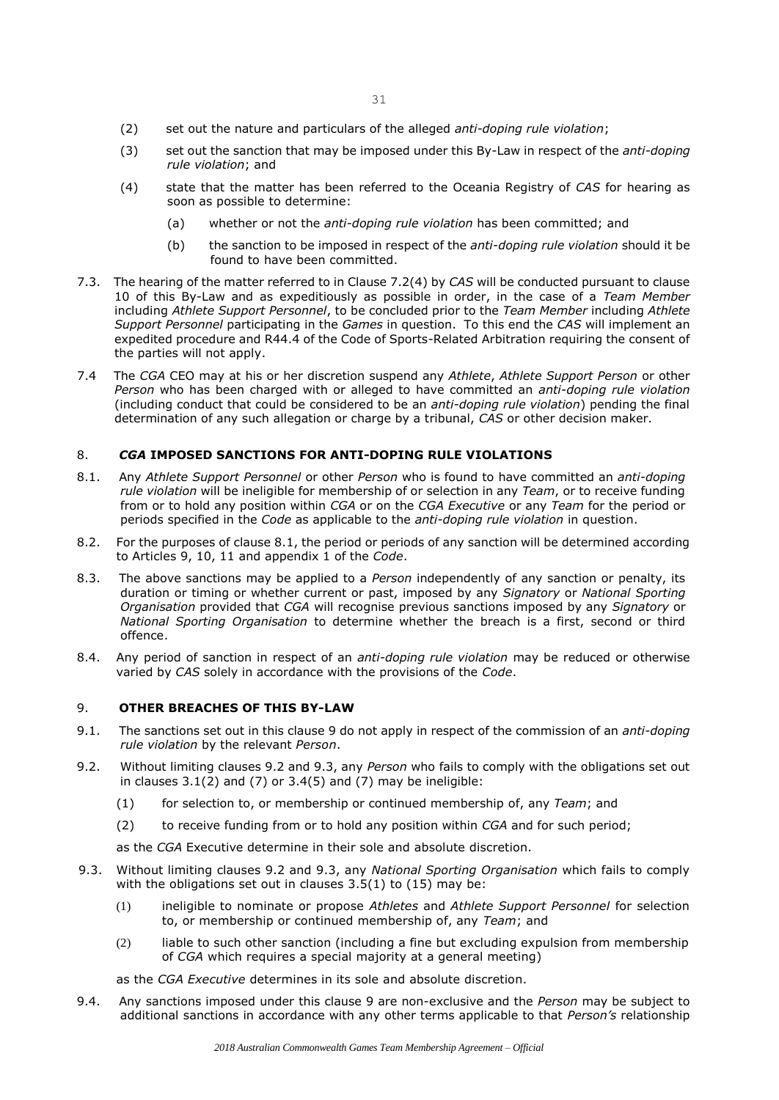- (2) set out the nature and particulars of the alleged *anti-doping rule violation*;
- (3) set out the sanction that may be imposed under this By-Law in respect of the *anti-doping rule violation*; and
- (4) state that the matter has been referred to the Oceania Registry of *CAS* for hearing as soon as possible to determine:
	- (a) whether or not the *anti-doping rule violation* has been committed; and
	- (b) the sanction to be imposed in respect of the *anti-doping rule violation* should it be found to have been committed.
- 7.3. The hearing of the matter referred to in Clause 7.2(4) by *CAS* will be conducted pursuant to clause 10 of this By-Law and as expeditiously as possible in order, in the case of a *Team Member*  including *Athlete Support Personnel*, to be concluded prior to the *Team Member* including *Athlete Support Personnel* participating in the *Games* in question. To this end the *CAS* will implement an expedited procedure and R44.4 of the Code of Sports-Related Arbitration requiring the consent of the parties will not apply.
- 7.4 The *CGA* CEO may at his or her discretion suspend any *Athlete*, *Athlete Support Person* or other *Person* who has been charged with or alleged to have committed an *anti-doping rule violation* (including conduct that could be considered to be an *anti-doping rule violation*) pending the final determination of any such allegation or charge by a tribunal, *CAS* or other decision maker.

## 8. *CGA* **IMPOSED SANCTIONS FOR ANTI-DOPING RULE VIOLATIONS**

- 8.1. Any *Athlete Support Personnel* or other *Person* who is found to have committed an *anti-doping rule violation* will be ineligible for membership of or selection in any *Team*, or to receive funding from or to hold any position within *CGA* or on the *CGA Executive* or any *Team* for the period or periods specified in the *Code* as applicable to the *anti-doping rule violation* in question.
- 8.2. For the purposes of clause 8.1, the period or periods of any sanction will be determined according to Articles 9, 10, 11 and appendix 1 of the *Code*.
- 8.3. The above sanctions may be applied to a *Person* independently of any sanction or penalty, its duration or timing or whether current or past, imposed by any *Signatory* or *National Sporting Organisation* provided that *CGA* will recognise previous sanctions imposed by any *Signatory* or *National Sporting Organisation* to determine whether the breach is a first, second or third offence.
- 8.4. Any period of sanction in respect of an *anti-doping rule violation* may be reduced or otherwise varied by *CAS* solely in accordance with the provisions of the *Code*.

## 9. **OTHER BREACHES OF THIS BY-LAW**

- 9.1. The sanctions set out in this clause 9 do not apply in respect of the commission of an *anti-doping rule violation* by the relevant *Person*.
- 9.2. Without limiting clauses 9.2 and 9.3, any *Person* who fails to comply with the obligations set out in clauses  $3.1(2)$  and  $(7)$  or  $3.4(5)$  and  $(7)$  may be ineligible:
	- (1) for selection to, or membership or continued membership of, any *Team*; and
	- (2) to receive funding from or to hold any position within *CGA* and for such period;

as the *CGA* Executive determine in their sole and absolute discretion.

- 9.3. Without limiting clauses 9.2 and 9.3, any *National Sporting Organisation* which fails to comply with the obligations set out in clauses 3.5(1) to (15) may be:
	- (1) ineligible to nominate or propose *Athletes* and *Athlete Support Personnel* for selection to, or membership or continued membership of, any *Team*; and
	- (2) liable to such other sanction (including a fine but excluding expulsion from membership of *CGA* which requires a special majority at a general meeting)

as the *CGA Executive* determines in its sole and absolute discretion.

9.4. Any sanctions imposed under this clause 9 are non-exclusive and the *Person* may be subject to additional sanctions in accordance with any other terms applicable to that *Person's* relationship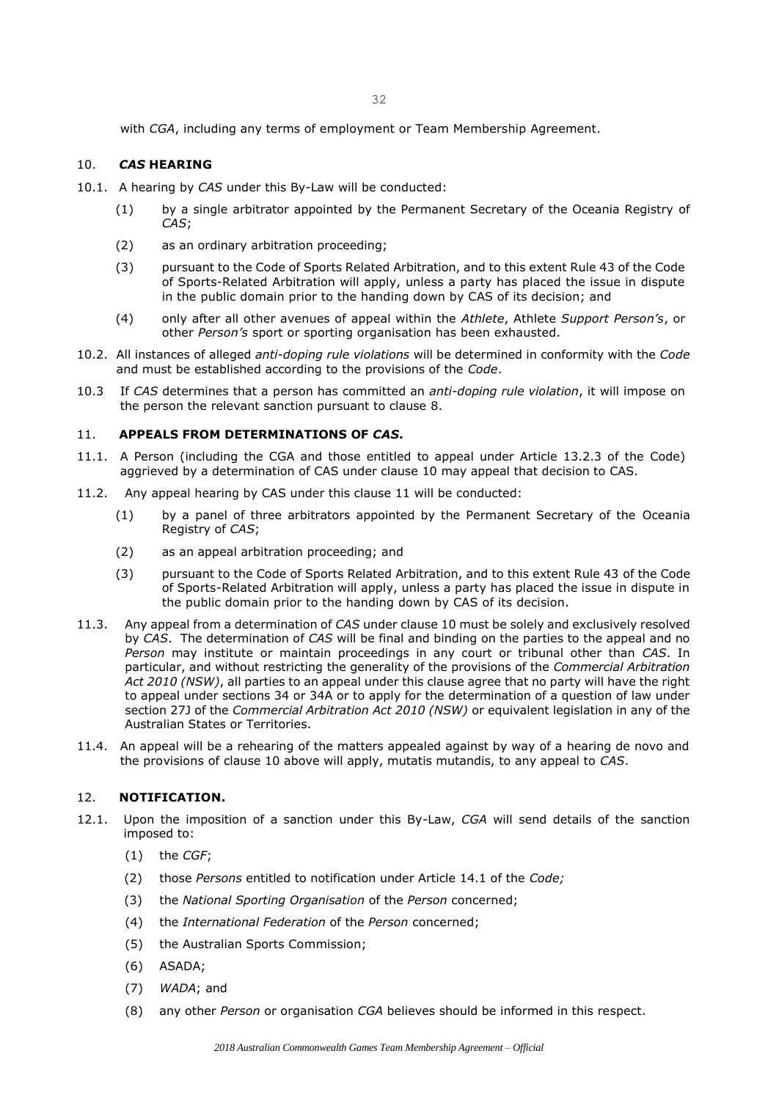with *CGA*, including any terms of employment or Team Membership Agreement.

## 10. *CAS* **HEARING**

- 10.1. A hearing by *CAS* under this By-Law will be conducted:
	- (1) by a single arbitrator appointed by the Permanent Secretary of the Oceania Registry of *CAS*;
	- (2) as an ordinary arbitration proceeding;
	- (3) pursuant to the Code of Sports Related Arbitration, and to this extent Rule 43 of the Code of Sports-Related Arbitration will apply, unless a party has placed the issue in dispute in the public domain prior to the handing down by CAS of its decision; and
	- (4) only after all other avenues of appeal within the *Athlete*, Athlete *Support Person's*, or other *Person's* sport or sporting organisation has been exhausted.
- 10.2. All instances of alleged *anti-doping rule violations* will be determined in conformity with the *Code* and must be established according to the provisions of the *Code*.
- 10.3 If *CAS* determines that a person has committed an *anti-doping rule violation*, it will impose on the person the relevant sanction pursuant to clause 8.

## 11. **APPEALS FROM DETERMINATIONS OF** *CAS***.**

- 11.1. A Person (including the CGA and those entitled to appeal under Article 13.2.3 of the Code) aggrieved by a determination of CAS under clause 10 may appeal that decision to CAS.
- 11.2. Any appeal hearing by CAS under this clause 11 will be conducted:
	- (1) by a panel of three arbitrators appointed by the Permanent Secretary of the Oceania Registry of *CAS*;
	- (2) as an appeal arbitration proceeding; and
	- (3) pursuant to the Code of Sports Related Arbitration, and to this extent Rule 43 of the Code of Sports-Related Arbitration will apply, unless a party has placed the issue in dispute in the public domain prior to the handing down by CAS of its decision.
- 11.3. Any appeal from a determination of *CAS* under clause 10 must be solely and exclusively resolved by *CAS*. The determination of *CAS* will be final and binding on the parties to the appeal and no *Person* may institute or maintain proceedings in any court or tribunal other than *CAS*. In particular, and without restricting the generality of the provisions of the *Commercial Arbitration Act 2010 (NSW)*, all parties to an appeal under this clause agree that no party will have the right to appeal under sections 34 or 34A or to apply for the determination of a question of law under section 27J of the *Commercial Arbitration Act 2010 (NSW)* or equivalent legislation in any of the Australian States or Territories.
- 11.4. An appeal will be a rehearing of the matters appealed against by way of a hearing de novo and the provisions of clause 10 above will apply, mutatis mutandis, to any appeal to *CAS*.

## 12. **NOTIFICATION.**

- 12.1. Upon the imposition of a sanction under this By-Law, *CGA* will send details of the sanction imposed to:
	- (1) the *CGF*;
	- (2) those *Persons* entitled to notification under Article 14.1 of the *Code;*
	- (3) the *National Sporting Organisation* of the *Person* concerned;
	- (4) the *International Federation* of the *Person* concerned;
	- (5) the Australian Sports Commission;
	- (6) ASADA;
	- (7) *WADA*; and
	- (8) any other *Person* or organisation *CGA* believes should be informed in this respect.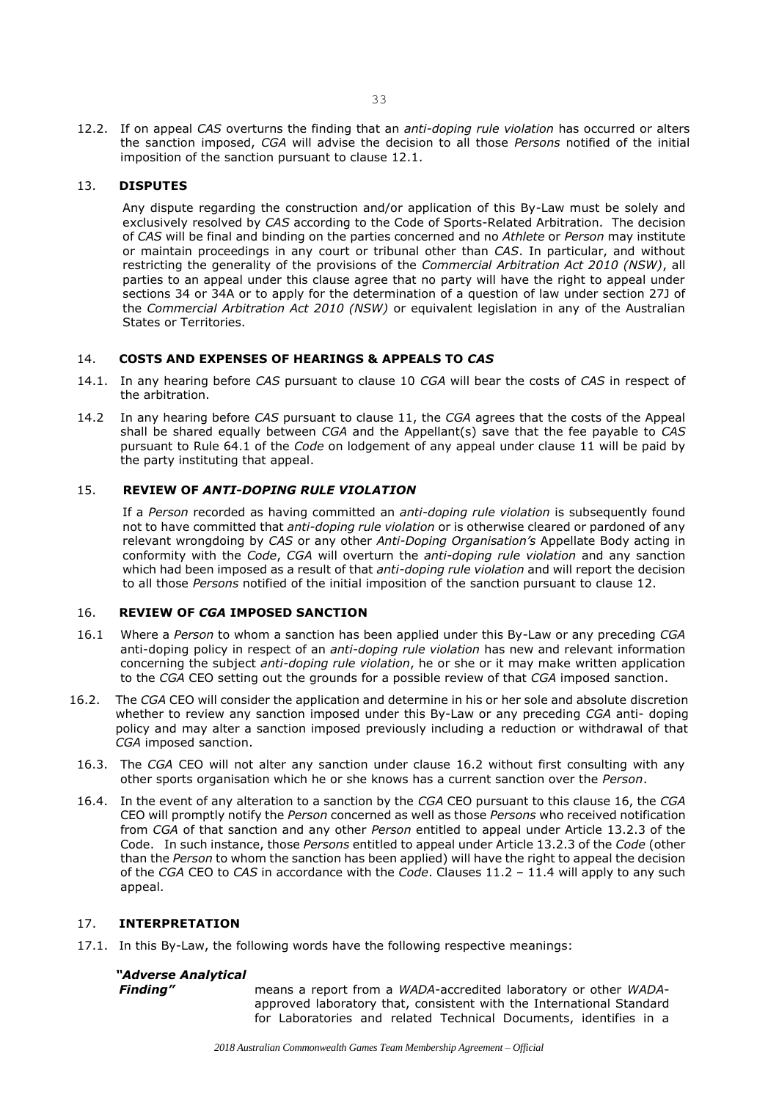12.2. If on appeal *CAS* overturns the finding that an *anti-doping rule violation* has occurred or alters the sanction imposed, *CGA* will advise the decision to all those *Persons* notified of the initial imposition of the sanction pursuant to clause 12.1.

### 13. **DISPUTES**

Any dispute regarding the construction and/or application of this By-Law must be solely and exclusively resolved by *CAS* according to the Code of Sports-Related Arbitration. The decision of *CAS* will be final and binding on the parties concerned and no *Athlete* or *Person* may institute or maintain proceedings in any court or tribunal other than *CAS*. In particular, and without restricting the generality of the provisions of the *Commercial Arbitration Act 2010 (NSW)*, all parties to an appeal under this clause agree that no party will have the right to appeal under sections 34 or 34A or to apply for the determination of a question of law under section 27J of the *Commercial Arbitration Act 2010 (NSW)* or equivalent legislation in any of the Australian States or Territories.

## 14. **COSTS AND EXPENSES OF HEARINGS & APPEALS TO** *CAS*

- 14.1. In any hearing before *CAS* pursuant to clause 10 *CGA* will bear the costs of *CAS* in respect of the arbitration.
- 14.2 In any hearing before *CAS* pursuant to clause 11, the *CGA* agrees that the costs of the Appeal shall be shared equally between *CGA* and the Appellant(s) save that the fee payable to *CAS*  pursuant to Rule 64.1 of the *Code* on lodgement of any appeal under clause 11 will be paid by the party instituting that appeal.

### 15. **REVIEW OF** *ANTI-DOPING RULE VIOLATION*

If a *Person* recorded as having committed an *anti-doping rule violation* is subsequently found not to have committed that *anti-doping rule violation* or is otherwise cleared or pardoned of any relevant wrongdoing by *CAS* or any other *Anti-Doping Organisation's* Appellate Body acting in conformity with the *Code*, *CGA* will overturn the *anti-doping rule violation* and any sanction which had been imposed as a result of that *anti-doping rule violation* and will report the decision to all those *Persons* notified of the initial imposition of the sanction pursuant to clause 12.

### 16. **REVIEW OF** *CGA* **IMPOSED SANCTION**

- 16.1 Where a *Person* to whom a sanction has been applied under this By-Law or any preceding *CGA* anti-doping policy in respect of an *anti-doping rule violation* has new and relevant information concerning the subject *anti-doping rule violation*, he or she or it may make written application to the *CGA* CEO setting out the grounds for a possible review of that *CGA* imposed sanction.
- 16.2. The *CGA* CEO will consider the application and determine in his or her sole and absolute discretion whether to review any sanction imposed under this By-Law or any preceding *CGA* anti- doping policy and may alter a sanction imposed previously including a reduction or withdrawal of that *CGA* imposed sanction.
- 16.3. The *CGA* CEO will not alter any sanction under clause 16.2 without first consulting with any other sports organisation which he or she knows has a current sanction over the *Person*.
- 16.4. In the event of any alteration to a sanction by the *CGA* CEO pursuant to this clause 16, the *CGA* CEO will promptly notify the *Person* concerned as well as those *Persons* who received notification from *CGA* of that sanction and any other *Person* entitled to appeal under Article 13.2.3 of the Code. In such instance, those *Persons* entitled to appeal under Article 13.2.3 of the *Code* (other than the *Person* to whom the sanction has been applied) will have the right to appeal the decision of the *CGA* CEO to *CAS* in accordance with the *Code*. Clauses 11.2 – 11.4 will apply to any such appeal.

#### 17. **INTERPRETATION**

17.1. In this By-Law, the following words have the following respective meanings:

#### *"Adverse Analytical*

*Finding"* means a report from a *WADA*-accredited laboratory or other *WADA*approved laboratory that, consistent with the International Standard for Laboratories and related Technical Documents, identifies in a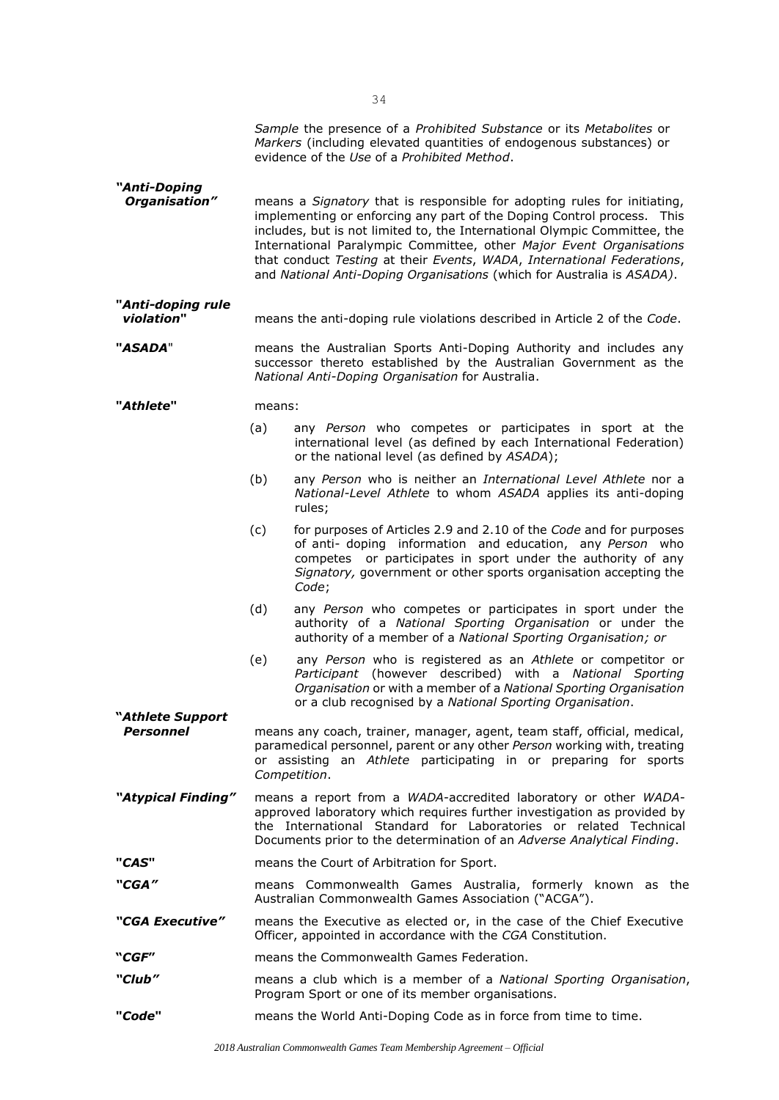|                                 |                                                                                                                                                                                                                                                                                          | Sample the presence of a Prohibited Substance or its Metabolites or<br>Markers (including elevated quantities of endogenous substances) or<br>evidence of the Use of a Prohibited Method.                                                                                                                                                                                                                                                                  |  |
|---------------------------------|------------------------------------------------------------------------------------------------------------------------------------------------------------------------------------------------------------------------------------------------------------------------------------------|------------------------------------------------------------------------------------------------------------------------------------------------------------------------------------------------------------------------------------------------------------------------------------------------------------------------------------------------------------------------------------------------------------------------------------------------------------|--|
| "Anti-Doping<br>Organisation"   |                                                                                                                                                                                                                                                                                          | means a Signatory that is responsible for adopting rules for initiating,<br>implementing or enforcing any part of the Doping Control process. This<br>includes, but is not limited to, the International Olympic Committee, the<br>International Paralympic Committee, other Major Event Organisations<br>that conduct Testing at their Events, WADA, International Federations,<br>and National Anti-Doping Organisations (which for Australia is ASADA). |  |
| "Anti-doping rule<br>violation" |                                                                                                                                                                                                                                                                                          | means the anti-doping rule violations described in Article 2 of the Code.                                                                                                                                                                                                                                                                                                                                                                                  |  |
| "ASADA"                         | means the Australian Sports Anti-Doping Authority and includes any<br>successor thereto established by the Australian Government as the<br>National Anti-Doping Organisation for Australia.                                                                                              |                                                                                                                                                                                                                                                                                                                                                                                                                                                            |  |
| "Athlete"                       | means:                                                                                                                                                                                                                                                                                   |                                                                                                                                                                                                                                                                                                                                                                                                                                                            |  |
|                                 | (a)                                                                                                                                                                                                                                                                                      | any Person who competes or participates in sport at the<br>international level (as defined by each International Federation)<br>or the national level (as defined by ASADA);                                                                                                                                                                                                                                                                               |  |
|                                 | (b)                                                                                                                                                                                                                                                                                      | any Person who is neither an International Level Athlete nor a<br>National-Level Athlete to whom ASADA applies its anti-doping<br>rules;                                                                                                                                                                                                                                                                                                                   |  |
|                                 | (c)                                                                                                                                                                                                                                                                                      | for purposes of Articles 2.9 and 2.10 of the Code and for purposes<br>of anti- doping information and education, any Person who<br>competes or participates in sport under the authority of any<br>Signatory, government or other sports organisation accepting the<br>Code;                                                                                                                                                                               |  |
|                                 | (d)                                                                                                                                                                                                                                                                                      | any Person who competes or participates in sport under the<br>authority of a National Sporting Organisation or under the<br>authority of a member of a National Sporting Organisation; or                                                                                                                                                                                                                                                                  |  |
|                                 | (e)                                                                                                                                                                                                                                                                                      | any Person who is registered as an Athlete or competitor or<br>Participant (however described) with a National Sporting<br>Organisation or with a member of a National Sporting Organisation<br>or a club recognised by a National Sporting Organisation.                                                                                                                                                                                                  |  |
| "Athlete Support                |                                                                                                                                                                                                                                                                                          |                                                                                                                                                                                                                                                                                                                                                                                                                                                            |  |
| Personnel<br>Competition.       |                                                                                                                                                                                                                                                                                          | means any coach, trainer, manager, agent, team staff, official, medical,<br>paramedical personnel, parent or any other Person working with, treating<br>or assisting an Athlete participating in or preparing for sports                                                                                                                                                                                                                                   |  |
| "Atypical Finding"              | means a report from a WADA-accredited laboratory or other WADA-<br>approved laboratory which requires further investigation as provided by<br>the International Standard for Laboratories or related Technical<br>Documents prior to the determination of an Adverse Analytical Finding. |                                                                                                                                                                                                                                                                                                                                                                                                                                                            |  |
| "CAS"                           | means the Court of Arbitration for Sport.                                                                                                                                                                                                                                                |                                                                                                                                                                                                                                                                                                                                                                                                                                                            |  |
| "CGA"                           |                                                                                                                                                                                                                                                                                          | means Commonwealth Games Australia, formerly known as the<br>Australian Commonwealth Games Association ("ACGA").                                                                                                                                                                                                                                                                                                                                           |  |
| "CGA Executive"                 |                                                                                                                                                                                                                                                                                          | means the Executive as elected or, in the case of the Chief Executive<br>Officer, appointed in accordance with the CGA Constitution.                                                                                                                                                                                                                                                                                                                       |  |
| "CGF"                           |                                                                                                                                                                                                                                                                                          | means the Commonwealth Games Federation.                                                                                                                                                                                                                                                                                                                                                                                                                   |  |
| <i>"Club"</i>                   |                                                                                                                                                                                                                                                                                          | means a club which is a member of a National Sporting Organisation,<br>Program Sport or one of its member organisations.                                                                                                                                                                                                                                                                                                                                   |  |
| "Code"                          |                                                                                                                                                                                                                                                                                          | means the World Anti-Doping Code as in force from time to time.                                                                                                                                                                                                                                                                                                                                                                                            |  |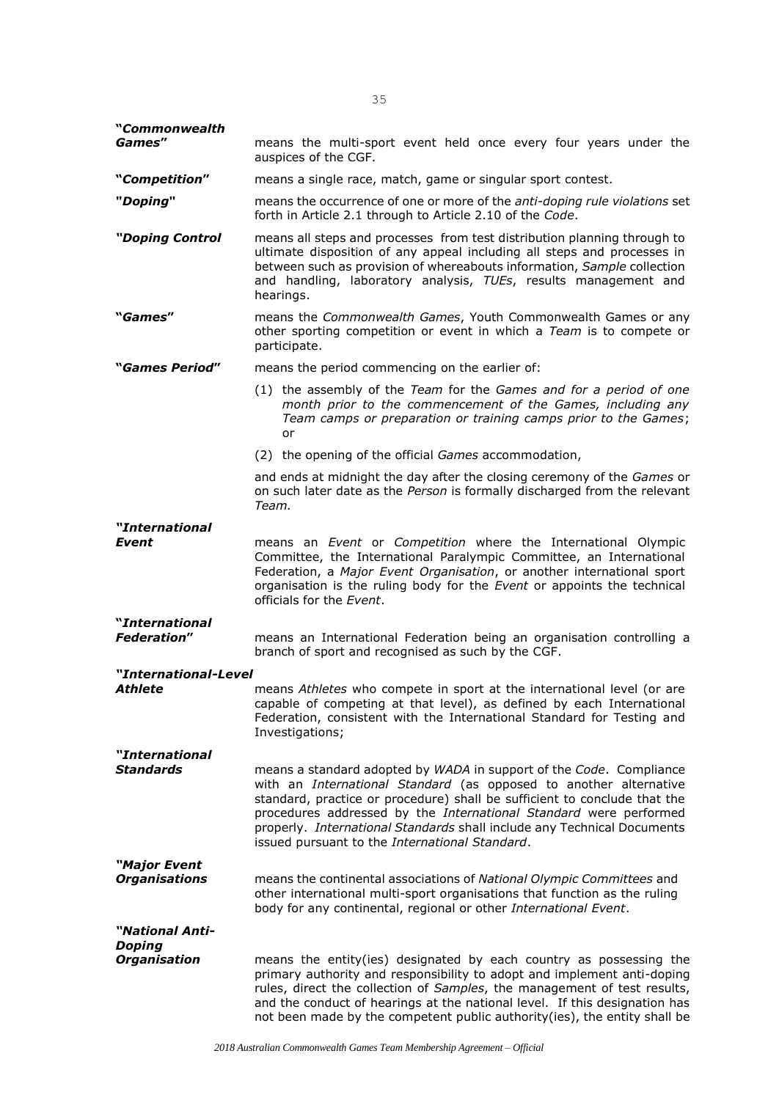| "Commonwealth<br>Games"                    | means the multi-sport event held once every four years under the<br>auspices of the CGF.                                                                                                                                                                                                                                                                                                                                |  |  |  |  |
|--------------------------------------------|-------------------------------------------------------------------------------------------------------------------------------------------------------------------------------------------------------------------------------------------------------------------------------------------------------------------------------------------------------------------------------------------------------------------------|--|--|--|--|
| "Competition"                              | means a single race, match, game or singular sport contest.                                                                                                                                                                                                                                                                                                                                                             |  |  |  |  |
| "Doping"                                   | means the occurrence of one or more of the <i>anti-doping rule violations</i> set<br>forth in Article 2.1 through to Article 2.10 of the Code.                                                                                                                                                                                                                                                                          |  |  |  |  |
| "Doping Control                            | means all steps and processes from test distribution planning through to<br>ultimate disposition of any appeal including all steps and processes in<br>between such as provision of whereabouts information, Sample collection<br>and handling, laboratory analysis, TUEs, results management and<br>hearings.                                                                                                          |  |  |  |  |
| "Games"                                    | means the Commonwealth Games, Youth Commonwealth Games or any<br>other sporting competition or event in which a Team is to compete or<br>participate.                                                                                                                                                                                                                                                                   |  |  |  |  |
| <i><b>"Games Period"</b></i>               | means the period commencing on the earlier of:                                                                                                                                                                                                                                                                                                                                                                          |  |  |  |  |
|                                            | (1) the assembly of the Team for the Games and for a period of one<br>month prior to the commencement of the Games, including any<br>Team camps or preparation or training camps prior to the Games;<br>or                                                                                                                                                                                                              |  |  |  |  |
|                                            | (2) the opening of the official <i>Games</i> accommodation,                                                                                                                                                                                                                                                                                                                                                             |  |  |  |  |
|                                            | and ends at midnight the day after the closing ceremony of the Games or<br>on such later date as the Person is formally discharged from the relevant<br>Team.                                                                                                                                                                                                                                                           |  |  |  |  |
| "International                             |                                                                                                                                                                                                                                                                                                                                                                                                                         |  |  |  |  |
| Event                                      | means an <i>Event</i> or <i>Competition</i> where the International Olympic<br>Committee, the International Paralympic Committee, an International<br>Federation, a Major Event Organisation, or another international sport<br>organisation is the ruling body for the Event or appoints the technical<br>officials for the Event.                                                                                     |  |  |  |  |
| <i>Nnternational</i><br><b>Federation"</b> | means an International Federation being an organisation controlling a<br>branch of sport and recognised as such by the CGF.                                                                                                                                                                                                                                                                                             |  |  |  |  |
| "International-Level                       |                                                                                                                                                                                                                                                                                                                                                                                                                         |  |  |  |  |
| Athlete                                    | means Athletes who compete in sport at the international level (or are<br>capable of competing at that level), as defined by each International<br>Federation, consistent with the International Standard for Testing and<br>Investigations;                                                                                                                                                                            |  |  |  |  |
| "International                             |                                                                                                                                                                                                                                                                                                                                                                                                                         |  |  |  |  |
| <b>Standards</b>                           | means a standard adopted by WADA in support of the Code. Compliance<br>with an International Standard (as opposed to another alternative<br>standard, practice or procedure) shall be sufficient to conclude that the<br>procedures addressed by the International Standard were performed<br>properly. International Standards shall include any Technical Documents<br>issued pursuant to the International Standard. |  |  |  |  |
| "Major Event                               |                                                                                                                                                                                                                                                                                                                                                                                                                         |  |  |  |  |
| <b>Organisations</b>                       | means the continental associations of National Olympic Committees and<br>other international multi-sport organisations that function as the ruling<br>body for any continental, regional or other International Event.                                                                                                                                                                                                  |  |  |  |  |
| "National Anti-                            |                                                                                                                                                                                                                                                                                                                                                                                                                         |  |  |  |  |
| <b>Doping</b><br><b>Organisation</b>       | means the entity(ies) designated by each country as possessing the<br>primary authority and responsibility to adopt and implement anti-doping<br>rules, direct the collection of Samples, the management of test results,<br>and the conduct of hearings at the national level. If this designation has<br>not been made by the competent public authority(ies), the entity shall be                                    |  |  |  |  |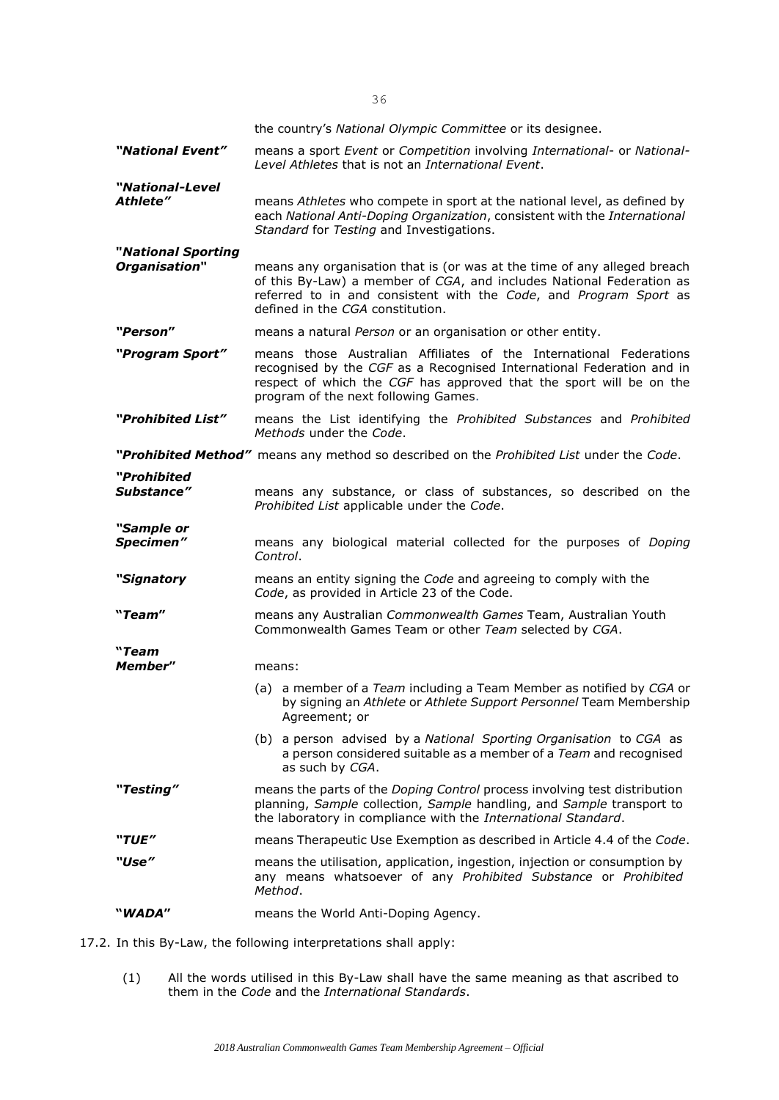|                                     | the country's National Olympic Committee or its designee.                                                                                                                                                                                                  |
|-------------------------------------|------------------------------------------------------------------------------------------------------------------------------------------------------------------------------------------------------------------------------------------------------------|
| "National Event"                    | means a sport Event or Competition involving International- or National-<br>Level Athletes that is not an International Event.                                                                                                                             |
| "National-Level<br><b>Athlete"</b>  | means Athletes who compete in sport at the national level, as defined by<br>each National Anti-Doping Organization, consistent with the International<br>Standard for Testing and Investigations.                                                          |
| "National Sporting<br>Organisation" | means any organisation that is (or was at the time of any alleged breach<br>of this By-Law) a member of CGA, and includes National Federation as<br>referred to in and consistent with the Code, and Program Sport as<br>defined in the CGA constitution.  |
| "Person"                            | means a natural Person or an organisation or other entity.                                                                                                                                                                                                 |
| "Program Sport"                     | means those Australian Affiliates of the International Federations<br>recognised by the CGF as a Recognised International Federation and in<br>respect of which the CGF has approved that the sport will be on the<br>program of the next following Games. |
| "Prohibited List"                   | means the List identifying the Prohibited Substances and Prohibited<br>Methods under the Code.                                                                                                                                                             |
|                                     | "Prohibited Method" means any method so described on the Prohibited List under the Code.                                                                                                                                                                   |
| "Prohibited<br>Substance"           | means any substance, or class of substances, so described on the<br>Prohibited List applicable under the Code.                                                                                                                                             |
| "Sample or<br>Specimen"             | means any biological material collected for the purposes of Doping<br>Control.                                                                                                                                                                             |
| "Signatory                          | means an entity signing the Code and agreeing to comply with the<br>Code, as provided in Article 23 of the Code.                                                                                                                                           |
| "Team"                              | means any Australian Commonwealth Games Team, Australian Youth<br>Commonwealth Games Team or other Team selected by CGA.                                                                                                                                   |
| "Team                               |                                                                                                                                                                                                                                                            |
| <b>Member"</b>                      | means:                                                                                                                                                                                                                                                     |
|                                     | (a) a member of a Team including a Team Member as notified by CGA or<br>by signing an Athlete or Athlete Support Personnel Team Membership<br>Agreement; or                                                                                                |
|                                     | (b) a person advised by a National Sporting Organisation to CGA as<br>a person considered suitable as a member of a Team and recognised<br>as such by CGA.                                                                                                 |
| "Testing"                           | means the parts of the Doping Control process involving test distribution<br>planning, Sample collection, Sample handling, and Sample transport to<br>the laboratory in compliance with the International Standard.                                        |
| "TUE"                               | means Therapeutic Use Exemption as described in Article 4.4 of the Code.                                                                                                                                                                                   |
| "Use"                               | means the utilisation, application, ingestion, injection or consumption by<br>any means whatsoever of any Prohibited Substance or Prohibited<br>Method.                                                                                                    |
| ``WADA″                             | means the World Anti-Doping Agency.                                                                                                                                                                                                                        |

17.2. In this By-Law, the following interpretations shall apply:

(1) All the words utilised in this By-Law shall have the same meaning as that ascribed to them in the *Code* and the *International Standards*.

*2018 Australian Commonwealth Games Team Membership Agreement – Official*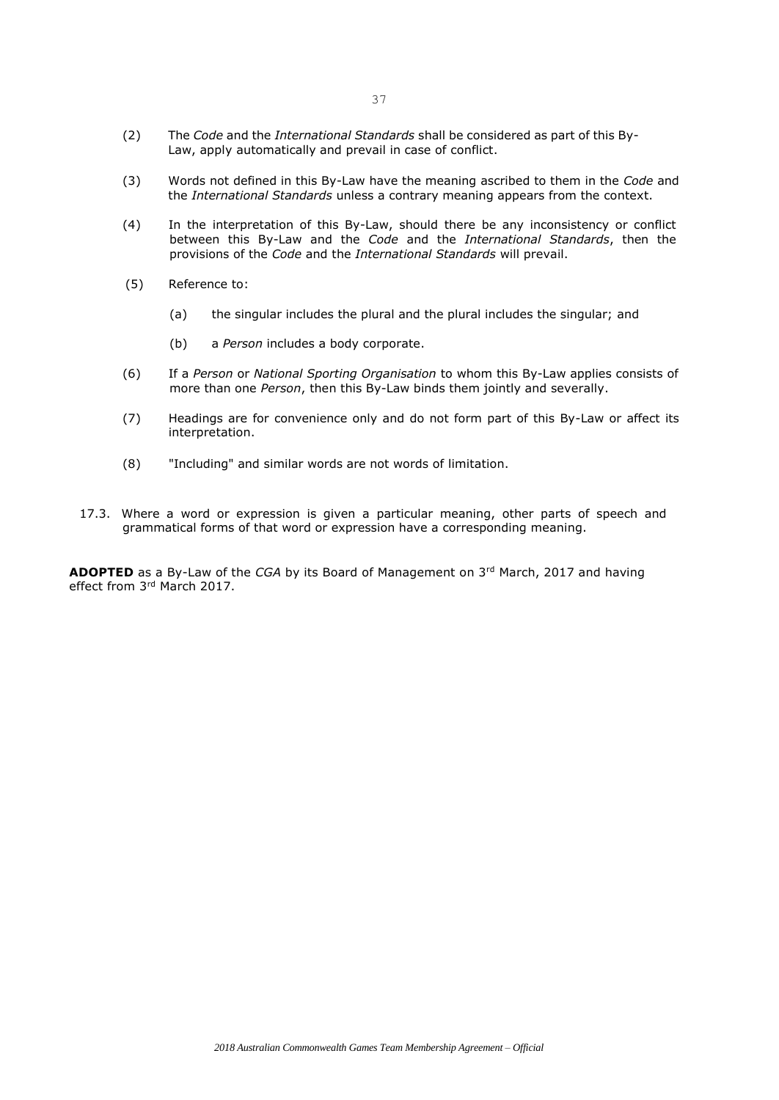- (2) The *Code* and the *International Standards* shall be considered as part of this By-Law, apply automatically and prevail in case of conflict.
- (3) Words not defined in this By-Law have the meaning ascribed to them in the *Code* and the *International Standards* unless a contrary meaning appears from the context.
- (4) In the interpretation of this By-Law, should there be any inconsistency or conflict between this By-Law and the *Code* and the *International Standards*, then the provisions of the *Code* and the *International Standards* will prevail.
- (5) Reference to:
	- (a) the singular includes the plural and the plural includes the singular; and
	- (b) a *Person* includes a body corporate.
- (6) If a *Person* or *National Sporting Organisation* to whom this By-Law applies consists of more than one *Person*, then this By-Law binds them jointly and severally.
- (7) Headings are for convenience only and do not form part of this By-Law or affect its interpretation.
- (8) "Including" and similar words are not words of limitation.
- 17.3. Where a word or expression is given a particular meaning, other parts of speech and grammatical forms of that word or expression have a corresponding meaning.

**ADOPTED** as a By-Law of the *CGA* by its Board of Management on 3rd March, 2017 and having effect from 3rd March 2017.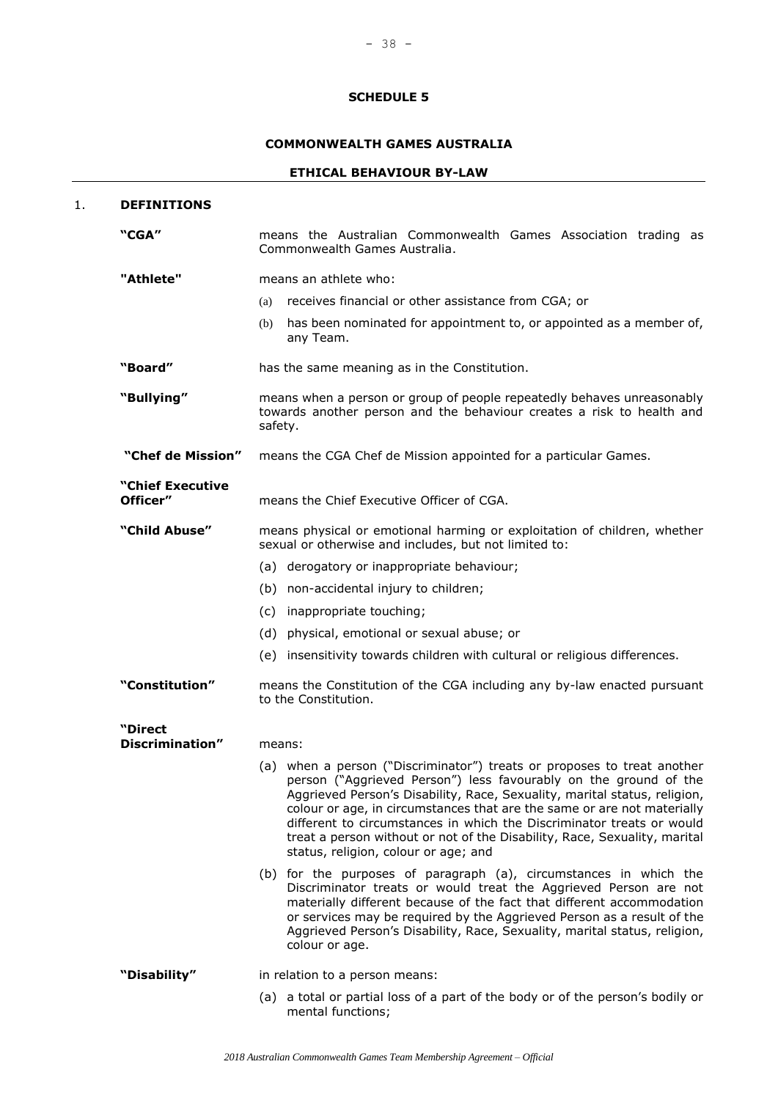## **COMMONWEALTH GAMES AUSTRALIA**

## **ETHICAL BEHAVIOUR BY-LAW**

| 1. | <b>DEFINITIONS</b>                |                                                                                                                                                                                                                                                                                                                                                                                                                                                                                                   |
|----|-----------------------------------|---------------------------------------------------------------------------------------------------------------------------------------------------------------------------------------------------------------------------------------------------------------------------------------------------------------------------------------------------------------------------------------------------------------------------------------------------------------------------------------------------|
|    | "CGA"                             | means the Australian Commonwealth Games Association trading as<br>Commonwealth Games Australia.                                                                                                                                                                                                                                                                                                                                                                                                   |
|    | "Athlete"                         | means an athlete who:                                                                                                                                                                                                                                                                                                                                                                                                                                                                             |
|    |                                   | receives financial or other assistance from CGA; or<br>(a)                                                                                                                                                                                                                                                                                                                                                                                                                                        |
|    |                                   | has been nominated for appointment to, or appointed as a member of,<br>(b)<br>any Team.                                                                                                                                                                                                                                                                                                                                                                                                           |
|    | "Board"                           | has the same meaning as in the Constitution.                                                                                                                                                                                                                                                                                                                                                                                                                                                      |
|    | "Bullying"                        | means when a person or group of people repeatedly behaves unreasonably<br>towards another person and the behaviour creates a risk to health and<br>safety.                                                                                                                                                                                                                                                                                                                                        |
|    | "Chef de Mission"                 | means the CGA Chef de Mission appointed for a particular Games.                                                                                                                                                                                                                                                                                                                                                                                                                                   |
|    | "Chief Executive<br>Officer"      | means the Chief Executive Officer of CGA.                                                                                                                                                                                                                                                                                                                                                                                                                                                         |
|    | "Child Abuse"                     | means physical or emotional harming or exploitation of children, whether<br>sexual or otherwise and includes, but not limited to:                                                                                                                                                                                                                                                                                                                                                                 |
|    |                                   | (a) derogatory or inappropriate behaviour;                                                                                                                                                                                                                                                                                                                                                                                                                                                        |
|    |                                   | (b) non-accidental injury to children;                                                                                                                                                                                                                                                                                                                                                                                                                                                            |
|    |                                   | (c) inappropriate touching;                                                                                                                                                                                                                                                                                                                                                                                                                                                                       |
|    |                                   | (d) physical, emotional or sexual abuse; or                                                                                                                                                                                                                                                                                                                                                                                                                                                       |
|    |                                   | (e) insensitivity towards children with cultural or religious differences.                                                                                                                                                                                                                                                                                                                                                                                                                        |
|    | "Constitution"                    | means the Constitution of the CGA including any by-law enacted pursuant<br>to the Constitution.                                                                                                                                                                                                                                                                                                                                                                                                   |
|    | "Direct<br><b>Discrimination"</b> | means:                                                                                                                                                                                                                                                                                                                                                                                                                                                                                            |
|    |                                   | (a) when a person ("Discriminator") treats or proposes to treat another<br>person ("Aggrieved Person") less favourably on the ground of the<br>Aggrieved Person's Disability, Race, Sexuality, marital status, religion,<br>colour or age, in circumstances that are the same or are not materially<br>different to circumstances in which the Discriminator treats or would<br>treat a person without or not of the Disability, Race, Sexuality, marital<br>status, religion, colour or age; and |
|    |                                   | (b) for the purposes of paragraph (a), circumstances in which the<br>Discriminator treats or would treat the Aggrieved Person are not<br>materially different because of the fact that different accommodation<br>or services may be required by the Aggrieved Person as a result of the<br>Aggrieved Person's Disability, Race, Sexuality, marital status, religion,<br>colour or age.                                                                                                           |
|    | "Disability"                      | in relation to a person means:                                                                                                                                                                                                                                                                                                                                                                                                                                                                    |
|    |                                   | (a) a total or partial loss of a part of the body or of the person's bodily or<br>mental functions;                                                                                                                                                                                                                                                                                                                                                                                               |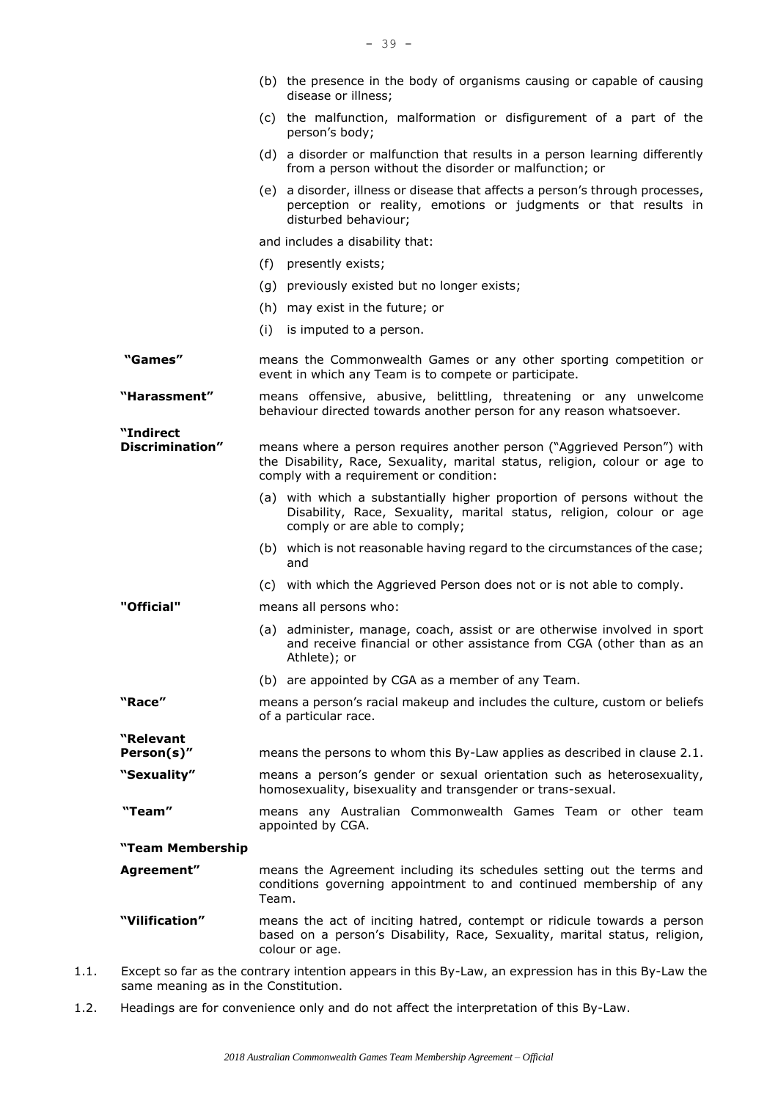|      |                                      | (b) the presence in the body of organisms causing or capable of causing<br>disease or illness;                                                                                                   |
|------|--------------------------------------|--------------------------------------------------------------------------------------------------------------------------------------------------------------------------------------------------|
|      |                                      | (c) the malfunction, malformation or disfigurement of a part of the<br>person's body;                                                                                                            |
|      |                                      | (d) a disorder or malfunction that results in a person learning differently<br>from a person without the disorder or malfunction; or                                                             |
|      |                                      | (e) a disorder, illness or disease that affects a person's through processes,<br>perception or reality, emotions or judgments or that results in<br>disturbed behaviour;                         |
|      |                                      | and includes a disability that:                                                                                                                                                                  |
|      |                                      | (f)<br>presently exists;                                                                                                                                                                         |
|      |                                      | previously existed but no longer exists;<br>(g)                                                                                                                                                  |
|      |                                      | may exist in the future; or<br>(h)                                                                                                                                                               |
|      |                                      | (i)<br>is imputed to a person.                                                                                                                                                                   |
|      | "Games"                              | means the Commonwealth Games or any other sporting competition or<br>event in which any Team is to compete or participate.                                                                       |
|      | "Harassment"                         | means offensive, abusive, belittling, threatening or any unwelcome<br>behaviour directed towards another person for any reason whatsoever.                                                       |
|      | "Indirect<br>Discrimination"         | means where a person requires another person ("Aggrieved Person") with<br>the Disability, Race, Sexuality, marital status, religion, colour or age to<br>comply with a requirement or condition: |
|      |                                      | (a) with which a substantially higher proportion of persons without the<br>Disability, Race, Sexuality, marital status, religion, colour or age<br>comply or are able to comply;                 |
|      |                                      | (b) which is not reasonable having regard to the circumstances of the case;<br>and                                                                                                               |
|      |                                      | (c) with which the Aggrieved Person does not or is not able to comply.                                                                                                                           |
|      | "Official"                           | means all persons who:                                                                                                                                                                           |
|      |                                      | (a) administer, manage, coach, assist or are otherwise involved in sport<br>and receive financial or other assistance from CGA (other than as an<br>Athlete); or                                 |
|      |                                      | (b) are appointed by CGA as a member of any Team.                                                                                                                                                |
|      | "Race"                               | means a person's racial makeup and includes the culture, custom or beliefs<br>of a particular race.                                                                                              |
|      | "Relevant<br>Person(s)"              | means the persons to whom this By-Law applies as described in clause 2.1.                                                                                                                        |
|      | "Sexuality"                          | means a person's gender or sexual orientation such as heterosexuality,<br>homosexuality, bisexuality and transgender or trans-sexual.                                                            |
|      | "Team"                               | means any Australian Commonwealth Games Team or other team<br>appointed by CGA.                                                                                                                  |
|      | "Team Membership                     |                                                                                                                                                                                                  |
|      | Agreement"                           | means the Agreement including its schedules setting out the terms and<br>conditions governing appointment to and continued membership of any<br>Team.                                            |
|      | "Vilification"                       | means the act of inciting hatred, contempt or ridicule towards a person<br>based on a person's Disability, Race, Sexuality, marital status, religion,<br>colour or age.                          |
| 1.1. | same meaning as in the Constitution. | Except so far as the contrary intention appears in this By-Law, an expression has in this By-Law the                                                                                             |

1.2. Headings are for convenience only and do not affect the interpretation of this By-Law.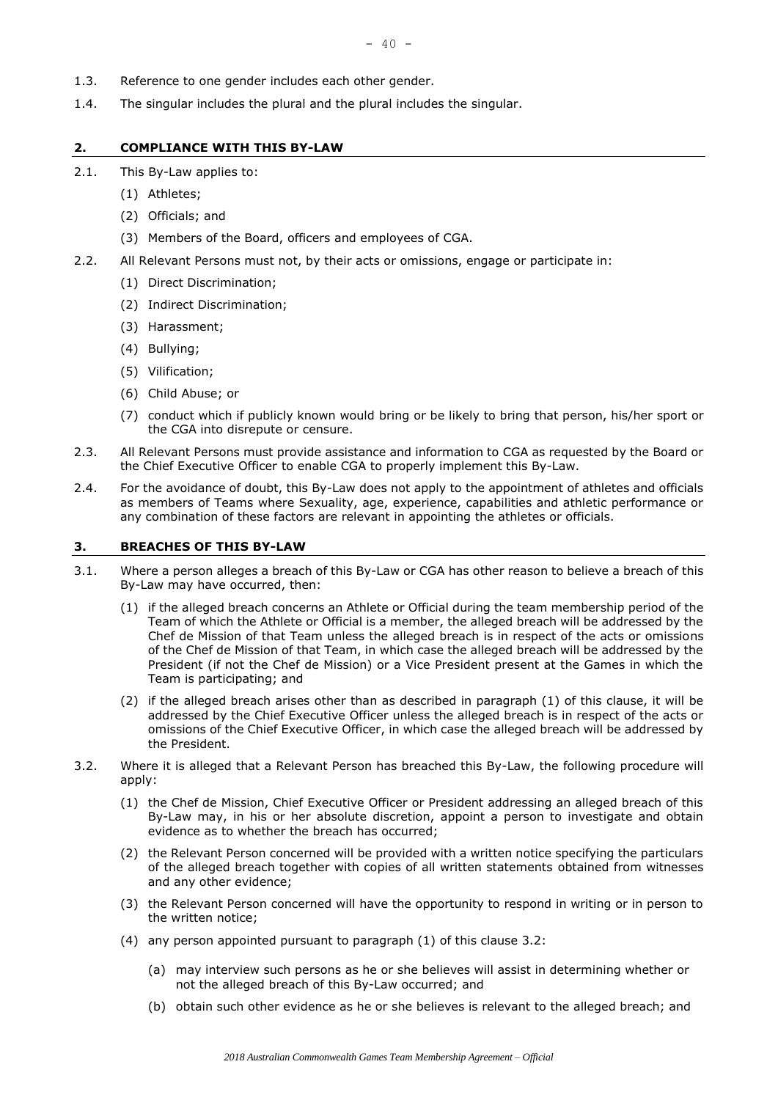- 1.3. Reference to one gender includes each other gender.
- 1.4. The singular includes the plural and the plural includes the singular.

#### **2. COMPLIANCE WITH THIS BY-LAW**

- 2.1. This By-Law applies to:
	- (1) Athletes;
	- (2) Officials; and
	- (3) Members of the Board, officers and employees of CGA.
- 2.2. All Relevant Persons must not, by their acts or omissions, engage or participate in:
	- (1) Direct Discrimination;
	- (2) Indirect Discrimination;
	- (3) Harassment;
	- (4) Bullying;
	- (5) Vilification;
	- (6) Child Abuse; or
	- (7) conduct which if publicly known would bring or be likely to bring that person, his/her sport or the CGA into disrepute or censure.
- 2.3. All Relevant Persons must provide assistance and information to CGA as requested by the Board or the Chief Executive Officer to enable CGA to properly implement this By-Law.
- 2.4. For the avoidance of doubt, this By-Law does not apply to the appointment of athletes and officials as members of Teams where Sexuality, age, experience, capabilities and athletic performance or any combination of these factors are relevant in appointing the athletes or officials.

#### **3. BREACHES OF THIS BY-LAW**

- 3.1. Where a person alleges a breach of this By-Law or CGA has other reason to believe a breach of this By-Law may have occurred, then:
	- (1) if the alleged breach concerns an Athlete or Official during the team membership period of the Team of which the Athlete or Official is a member, the alleged breach will be addressed by the Chef de Mission of that Team unless the alleged breach is in respect of the acts or omissions of the Chef de Mission of that Team, in which case the alleged breach will be addressed by the President (if not the Chef de Mission) or a Vice President present at the Games in which the Team is participating; and
	- (2) if the alleged breach arises other than as described in paragraph (1) of this clause, it will be addressed by the Chief Executive Officer unless the alleged breach is in respect of the acts or omissions of the Chief Executive Officer, in which case the alleged breach will be addressed by the President.
- 3.2. Where it is alleged that a Relevant Person has breached this By-Law, the following procedure will apply:
	- (1) the Chef de Mission, Chief Executive Officer or President addressing an alleged breach of this By-Law may, in his or her absolute discretion, appoint a person to investigate and obtain evidence as to whether the breach has occurred;
	- (2) the Relevant Person concerned will be provided with a written notice specifying the particulars of the alleged breach together with copies of all written statements obtained from witnesses and any other evidence;
	- (3) the Relevant Person concerned will have the opportunity to respond in writing or in person to the written notice;
	- (4) any person appointed pursuant to paragraph (1) of this clause 3.2:
		- (a) may interview such persons as he or she believes will assist in determining whether or not the alleged breach of this By-Law occurred; and
		- (b) obtain such other evidence as he or she believes is relevant to the alleged breach; and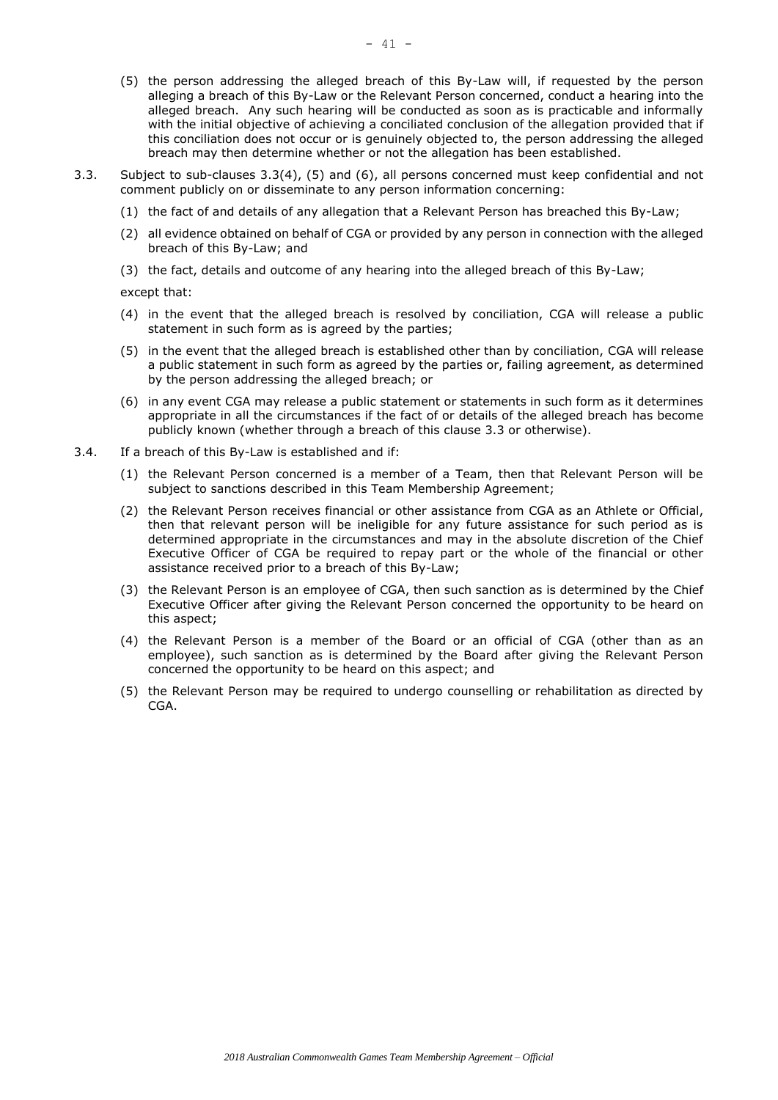- (5) the person addressing the alleged breach of this By-Law will, if requested by the person alleging a breach of this By-Law or the Relevant Person concerned, conduct a hearing into the alleged breach. Any such hearing will be conducted as soon as is practicable and informally with the initial objective of achieving a conciliated conclusion of the allegation provided that if this conciliation does not occur or is genuinely objected to, the person addressing the alleged breach may then determine whether or not the allegation has been established.
- 3.3. Subject to sub-clauses 3.3(4), (5) and (6), all persons concerned must keep confidential and not comment publicly on or disseminate to any person information concerning:
	- (1) the fact of and details of any allegation that a Relevant Person has breached this By-Law;
	- (2) all evidence obtained on behalf of CGA or provided by any person in connection with the alleged breach of this By-Law; and
	- (3) the fact, details and outcome of any hearing into the alleged breach of this By-Law;

except that:

- (4) in the event that the alleged breach is resolved by conciliation, CGA will release a public statement in such form as is agreed by the parties;
- (5) in the event that the alleged breach is established other than by conciliation, CGA will release a public statement in such form as agreed by the parties or, failing agreement, as determined by the person addressing the alleged breach; or
- (6) in any event CGA may release a public statement or statements in such form as it determines appropriate in all the circumstances if the fact of or details of the alleged breach has become publicly known (whether through a breach of this clause 3.3 or otherwise).
- 3.4. If a breach of this By-Law is established and if:
	- (1) the Relevant Person concerned is a member of a Team, then that Relevant Person will be subject to sanctions described in this Team Membership Agreement;
	- (2) the Relevant Person receives financial or other assistance from CGA as an Athlete or Official, then that relevant person will be ineligible for any future assistance for such period as is determined appropriate in the circumstances and may in the absolute discretion of the Chief Executive Officer of CGA be required to repay part or the whole of the financial or other assistance received prior to a breach of this By-Law;
	- (3) the Relevant Person is an employee of CGA, then such sanction as is determined by the Chief Executive Officer after giving the Relevant Person concerned the opportunity to be heard on this aspect;
	- (4) the Relevant Person is a member of the Board or an official of CGA (other than as an employee), such sanction as is determined by the Board after giving the Relevant Person concerned the opportunity to be heard on this aspect; and
	- (5) the Relevant Person may be required to undergo counselling or rehabilitation as directed by CGA.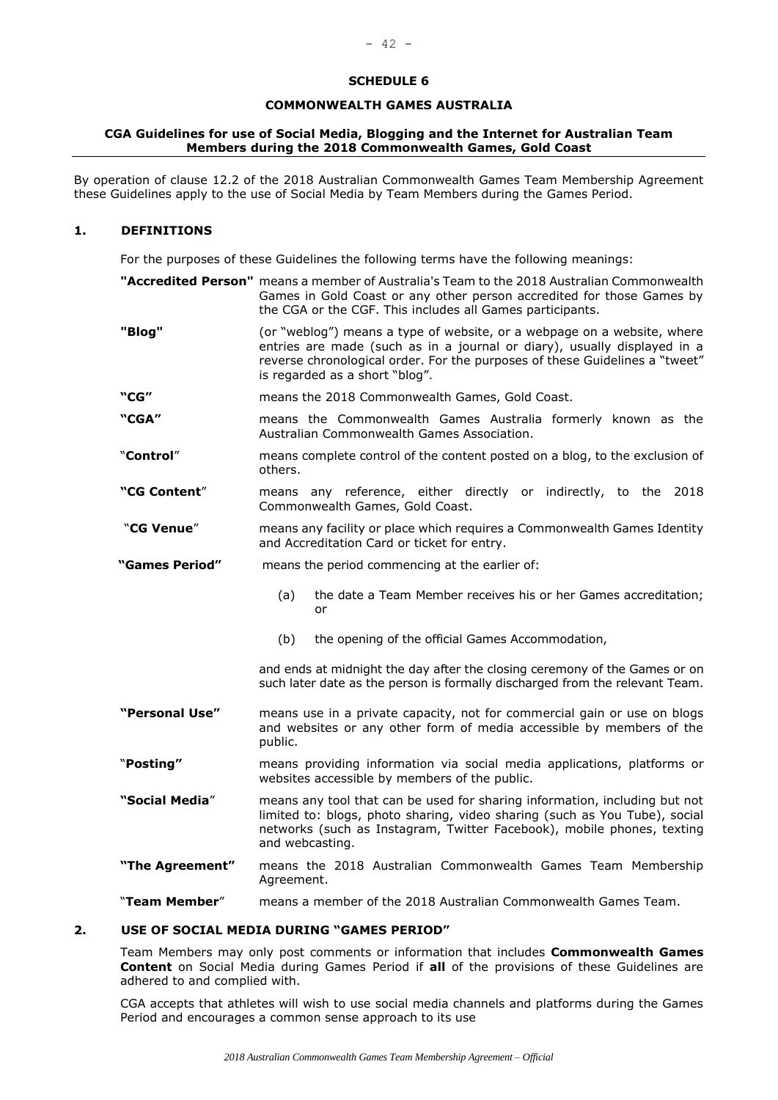#### **COMMONWEALTH GAMES AUSTRALIA**

#### **CGA Guidelines for use of Social Media, Blogging and the Internet for Australian Team Members during the 2018 Commonwealth Games, Gold Coast**

By operation of clause 12.2 of the 2018 Australian Commonwealth Games Team Membership Agreement these Guidelines apply to the use of Social Media by Team Members during the Games Period.

#### **1. DEFINITIONS**

For the purposes of these Guidelines the following terms have the following meanings:

|                 | "Accredited Person" means a member of Australia's Team to the 2018 Australian Commonwealth<br>Games in Gold Coast or any other person accredited for those Games by<br>the CGA or the CGF. This includes all Games participants.                                     |
|-----------------|----------------------------------------------------------------------------------------------------------------------------------------------------------------------------------------------------------------------------------------------------------------------|
| "Blog"          | (or "weblog") means a type of website, or a webpage on a website, where<br>entries are made (such as in a journal or diary), usually displayed in a<br>reverse chronological order. For the purposes of these Guidelines a "tweet"<br>is regarded as a short "blog". |
| "CG"            | means the 2018 Commonwealth Games, Gold Coast.                                                                                                                                                                                                                       |
| "CGA"           | means the Commonwealth Games Australia formerly known as the<br>Australian Commonwealth Games Association.                                                                                                                                                           |
| "Control"       | means complete control of the content posted on a blog, to the exclusion of<br>others.                                                                                                                                                                               |
| "CG Content"    | means any reference, either directly or indirectly, to the 2018<br>Commonwealth Games, Gold Coast.                                                                                                                                                                   |
| "CG Venue"      | means any facility or place which requires a Commonwealth Games Identity<br>and Accreditation Card or ticket for entry.                                                                                                                                              |
| "Games Period"  | means the period commencing at the earlier of:                                                                                                                                                                                                                       |
|                 | the date a Team Member receives his or her Games accreditation;<br>(a)<br>or                                                                                                                                                                                         |
|                 | (b)<br>the opening of the official Games Accommodation,                                                                                                                                                                                                              |
|                 | and ends at midnight the day after the closing ceremony of the Games or on<br>such later date as the person is formally discharged from the relevant Team.                                                                                                           |
| "Personal Use"  | means use in a private capacity, not for commercial gain or use on blogs<br>and websites or any other form of media accessible by members of the<br>public.                                                                                                          |
| "Posting"       | means providing information via social media applications, platforms or<br>websites accessible by members of the public.                                                                                                                                             |
| "Social Media"  | means any tool that can be used for sharing information, including but not<br>limited to: blogs, photo sharing, video sharing (such as You Tube), social<br>networks (such as Instagram, Twitter Facebook), mobile phones, texting<br>and webcasting.                |
| "The Agreement" | means the 2018 Australian Commonwealth Games Team Membership<br>Agreement.                                                                                                                                                                                           |
| "Team Member"   | means a member of the 2018 Australian Commonwealth Games Team.                                                                                                                                                                                                       |
|                 |                                                                                                                                                                                                                                                                      |

### **2. USE OF SOCIAL MEDIA DURING "GAMES PERIOD"**

Team Members may only post comments or information that includes **Commonwealth Games Content** on Social Media during Games Period if **all** of the provisions of these Guidelines are adhered to and complied with.

CGA accepts that athletes will wish to use social media channels and platforms during the Games Period and encourages a common sense approach to its use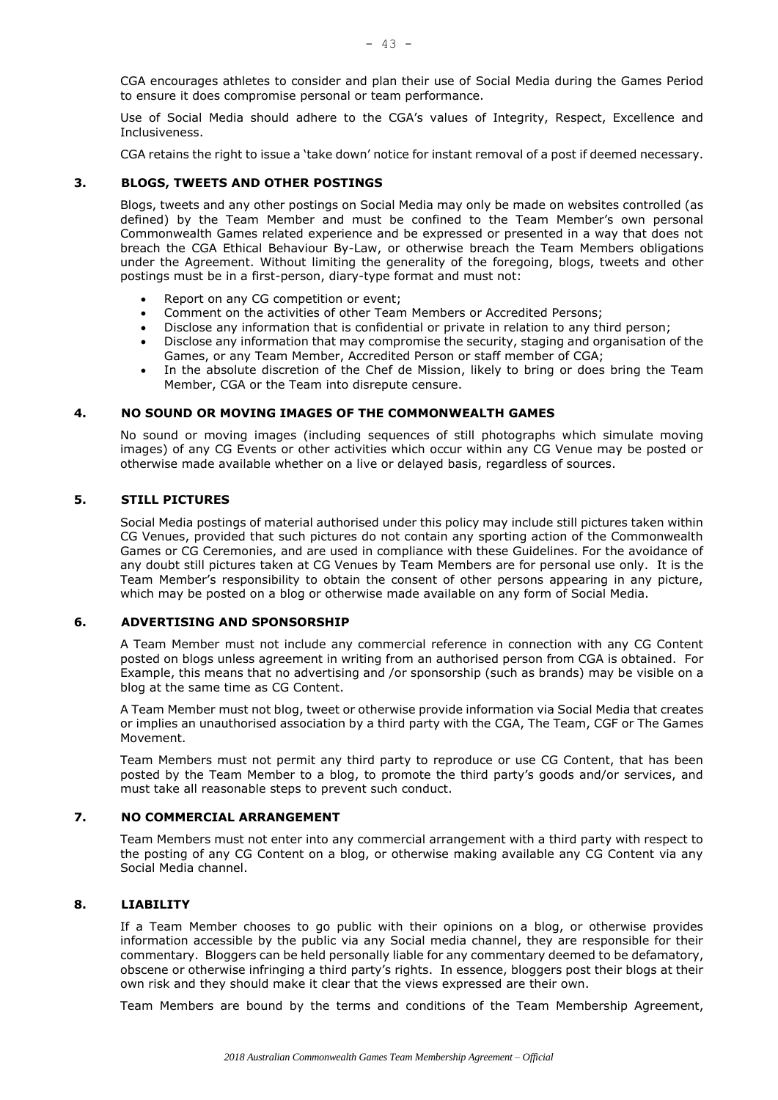CGA encourages athletes to consider and plan their use of Social Media during the Games Period to ensure it does compromise personal or team performance.

Use of Social Media should adhere to the CGA's values of Integrity, Respect, Excellence and Inclusiveness.

CGA retains the right to issue a 'take down' notice for instant removal of a post if deemed necessary.

## **3. BLOGS, TWEETS AND OTHER POSTINGS**

Blogs, tweets and any other postings on Social Media may only be made on websites controlled (as defined) by the Team Member and must be confined to the Team Member's own personal Commonwealth Games related experience and be expressed or presented in a way that does not breach the CGA Ethical Behaviour By-Law, or otherwise breach the Team Members obligations under the Agreement. Without limiting the generality of the foregoing, blogs, tweets and other postings must be in a first-person, diary-type format and must not:

- Report on any CG competition or event;
- Comment on the activities of other Team Members or Accredited Persons;
- Disclose any information that is confidential or private in relation to any third person;
- Disclose any information that may compromise the security, staging and organisation of the Games, or any Team Member, Accredited Person or staff member of CGA;
- In the absolute discretion of the Chef de Mission, likely to bring or does bring the Team Member, CGA or the Team into disrepute censure.

## **4. NO SOUND OR MOVING IMAGES OF THE COMMONWEALTH GAMES**

No sound or moving images (including sequences of still photographs which simulate moving images) of any CG Events or other activities which occur within any CG Venue may be posted or otherwise made available whether on a live or delayed basis, regardless of sources.

### **5. STILL PICTURES**

Social Media postings of material authorised under this policy may include still pictures taken within CG Venues, provided that such pictures do not contain any sporting action of the Commonwealth Games or CG Ceremonies, and are used in compliance with these Guidelines. For the avoidance of any doubt still pictures taken at CG Venues by Team Members are for personal use only. It is the Team Member's responsibility to obtain the consent of other persons appearing in any picture, which may be posted on a blog or otherwise made available on any form of Social Media.

## **6. ADVERTISING AND SPONSORSHIP**

A Team Member must not include any commercial reference in connection with any CG Content posted on blogs unless agreement in writing from an authorised person from CGA is obtained. For Example, this means that no advertising and /or sponsorship (such as brands) may be visible on a blog at the same time as CG Content.

A Team Member must not blog, tweet or otherwise provide information via Social Media that creates or implies an unauthorised association by a third party with the CGA, The Team, CGF or The Games Movement.

Team Members must not permit any third party to reproduce or use CG Content, that has been posted by the Team Member to a blog, to promote the third party's goods and/or services, and must take all reasonable steps to prevent such conduct.

#### **7. NO COMMERCIAL ARRANGEMENT**

Team Members must not enter into any commercial arrangement with a third party with respect to the posting of any CG Content on a blog, or otherwise making available any CG Content via any Social Media channel.

## **8. LIABILITY**

If a Team Member chooses to go public with their opinions on a blog, or otherwise provides information accessible by the public via any Social media channel, they are responsible for their commentary. Bloggers can be held personally liable for any commentary deemed to be defamatory, obscene or otherwise infringing a third party's rights. In essence, bloggers post their blogs at their own risk and they should make it clear that the views expressed are their own.

Team Members are bound by the terms and conditions of the Team Membership Agreement,